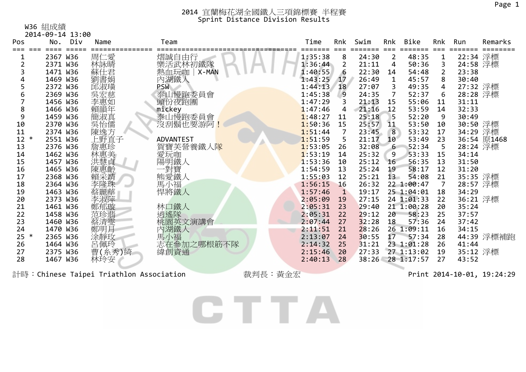W36 組成績

|     | 2014-09-14 13:00 |        |                  |         |              |       |                 |                  |                |          |             |
|-----|------------------|--------|------------------|---------|--------------|-------|-----------------|------------------|----------------|----------|-------------|
| Pos | No. Div          | Name   | Team             | Time    | Rnk          | Swim  | Rnk             | Bike             | Rnk            | Run      | Remarks     |
|     | 2367 W36         | 周仁愛    | 熠誠自由行            | 1:35:38 | 8            | 24:30 | $\overline{2}$  | 48:35            | 1              | 22:34 浮標 |             |
|     | 2371 W36         | 林詠晴    | 樂活武林初鐵隊          | 1:36:44 | 2            | 21:11 | 4               | 50:36            | 3              | 24:58 浮標 |             |
|     | 1471 W36         | 蘇仕君    | 熱血玩咖   X-MAN     | 1:40:55 | 6            | 22:30 | 14              | 54:48            | $\overline{2}$ | 23:38    |             |
|     | 1469 W36         | 劉書娟    | 內湖鐵人             | 1:43:25 | 17           | 26:49 | 1               | 45:57            | 8              | 30:40    |             |
| 5   | 2372 W36         | 邱淑璜    | PSW              | 1:44:13 | 18           | 27:07 | 3               | 49:35            | 4              | 27:32 浮標 |             |
| 6   | 2369 W36         | 吳宏慈    | 泰山慢跑委員會          | 1:45:38 | 9            | 24:35 | $\overline{7}$  | 52:37            | 6              | 28:28 浮標 |             |
|     | 1456 W36         | 李惠如    | 頭份夜跑團            | 1:47:29 |              | 21:13 | 15              | 55:06            | 11             | 31:11    |             |
| 8   | 1466 W36         | 賴韻年    | mickey           | 1:47:46 | 4            | 21:16 | 12              | 53:59            | 14             | 32:33    |             |
| 9   | 1459 W36         | 簡淑真    | 泰山慢跑委員會          | 1:48:27 | 11           | 25:18 | 5               | 52:20            | -9             | 30:49    |             |
| 10  | 2370 W36         | 吳怡儒    | 沒刮鬍也要游阿!         | 1:50:36 | 15           | 25:57 | 11              | 53:50            | 10             | 30:50 浮標 |             |
| 11  | 2374 W36         | 陳逸方    |                  | 1:51:44 |              | 23:45 | 8               | 53:32            | 17             | 34:29 浮標 |             |
| 12  | 2551 W36         | 上野直子   | <b>ADVANTEST</b> | 1:51:59 | 5            | 21:17 | 10              | 53:49            | 23             |          | 36:54 原1468 |
| 13  | 2376 W36         | 詹惠珍    | 賀寶芙營養鐵人隊         | 1:53:05 | 26           | 32:08 | 6               | 52:34            | 5              | 28:24 浮標 |             |
| 14  | 1462 W36         | 林惠美    | 愛玩咖              | 1:53:19 | 14           | 25:32 | 9               | 53:33            | 15             | 34:14    |             |
| 15  | 1457 W36         | 洪慧貞    | 陽明鐵人             | 1:53:36 | 10           | 25:12 | 16              | 56:35            | 13             | 31:50    |             |
| 16  | 1465 W36         | 陳惠齡    | 一對寶              | 1:54:59 | 13           | 25:24 | 19              | 58:17            | 12             | 31:20    |             |
| 17  | 2368 W36         | 賴采靖    | 熊愛鐵人             | 1:55:03 | 12           | 25:21 | $13 -$          | 54:08            | 21             | 35:35 浮標 |             |
| 18  | 2364 W36         | 李隆珠    | 馬小福              | 1:56:15 | 16           | 26:32 |                 | 22 1:00:47       | 7              | 28:57 浮標 |             |
| 19  | 1463 W36         | 蔡麗華    | 悍將鐵人             | 1:57:46 | $\mathbf{1}$ | 19:17 |                 | 25 1:04:01       | 18             | 34:29    |             |
| 20  | 2373 W36         | 李淑萍    |                  | 2:05:09 | 19           | 27:15 |                 | 24 1:01:33       | 22             | 36:21 浮標 |             |
| 21  | 1461 W36         | 鄭郁璇    | 林口鐵人             | 2:05:31 | 23           | 29:40 |                 | 21 1:00:28       | 20             | 35:24    |             |
| 22  | 1458 W36         | 范珍翡    | 逍遙隊              | 2:05:31 | 22           | 29:12 | 20              | 58:23            | 25             | 37:57    |             |
| 23  | 1460 W36         | 蔡清雯    | 桃園英文演講會          | 2:07:44 | 27           | 32:28 | 18              | 57:36            | 24             | 37:42    |             |
| 24  | 1470 W36         | 鄭明月    | 內湖鐵人             | 2:11:51 | 21           | 28:26 |                 | 26 1:09:11       | 16             | 34:15    |             |
| 25  | 2365 W36         | 涂靜玫    | 馬小福              | 2:13:07 | 24           | 30:55 | 17 <sup>7</sup> | 57:34            | 28             |          | 44:39 浮標補跑  |
| 26  | 1464 W36         | 呂佩玲    | 志在參加之哪根筋不隊       | 2:14:32 | 25           | 31:21 |                 | 23 1:01:28       | 26             | 41:44    |             |
| 27  | 2375 W36         | 曹(糸秀)綺 | 緯創資通             | 2:15:46 | 20           | 27:33 |                 | 27 1:13:02       | 19             | 35:12 浮標 |             |
| 28  | 1467 W36         | 林玲安    |                  | 2:40:13 | 28           |       |                 | 38:26 28 1:17:57 | 27             | 43:52    |             |
|     |                  |        |                  |         |              |       |                 |                  |                |          |             |

計時:Chinese Taipei Triathlon Association 裁判長:黃金宏 Print 2014-10-01, 19:24:29

CTTA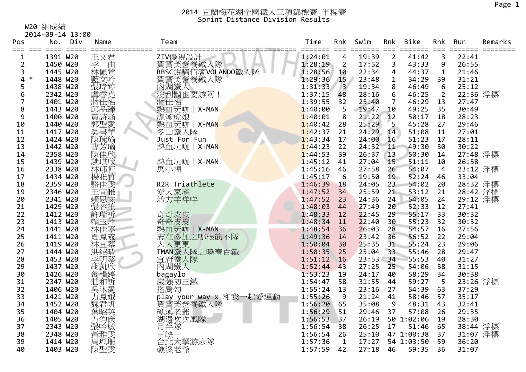W20 組成績

|                | 2014-09-14 13:00                               |            |                              |                       |                |               |                         |            |                |                |         |
|----------------|------------------------------------------------|------------|------------------------------|-----------------------|----------------|---------------|-------------------------|------------|----------------|----------------|---------|
| Pos            | No.<br>Div                                     | Name       | Team                         | Time                  | Rnk            | Swim          | Rnk                     | Bike       | Rnk            | Run            | Remarks |
| $==$           | $=$ $=$ $=$ $=$<br>$=$ $=$ $=$ $=$<br>1391 W20 |            |                              | ====== ===<br>1:24:01 |                | ----<br>19:39 | $===$<br>$\overline{2}$ | ------     | $===$<br>3     | -----<br>22:41 |         |
| 1              |                                                | 王文君        | ZIV優視設計                      |                       | 4              |               |                         | 41:42      |                |                |         |
| $\overline{2}$ | 1450 W20                                       | 李<br>由     |                              | 1:28:19               | $\overline{2}$ | 17:52         | 3                       | 43:33      | 9              | 26:55          |         |
| 3<br>∗         | 1445 W20                                       | 林佩萱        |                              | 1:28:56               | 10             | 22:34         | 4                       | 44:37      | 1              | 21:46          |         |
| 4              | 1448 W20                                       | 藍文吟        |                              | 1:29:36               | 15             | 23:48         | $\mathbf{1}$            | 34:29      | 39             | 31:21          |         |
| 5              | 1438 W20                                       | 張瑋婷        | 賀寶芙營養鐵人隊<br>內湖鐵人<br>沒刮鬍也要游阿! | 1:31:33               | $\overline{3}$ | 19:34         | 8                       | 46:49      | 6              | 25:12          |         |
| 6              | 2342 W20                                       | 虞睿堯        |                              | 1:37:15               | 48             | 28:16         | 6                       | 46:25      | $\overline{2}$ | 22:36 浮標       |         |
|                | 1401 W20                                       | 蔣佳怡        | 蔣佳怡                          | 1:39:55               | 32             | 25:40         | 7                       | 46:29      | 13             | 27:47          |         |
| 8              | 1443 W20                                       | 邱品臻        | 熱血玩咖   X-MAN                 | 1:40:00               | 5              | 19:47         | 10                      | 49:25      | 35             | 30:49          |         |
| 9              | 1400 W20                                       | 黃詩涵        | 虎爹虎娘                         | 1:40:01               | 8              | 21:22         | 12                      | 50:17      | 18             | 28:23          |         |
| 10             | 1440 W20                                       | 郭聖愛華       | 熱血玩咖   X-MAN                 | 1:40:42               | 28             | 25:29         | 5                       | 45:28      | 27             | 29:46          |         |
| 11             | 1417 W20                                       |            | 冬山鐵人隊                        | 1:42:37               | 21             | 24:29         | 14                      | 51:08      | 11             | 27:01          |         |
| 12             | 1424 W20                                       | 陳琬瑜        | Just For Fun                 | 1:43:34               | 17             | 24:00         | 16 <sup>°</sup>         | 51:23      | 17             | 28:11          |         |
| 13             | 1442 W20                                       | 曹芳瑜        | 熱血玩咖   X-MAN                 | 1:44:23               | 22             | 24:32         | 11                      | 49:30      | 30             | 30:22          |         |
| 14             | 2358 W20                                       | 陳佳欣        |                              | 1:44:53               | 39             | 26:37         | 13                      | 50:30      | 14             | 27:48 浮標       |         |
| 15             | 1439 W20                                       | 趙琪欣        | 熱血玩咖   X-MAN                 | 1:45:12               | 41             | 27:04         | 15                      | 51:11      | 10             | 26:58          |         |
| 16             | 2338 W20                                       | 林郁軒        | 馬小福                          | 1:45:16               | 46             | 27:58         | 26                      | 54:07      | $\overline{4}$ | 23:12 浮標       |         |
| 17             | 1434 W20                                       | 楊雅竹        |                              | 1:45:17               | 6              | 19:50         | 19                      | 52:24      | 46             | 33:04          |         |
| 18             | 2359 W20                                       | 駱佳雯        | R2R Triathlete               | 1:46:39               | 18             | 24:05         | 23                      | 54:02      | 20             | 28:32 浮標       |         |
| 19             | 2346 W20                                       | 王宜雅        | 愛人家族                         | 1:47:52               | 34             | 25:59         | 21                      | 53:12      | 21             | 28:42 浮標       |         |
| 20             | 2341 W20                                       |            | 活力羊咩咩                        | 1:47:52               | 23             | 24:36         | 24                      | 54:05      | 24             | 29:12 浮標       |         |
| 21             | 1429 W20                                       | 賴思文<br>張容笙 |                              | 1:48:03               | 44             | 27:49         | 20                      | 52:33      | 12             | 27:41          |         |
| 22             | 1412 W20                                       | 許瑞祈        | 奇奇皮皮                         | 1:48:33               | 12             | 22:45         | 29                      | 55:17      | 33             | 30:32          |         |
| 23             | 1413 W20                                       | 賴玉萍        | 奇奇皮皮                         | 1:48:34               | 11             | 22:40         | 30                      | 55:23      | 32             | 30:32          |         |
| 24             | 1441 W20                                       | 林佳寧        | 熱血玩咖<br>X-MAN                | 1:48:54               | 36             | 26:03         | 28                      | 54:57      | 16             | 27:56          |         |
| 25             | 1411 W20                                       | 夏鳳羲        | 志在参加之哪根筋不隊                   | 1:49:36               | 14             | 23:42         | 36                      | 56:52      | 22             | 29:04          |         |
| 26             | 1419 W20                                       | 林宜蓁        | 人人更更                         | 1:50:04               | 30             | 25:35         | 31                      | 55:24      | 23             | 29:06          |         |
| 27             | 1444 W20                                       | 洪紹晴        | TMAN鐵人隊之曉春百鐵                 | 1:50:35               | 25             | 25:04         | 33                      | 55:46      | 28             | 29:47          |         |
| 28             | 1453 W20                                       | 李明棻        | 宜府鐵人隊                        | 1:51:12               | 16             | $23:53 - 34$  |                         | 55:53      | 40             | 31:27          |         |
| 29             | 1437 W20                                       | 胡凱欣        | 內湖鐵人                         | 1:52:44               | 43             | 27:25         | $25 -$                  | 54:06      | 38             | 31:15          |         |
| 30             | 1426 W20                                       | 翁韻婷        | bagaylo                      | 1:53:23               | 19             | 24:17         | 40                      | 58:29      | 34             | 30:38          |         |
| 31             | 2347 W20                                       | 莊和訢        | 崴強初三鐵                        | 1:54:47               | 58             | 31:55         | 44                      | 59:27      | 5              | 23:26 浮標       |         |
| 32             | 1406 W20                                       | 吳沐愛        | 搭肩勾                          | 1:55:24               | 13             | 23:16         | 27                      | 54:39      | 63             | 37:29          |         |
| 33             | 1421 W20                                       | 力鳳娥        | play your way x 和我一起愛運動      | 1:55:26               | 9              | 21:24         | 41                      | 58:46      | 57             | 35:17          |         |
| 34             | 1452 W20                                       | 魏君帆        | 賀寶芙營養鐵人隊                     | 1:56:20               | 65             | 35:08         | 9                       | 48:31      | 43             | 32:41          |         |
| 35             |                                                |            |                              |                       | 51             |               |                         |            | 26             |                |         |
|                | 1404 W20                                       | 葉昭英        | 礁溪老爺                         | 1:56:29               |                | 29:46         | 37                      | 57:08      |                | 29:35          |         |
| 36             | 1405 W20                                       | 方鈞儀        | 湖邊吹吹風隊                       | 1:56:53               | 37             | 26:19         |                         | 50 1:02:06 | 19             | 28:30          |         |
| 37             | 2343 W20                                       | 張吟敏        | 月半隊                          | 1:56:54               | 38             | 26:25         | 17                      | 51:46      | 65             | 38:44 浮標       |         |
| 38             | 2348 W20                                       | 黃雅雯        | 三缺一                          | 1:56:54               | 26             | 25:10         |                         | 47 1:00:38 | 37             | 31:07 浮標       |         |
| 39             | 1414 W20                                       | 周珮珊        | 台北大學游泳隊                      | 1:57:36               | 1              | 17:27         |                         | 54 1:03:50 | 59             | 36:20          |         |
| 40             | 1403 W20                                       | 陳聖雯        | 礁溪老爺                         | 1:57:59               | 42             | 27:18         | 46                      | 59:35      | 36             | 31:07          |         |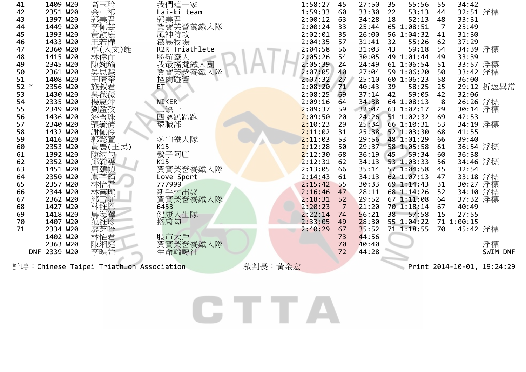| 41           | 1409 W20     | 高玉玲                                     | 我們這一家                      |         | 1:58:27 | 45 | 27:50 | 55:56<br>35    | 55             | 34:42                |                            |
|--------------|--------------|-----------------------------------------|----------------------------|---------|---------|----|-------|----------------|----------------|----------------------|----------------------------|
| 42           | 2351 W20     | 余亞祁                                     | Lai-ki team                |         | 1:59:33 | 60 | 33:30 | 22<br>53:13    | 44             | 32:51 浮標             |                            |
| 43           | 1397 W20     | 郭美君                                     | 郭美君                        |         | 2:00:12 | 63 | 34:28 | 52:13<br>18    | 48             | 33:31                |                            |
| 44           | 1449 W20     | 李佩芸                                     | 賀寶芙營養鐵人隊                   |         | 2:00:24 | 33 | 25:44 | 65 1:08:51     | $\overline{7}$ | 25:49                |                            |
| 45           | 1393 W20     | 黃麒庭                                     |                            |         | 2:02:01 | 35 | 26:00 | 56 1:04:32     | 41             | 31:30                |                            |
| 46           | 1433 W20     | 王若樺                                     | 風神特攻<br>鐵馬牧場               |         | 2:04:35 | 57 | 31:41 | 32<br>55:26    | 62             | 37:29                |                            |
| 47           | 2360 W20     | 卓(人文)能                                  | R2R Triathlete             |         | 2:04:58 | 56 | 31:03 | 59:18<br>43    | 54             | 34:39 浮標             |                            |
| 48           | 1415 W20     | 林倖而                                     | 勝航鐵人<br>我最搖擺鐵人團<br>賀美登養鐵人隊 |         | 2:05:26 | 54 | 30:05 | 49 1:01:44     | 49             | 33:39                |                            |
| 49           | 2345 W20     | 陳婉瑜                                     |                            |         | 2:05:39 | 24 | 24:49 | 61 1:06:54     | 51             | 33:57 浮標             |                            |
| 50           | 2361 W20     | [吳思慧<br>王晴蒂]                            |                            |         | 2:07:05 | 40 | 27:04 | 59 1:06:20     | 50             | 33:42 浮標             |                            |
| 51           | 1408 W20     |                                         | 控肉碰醬                       |         | 2:07:32 | 27 | 25:10 | 60 1:06:23     | 58             | 36:00                |                            |
| 52<br>$\ast$ | 2356 W20     | 施叔君                                     | ЕT                         |         | 2:08:20 | 71 | 40:43 | 39<br>58:25    | 25             |                      | 29:12 折返異常                 |
| 53           | 1430 W20     | 吳薇薇                                     |                            |         | 2:08:25 | 69 | 37:14 | 42<br>59:05    | 42             | 32:06                |                            |
| 54           | 2335 W20     | 楊惠萍                                     | <b>NIKER</b>               |         | 2:09:16 | 64 | 34:38 | 64 1:08:13     | 8              | 26:26 浮標             |                            |
| 55           | 2349 W20     | 劉盈孜                                     | 三缺一                        |         | 2:09:37 | 59 | 32:07 | 63 1:07:17     | 29             | 30:14 浮標             |                            |
| 56           | 1436 W20     | 游含珠                                     | 四處趴趴跑                      |         | 2:09:50 | 20 | 24:26 | 51 1:02:32     | 69             | 42:53                |                            |
| 57           | 2340 W20     |                                         | 環職部                        |         | 2:10:23 | 29 | 25:34 | 66 1:10:31     | 53             | 34:19 浮標             |                            |
| 58           | 1432 W20     | 張毓倩<br>謝佩伶                              |                            |         | 2:11:02 | 31 | 25:38 | 52 1:03:30     | 68             | 41:55                |                            |
| 59           | 1416 W20     | 郭懿萱                                     | 冬山鐵人隊                      |         | 2:11:03 | 53 | 29:56 | 48 1:01:29     | 66             | 39:40                |                            |
| 60           | 2353 W20     | 黃襄(王民)                                  | K15                        |         | 2:12:28 | 50 | 29:37 | 58 1:05:58     | 61             | 36:54 浮標             |                            |
| 61           | 1392 W20     | 陳綺勻                                     | 鬍子阿唐                       |         | 2:12:30 | 68 | 36:19 | $-59:34$<br>45 | 60             | 36:38                |                            |
| 62           | 2352 W20     | 邱筣雯                                     | K15                        |         | 2:12:31 | 62 | 34:13 | 53 1:03:33     | 56             | 34:46 浮標             |                            |
| 63           | 1451 W20     | 周頤幀                                     | 賀寶芙營養鐵人隊                   |         | 2:13:05 | 66 | 35:14 | 57 1:04:58     | 45             | 32:54                |                            |
| 64           | 2350 W20     | 盧芊荺                                     | Love Sport                 |         | 2:14:43 | 61 | 34:13 | 62 1:07:13     | 47             |                      |                            |
| 65           | 2357 W20     | 林怡君                                     | 777999                     |         | 2:15:42 | 55 | 30:33 | 69 1:14:43     | 31             | 33:18 浮標<br>30:27 浮標 |                            |
| 66           | 2344 W20     | 林靈瓏                                     | 新手村出發                      |         | 2:16:46 | 47 | 28:11 | 68 1:14:26     | 52             | 34:10                | 浮標                         |
| 67           | 2362 W20     | 鄭雪紅                                     | 賀寶芙營養鐵人隊                   |         | 2:18:31 | 52 | 29:52 | 67 1:11:08     | 64             | 37:32 浮標             |                            |
| 68           | 1427 W20     | 林維恩                                     | 6453                       |         | 2:20:23 | 7  | 21:20 | 70 1:18:14     | 67             | 40:49                |                            |
| 69           | 1418 W20     | 烏海譯                                     | 健康人生隊                      |         | 2:22:14 | 74 | 56:21 | 38<br>57:58    | 15             | 27:55                |                            |
| 70           | 1407 W20     | 范維珍                                     | 搭肩勾                        |         | 2:33:05 | 49 | 28:30 | 55 1:04:22     |                | 71 1:00:15           |                            |
| 71           | 2334 W20     | 廖芝吟                                     |                            |         | 2:40:29 | 67 | 35:52 | 71 1:18:55     | 70             | 45:42 浮標             |                            |
|              | 1402 W20     | 林怡君                                     | 股市大戶                       |         |         | 73 | 44:56 |                |                |                      |                            |
|              | 2363 W20     | 陳湘庭                                     | 賀寶芙營養鐵人隊                   |         |         | 70 | 40:40 |                |                |                      | 浮標                         |
|              | DNF 2339 W20 | 李映萱                                     | 生命輪轉社                      |         |         | 72 | 44:28 |                |                |                      | SWIM DNF                   |
|              |              |                                         |                            |         |         |    |       |                |                |                      |                            |
|              |              | 計時:Chinese Taipei Triathlon Association |                            | 裁判長:黃金宏 |         |    |       |                |                |                      | Print 2014-10-01, 19:24:29 |

CTTA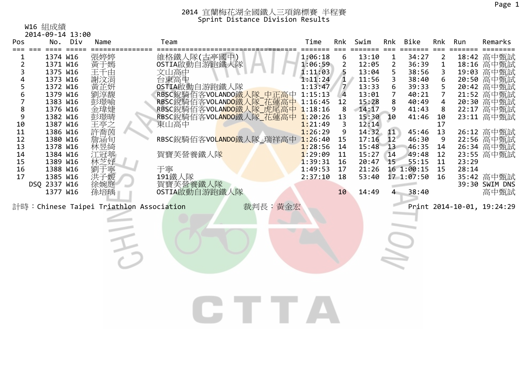W16 組成績

|                | 2014-09-14 13:00     |            |              |                                                |              |                |                |                         |                   |                |       |                                        |
|----------------|----------------------|------------|--------------|------------------------------------------------|--------------|----------------|----------------|-------------------------|-------------------|----------------|-------|----------------------------------------|
| Pos            |                      | No. Div    | Name         | Team                                           | Time         | Rnk            | Swim           | Rnk                     | Bike              | Rnk            | Run   | Remarks                                |
| ı              | 1374 W16             | ==== ===== | 張婷婷          | 維格鐵人隊(古亭國中)                                    | 1:06:18      | $===$<br>6     | 13:10          | $===$<br>$\mathbf{1}$   | 34:27             | $\overline{2}$ |       | 18:42 高中甄試                             |
| $\overline{2}$ | 1371 W16             |            |              | OSTIA啟動自游跑鐵人隊                                  | 1:06:59      | $\overline{2}$ | 12:05          | $\overline{2}$          | 36:39             | $\mathbf{1}$   |       | 18:16 高中甄試<br>19:03 高中甄試<br>20:50 高中甄試 |
| 3              | 1375 W16             |            | <b>黃于千水湯</b> |                                                | 1:11:03      | 5              | 13:04          | 5 <sub>5</sub>          | 38:56             | 3              |       |                                        |
| 4              | 1373 W16             |            |              | 文山高中<br>台東高中                                   | 1:11:24      | $\mathbf{1}$   | 11:56          | $\overline{\mathbf{3}}$ | 38:40             | 6              |       |                                        |
| 5              | 1372 W16             |            | 黃芷妍          | OSTIA啟動自游跑鐵人隊                                  | 1:13:47      | $\overline{7}$ | 13:33          | 6                       | 39:33             | 5              |       |                                        |
| 6              | 1379 W16             |            | 劉淳馥          | RBSC銳騎佰客VOLANDO鐵人隊 中正高中 1:15:13                |              | $\overline{4}$ | 13:01          | $\overline{7}$          | 40:21             | $\overline{7}$ |       | 21:52 高中甄試                             |
| $\overline{7}$ | 1383 W16             |            | 彭璟喻          | RBSC銳騎佰客VOLANDO鐵人隊 花蓮高中 1:16:45                |              | 12             | 15:28          | 8 <sup>8</sup>          | 40:49             | $\overline{4}$ |       | 20:30 高中甄試                             |
| 8              | 1376 W16             |            | 金瑋婕          | RBSC銳騎佰客VOLANDO鐵人隊 虎尾高中 1:18:16                |              | 8              | 14:17          | $^{\circ}$              | 41:43             | 8              |       | 22:17 高中甄試                             |
| 9              | 1382 W16             |            | 彭璟晴          | RBSC銳騎佰客VOL <mark>ANDO</mark> 鐵人隊_花蓮高中 1:20:26 |              | 13             | 15:30          | 10                      | 41:46             | 10             |       | 23:11 高中甄試                             |
| 10             | 1387 W16             |            |              | 東山高中                                           | 1:21:49      | 3              | 12:14          |                         |                   | 17             |       |                                        |
| 11             | 1386 W16             |            |              |                                                | 1:26:29      | 9              | 14:32 11       |                         | 45:46             | 13             |       | 26:12 高中甄試<br>22:56 高中甄試<br>26:34 高中甄試 |
| 12             | 1380 W16             |            |              | RBSC銳騎佰客VOLANDO鐵人隊_瑞祥高中 1:26:40                | 1:28:56      | 15             | 17:16          | 12 <sup>7</sup>         | 46:30<br>46:35 14 | 9              |       |                                        |
| 13<br>14       | 1378 W16<br>1384 W16 |            | 林昱綺<br>江冠葶   | 賀寶芙營養鐵人隊                                       | 1:29:09      | 14<br>11       | 15:48<br>15:27 | 13<br>14                | 49:48             | 12             |       | 23:55 高中甄試                             |
| 15             | 1389 W16             |            | 林芝妤          |                                                | $1:39:31$ 16 |                | 20:47          | 15                      | 55:15             | 11             | 23:29 |                                        |
| 16             | 1388 W16             |            | 劉于寧          | 于寧                                             | $1:49:53$ 17 |                | 21:26          |                         | 16 1:00:15        | 15             | 28:14 |                                        |
| 17             | 1385 W16             |            | 洪子媛          | 191鐵人隊                                         | 2:37:10      | 18             | 53:40          |                         | 17 1:07:50        | 16             |       | 35:42 高中甄試                             |
|                | DSQ 2337 W16         |            | 徐婉庭          | 賀寶芙營養鐵人隊                                       |              |                |                |                         |                   |                |       | 39:30 SWIM DNS                         |
|                | 1377 W16             |            | 孫培瑀          | OSTIA啟動自游跑鐵人隊                                  |              | 10             | 14:49          | $\overline{4}$          | 38:40             |                |       | 高中甄試                                   |
|                |                      |            |              |                                                |              |                |                |                         |                   |                |       |                                        |
|                |                      |            |              | 計時:Chinese Taipei Triathlon Association        | 裁判長:黃金宏      |                |                |                         |                   |                |       | Print 2014-10-01, 19:24:29             |
|                |                      |            |              |                                                |              |                |                |                         |                   |                |       |                                        |
|                |                      |            |              |                                                |              |                |                |                         |                   |                |       |                                        |
|                |                      |            |              |                                                |              |                |                |                         |                   |                |       |                                        |
|                |                      |            |              |                                                |              |                |                |                         |                   |                |       |                                        |
|                |                      |            |              | 手                                              |              |                |                | <b>U</b>                |                   |                |       |                                        |
|                |                      |            |              |                                                |              |                |                |                         |                   |                |       |                                        |
|                |                      |            |              |                                                |              |                |                |                         |                   |                |       |                                        |
|                |                      |            |              |                                                |              |                |                |                         |                   |                |       |                                        |
|                |                      |            |              |                                                |              |                |                |                         |                   |                |       |                                        |
|                |                      |            |              |                                                |              |                |                |                         |                   |                |       |                                        |
|                |                      |            |              |                                                |              |                |                |                         |                   |                |       |                                        |
|                |                      |            |              |                                                |              |                |                |                         |                   |                |       |                                        |
|                |                      |            |              |                                                |              |                |                |                         |                   |                |       |                                        |
|                |                      |            |              |                                                |              |                |                |                         |                   |                |       |                                        |
|                |                      |            |              |                                                |              |                |                |                         |                   |                |       |                                        |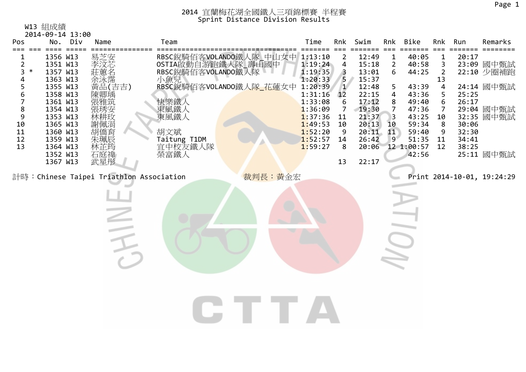W13 組成績

| Swim<br>Bike<br>Div<br>Team<br>Time<br>Rnk<br>Rnk<br>Run<br>Pos<br>No.<br>Name<br>Rnk<br>$== =$<br>$==$<br>$====$<br>$== == == ==$<br>RBSC銳騎佰客VOLANDO鐵人隊_中山女中 1:13:10<br>OSTIA啟動自游跑鐵人隊_壽山國中 1:19:24<br>RBSC銳騎佰客VOLANDO鐵人隊 1:19:35<br> 易李莊余黃陳張張  芝汶蕙泳品卿雅瑈  芝汶蕙泳品  糖筑空 <br>1356 W13<br>12:49<br>40:05<br>20:17<br>2<br>$\mathbf{1}$<br>1<br>$\overline{2}$<br>4<br>$\overline{2}$<br>3<br>1351 W13<br>1:19:24<br>15:18<br>40:58 | Remarks<br>23:09 國中甄試<br>22:10 少圈補跑<br>24:14 國中甄試 |
|-------------------------------------------------------------------------------------------------------------------------------------------------------------------------------------------------------------------------------------------------------------------------------------------------------------------------------------------------------------------------------------------------------------------------------|---------------------------------------------------|
|                                                                                                                                                                                                                                                                                                                                                                                                                               |                                                   |
|                                                                                                                                                                                                                                                                                                                                                                                                                               |                                                   |
| $\ast$<br>3<br>1357 W13<br>6<br>$\overline{2}$<br>3<br>13:01<br>44:25                                                                                                                                                                                                                                                                                                                                                         |                                                   |
| 小魚兒<br>1:20:33<br>5<br>1363 W13<br>15:37<br>13<br>4                                                                                                                                                                                                                                                                                                                                                                           |                                                   |
| 5<br>RBSC銳騎佰客VOLANDO鐵人隊 花蓮女中 1:20:39<br>$\mathbf{1}$<br>1355 W13<br>12:48<br>4<br>5<br>43:39<br>6<br>1358 W13<br>1:31:16<br>12<br>22:15<br>43:36<br>5<br>25:25<br>4                                                                                                                                                                                                                                                           |                                                   |
| 7<br>26:17<br>1361 W13<br>1:33:08<br>17:12<br>8<br>49:40<br>6<br>6                                                                                                                                                                                                                                                                                                                                                            |                                                   |
| 快樂鐵人<br>東風鐵人<br>東風鐵人<br>$\bf 8$<br>1354 W13<br>1:36:09<br>19:30<br>47:36<br>7<br>7<br>7<br>9<br>43:25<br>1353 W13<br>1:37:36<br>11<br>21:37<br>3<br>10                                                                                                                                                                                                                                                                        | 29:04 國中甄試<br>32:35 國中甄試                          |
| 59:34<br>10<br>1:49:53<br>20:13<br>1365 W13<br>8<br>30:06<br>10<br>10                                                                                                                                                                                                                                                                                                                                                         |                                                   |
| <b>、張林謝胡朱拉琇耕佩僑城城安政涓育辰慈</b><br>胡文斌<br>1:52:20<br>20:11<br>59:40<br>32:30<br>11<br>1360 W13<br>11<br>9<br>9                                                                                                                                                                                                                                                                                                                     |                                                   |
| 1:52:57<br>12<br>Taitung T1DM<br>26:42<br>9<br>51:35<br>34:41<br>1359 W13<br>14<br>11<br>林芷筠<br>宜中校友鐵人隊<br>13<br>1:59:27<br>38:25<br>1364 W13<br>8<br>20:06<br>12 1:00:57<br>12                                                                                                                                                                                                                                               |                                                   |
| 石庭禕<br>1352 W13<br>榮富鐵人<br>42:56                                                                                                                                                                                                                                                                                                                                                                                              | 25:11 國中甄試                                        |
| 武星彤<br>22:17<br>1367 W13<br>13                                                                                                                                                                                                                                                                                                                                                                                                |                                                   |
| 裁判長:黃金宏<br>計時:Chinese Taipei Triathlon Association<br>Print 2014-10-01, 19:24:29                                                                                                                                                                                                                                                                                                                                              |                                                   |
|                                                                                                                                                                                                                                                                                                                                                                                                                               |                                                   |
|                                                                                                                                                                                                                                                                                                                                                                                                                               |                                                   |
|                                                                                                                                                                                                                                                                                                                                                                                                                               |                                                   |
|                                                                                                                                                                                                                                                                                                                                                                                                                               |                                                   |
|                                                                                                                                                                                                                                                                                                                                                                                                                               |                                                   |
|                                                                                                                                                                                                                                                                                                                                                                                                                               |                                                   |
|                                                                                                                                                                                                                                                                                                                                                                                                                               |                                                   |
|                                                                                                                                                                                                                                                                                                                                                                                                                               |                                                   |
|                                                                                                                                                                                                                                                                                                                                                                                                                               |                                                   |
|                                                                                                                                                                                                                                                                                                                                                                                                                               |                                                   |
|                                                                                                                                                                                                                                                                                                                                                                                                                               |                                                   |
|                                                                                                                                                                                                                                                                                                                                                                                                                               |                                                   |
|                                                                                                                                                                                                                                                                                                                                                                                                                               |                                                   |
|                                                                                                                                                                                                                                                                                                                                                                                                                               |                                                   |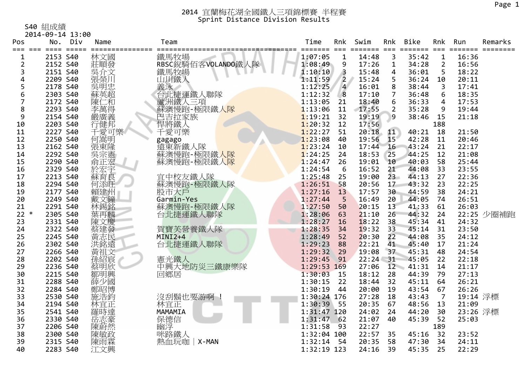S40 組成績

2014‐09‐14 13:00

| Pos                 | No.      | Div | Name       | Team                 | Time        | Rnk                     | Swim           | Rnk             | <b>Bike</b>      | Rnk                  | Run             | Remarks    |
|---------------------|----------|-----|------------|----------------------|-------------|-------------------------|----------------|-----------------|------------------|----------------------|-----------------|------------|
| ===<br>$= = =$<br>1 | 2153 S40 |     | 林文國        | ===========<br>鐵馬牧場  | 1:07:05     | 1                       | =====<br>14:48 | $==$<br>3       | =======<br>35:42 | $==$<br>$\mathbf{1}$ | ======<br>16:36 | ====       |
| $\overline{2}$      | 2152 S40 |     | 莊順發        | RBSC銳騎佰客VOLANDO鐵人隊   | 1:08:49     | 9                       | 17:26          | 1               | 34:28            | $\overline{2}$       | 16:56           |            |
| 3                   | 2151 S40 |     | 吳介文<br>張榮川 | 鐵馬牧場<br>. .          | 1:10:10     | $\overline{\mathbf{3}}$ | 15:48          | 4               | 36:01            | 5                    | 18:22           |            |
| 4                   | 2209 S40 |     |            | 山川鐵人                 | 1:11:59     | $\overline{2}$          | 15:24          | 5               | 36:24            | 10                   | 20:11           |            |
| 5                   | 2178 S40 |     | 吳明忠        | 義泳                   | 1:12:25     | $\overline{4}$          | 16:01          | 8               | 38:44            | $\overline{3}$       | 17:41           |            |
| 6                   | 2303 S40 |     | 蘇英超        | 台北捷運鐵人聯隊             | 1:12:32     | 8                       | 17:10          | 7               | 36:48            | 6                    | 18:35           |            |
| 7                   | 2172 S40 |     | 陳仁和        |                      | 1:13:05     | 21                      | 18:40          | 6               | 36:33            | 4                    | 17:53           |            |
| 8                   | 2293 S40 |     | 李萬得        | 蘆洲鐵人三項<br>蘇澳慢跑-極限鐵人隊 | 1:13:06     | 11                      | 17:55          | $\overline{2}$  | 35:28            | 9                    | 19:44           |            |
| 9                   | 2154 S40 |     | 嚴廣義        | 巴吉拉家族                | 1:19:21     | 32                      | 19:19          | 9               | 38:46            | 15                   | 21:18           |            |
| 10                  | 2203 S40 |     | 行健邦        | 悍將鐵人                 | 1:20:32     | 12                      | 17:56          |                 |                  | 188                  |                 |            |
| 11                  | 2227 S40 |     | 千愛可樂       | 千愛可樂                 | 1:22:27     | 51                      | 20:18          | 11              | 40:21            | 18                   | 21:50           |            |
| 12                  | 2250 S40 |     | 何暠明        | gagago               | 1:23:08     | 40                      | 19:56          | 15 <sup>1</sup> | 42:28            | 11                   | 20:46           |            |
| 13                  | 2162 S40 |     | 張東隆<br>吳宗憲 | 遠東新鐵人隊<br>蘇澳慢跑-極限鐵人隊 | 1:23:24     | 10                      | 17:44          | 16              | 43:24            | 21                   | 22:17           |            |
| 14                  | 2292 S40 |     |            |                      | 1:24:25     | 24                      | 18:53          | 25              | 44:25            | 12                   | 21:08           |            |
| 15                  | 2290 S40 |     | 俞正宏        | 蘇澳慢跑-極限鐵人隊           | 1:24:47     | 26                      | 19:01          | 10              | 40:03            | 58                   | 25:44           |            |
| 16                  | 2329 S40 |     | 於宏宇        |                      | 1:24:54     | 6                       | 16:52          | 21              | 44:08            | 33                   | 23:55           |            |
| 17                  | 2213 S40 |     | 蘇育良        | 宜中校友鐵人隊              | 1:25:48     | 25                      | 19:00          | $23 -$          | 44:13            | 27                   | 22:36           |            |
| 18                  | 2294 S40 |     | 何添旺        | 蘇澳慢跑-極限鐵人隊           | 1:26:51     | 58                      | 20:56          | 17              | 43:32            | 23                   | 22:25           |            |
| 19                  | 2177 S40 |     | 賴建州        | 股市大戶                 | 1:27:16     | 13                      | 17:57          | 30              | 44:59            | 38                   | 24:21           |            |
| 20                  | 2249 S40 |     | 戴文鐘        | Garmin-Yes           | 1:27:44     | 5                       | 16:49          | 20              | 44:05            | 74                   | 26:51           |            |
| 21                  | 2291 S40 |     | 林錫銘        | 蘇澳慢跑-極限鐵人隊           | 1:27:50     | 50                      | 20:15          | 13              | 41:33            | 61                   | 26:03           |            |
| 22<br>$\ast$        | 2305 S40 |     | 葉再麟        | 台北捷運鐵人聯隊             | 1:28:06     | 63                      | 21:10          | 26              | 44:32            | 24                   |                 | 22:25 少圈補跑 |
| 23                  | 2331 S40 |     | 陳文慶        |                      | 1:28:27     | 16                      | 18:22          | 38              | 45:34            | 41                   | 24:32           |            |
| 24                  | 2322 S40 |     | 蔡建發        | 賀寶芙營養鐵人隊             | 1:28:35     | 34                      | 19:32          | 33              | 45:14            | 31                   | 23:50           |            |
| 25                  | 2245 S40 |     | 黃志民<br>洪銘遠 | MINI2+4              | 1:28:49     | 52                      | 20:30          | 22              | 44:08            | 35                   | 24:12           |            |
| 26                  | 2302 S40 |     |            | 台北捷運鐵人聯隊             | 1:29:23     | 88                      | 22:21          | 41              | 45:40            | 17                   | 21:24           |            |
| 27                  | 2266 S40 |     | 黃祖文        |                      | 1:29:32     | 29                      | 19:08          | 37              | 45:31            | 48                   | 24:54           |            |
| 28                  | 2202 S40 |     | 孫紹宸        | 憲光鐵人                 | 1:29:45     | 91                      | $22:24$ 31     |                 | 45:05            | 22                   | 22:18           |            |
| 29                  | 2236 S40 |     | 蔡明欣        | 中興大地防災三鐵康樂隊          | 1:29:53 169 |                         | 27:06          | 12              | 41:31            | 14                   | 21:17           |            |
| 30                  | 2215 S40 |     | 鄒明興        | 回鄉居                  | 1:30:03     | 15                      | 18:12          | 28              | 44:39            | 79                   | 27:13           |            |
| 31                  | 2288 S40 |     | 薛少國        |                      | 1:30:15     | 22                      | 18:44          | 32              | 45:11            | 64                   | 26:21           |            |
| 32                  | 2284 S40 |     | 鄭昭博        |                      | 1:30:19     | 44                      | 20:00          | 19              | 43:54            | 67                   | 26:26           |            |
| 33                  | 2530 S40 |     | 施浩鈞        | 沒刮鬍也要游啊              | 1:30:24 176 |                         | 27:28          | 18              | 43:43            | $\overline{7}$       | 19:14 浮標        |            |
| 34                  | 2194 S40 |     | 林宜正        | 林宜正                  | 1:30:39     | 55                      | 20:35          | 67              | 48:56            | 13                   | 21:09           |            |
| 35                  | 2541 S40 |     | 羅時達        | MAMAMIA              | 1:31:47 120 |                         | 24:02          | 24              | 44:20            | 30                   | 23:26 浮標        |            |
| 36                  | 2330 S40 |     | 岳志豪        | 保德信                  | 1:31:47     | 62                      | 21:07          | 40              | 45:39            | 52                   | 25:03           |            |
| 37                  | 2206 S40 |     | 陳蔚然        | 幽浮                   | 1:31:58     | 93                      | 22:27          |                 |                  | 189                  |                 |            |
| 38                  | 2300 S40 |     | 陳敏政        | 咪路鐵人                 | 1:32:04 100 |                         | 22:57          | 35              | 45:16            | 32                   | 23:52           |            |
| 39                  | 2315 S40 |     | 陳雨霖        | 熱血玩咖<br>$\mid$ X-MAN | 1:32:14     | 54                      | 20:35          | 58              | 47:30            | 34                   | 24:11           |            |
| 40                  | 2283 S40 |     | 江文興        |                      | 1:32:19 123 |                         | 24:16          | 39              | 45:35            | 25                   | 22:29           |            |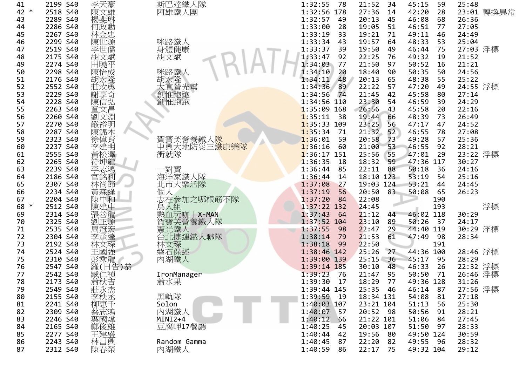| 41   | 2199 S40 | 李天豪                                                                     | 斯巴達鐵人隊                    | 1:32:55<br>-78 | 21:52<br>34   | 45:15<br>59 | 25:48      |
|------|----------|-------------------------------------------------------------------------|---------------------------|----------------|---------------|-------------|------------|
| 42 * | 2518 S40 | 陳文雄                                                                     | 阿雄鐵人團                     | 1:32:56 178    | 27:36<br>14   | 42:20<br>28 | 23:01 轉換異常 |
| 43   | 2289 S40 | 楊斐琳                                                                     |                           | 1:32:57<br>49  | 45<br>20:13   | 46:08<br>68 | 26:36      |
| 44   | 2286 S40 | 何政勳                                                                     |                           | 1:33:00<br>28  | 19:05<br>51   | 46:51<br>77 | 27:05      |
| 45   | 2267 S40 | 林金忠                                                                     |                           | 1:33:19<br>33  | 19:21<br>71   | 49:11<br>46 | 24:49      |
| 46   | 2299 S40 | 陳世源                                                                     | 咪路鐵人                      | 1:33:34<br>43  | 19:57<br>64   | 48:33<br>53 | 25:04      |
| 47   | 2519 S40 | 李世儒                                                                     | 身體健康                      | 1:33:37<br>39  | 19:50<br>49   | 46:44<br>75 | 27:03 浮標   |
| 48   | 2175 S40 | 胡文斌                                                                     | 胡文斌                       | 1:33:47<br>92  | 22:25<br>76   | 49:32<br>19 | 21:52      |
| 49   | 2274 S40 | 田曉平                                                                     |                           | 77<br>1:34:03  | 21:50<br>97   | 50:52<br>16 | 21:21      |
| 50   | 2298 S40 | 陳怡成                                                                     | 咪路鐵人                      | 1:34:10<br>20  | 18:40<br>90   | 50:35<br>50 | 24:56      |
| 51   | 2176 S40 | 胡宏隆                                                                     | 胡宏隆                       | 48<br>1:34:11  | 65<br>20:13   | 48:38<br>55 | 25:22      |
| 52   | 2552 S40 | 莊汝勇                                                                     | 大直營光幫                     | 89<br>1:34:36  | 22:22<br>57   | 47:20<br>49 | 24:55 浮標   |
| 53   | 2229 S40 | 謝享奇                                                                     | 創惟跑跑                      | 1:34:56<br>74  | 42<br>21:45   | 45:58<br>80 | 27:14      |
| 54   | 2228 S40 |                                                                         |                           | 1:34:56 110    | 23:30<br>54   | 46:59<br>39 | 24:29      |
|      |          | 陳信弘                                                                     | 創惟跑跑                      |                |               |             |            |
| 55   | 2263 S40 | 童文昌                                                                     |                           | $1:35:09$ 168  | 43<br>26:56   | 45:58<br>20 | 22:16      |
| 56   | 2260 S40 | 劉文淵                                                                     |                           | 1:35:11<br>-38 | 19:44<br>66   | 48:39<br>73 | 26:49      |
| 57   | 2270 S40 | 嚴裕明                                                                     |                           | $1:35:33$ 109  | 23:25<br>56   | 47:17<br>47 | 24:52      |
| 58   | 2287 S40 | 陳錦木                                                                     |                           | 1:35:34<br>71  | 21:32<br>52   | 46:55<br>78 | 27:08      |
| 59   | 2323 S40 | 徐偉育                                                                     | 賀寶芙營養鐵人 <mark>隊</mark>    | 1:36:01<br>59  | 20:58<br>73   | 49:28<br>57 | 25:36      |
| 60   | 2237 S40 | 李建明                                                                     | 中興大地防災三 <mark>鐵康樂隊</mark> | 1:36:16<br>60  | 53<br>21:00   | 46:55<br>92 | 28:21      |
| 61   | 2555 S40 | 黃松澤                                                                     | 衝就隊                       | $1:36:17$ 151  | 25:56<br>55   | 47:01<br>29 | 23:22 浮標   |
| 62   | 2265 S40 | 符坤龍                                                                     |                           | 1:36:35<br>18  | 18:32<br>59   | 47:36 117   | 30:27      |
| 63   | 2239 S40 | 李志鴻                                                                     | 一對寶                       | 1:36:44<br>85  | 22:11<br>88   | 50:18<br>36 | 24:16      |
| 64   | 2186 S40 | 官銘利                                                                     | 海洋家鐵人隊                    | 1:36:44<br>14  | 18:10 123     | 53:19<br>54 | 25:16      |
| 65   | 2307 S40 | 林尚節                                                                     | 北市大樂活隊                    | 1:37:08<br>27  | 19:03 124     | 53:21<br>44 | 24:45      |
| 66   | 2234 S40 | 黃森逢                                                                     | 個                         | 1:37:19<br>56  | 83<br>20:50   | 50:08<br>65 | 26:23      |
| 67   | 2204 S40 | 陳中和                                                                     | 志在参加之哪根筋不隊                | 1:37:20<br>84  | 22:08         | 190         |            |
| 68 * | 2512 S40 | 陳建中                                                                     | 鳥人組                       | 1:37:22 132    | 24:45         | 193         | 浮標         |
| 69   | 2314 S40 | 張善龍                                                                     | 熱血玩咖   X-MAN              | 1:37:43<br>64  | 21:12<br>44   | 46:02 118   | 30:29      |
| 70   | 2325 S40 | 劉正源                                                                     | 賀寶芙營養鐵人隊                  | $1:37:52$ 104  | 23:10<br>89   | 50:26<br>37 | 24:17      |
| 71   | 2535 S40 | 周冠宏                                                                     | 憲光鐵人                      | 1:37:55<br>98  | 22:47<br>29   | 44:40 119   | 30:29 浮標   |
| 72   | 2304 S40 | 李承達                                                                     | 台北捷運鐵人聯隊                  | 1:38:14<br>79  | 21:53<br>61   | 47:49<br>98 | 28:34      |
| 73   | 2192 S40 | 林文琛                                                                     | 林文琛                       | 1:38:18<br>99  | 22:50         | 191         |            |
| 74   | 2524 S40 | 王國強                                                                     | 磐石保經                      | 1:38:46 142    | 25:26<br>27   | 44:36 100   | 28:46 浮標   |
| 75   | 2310 S40 | 彭乘龍                                                                     | 內湖鐵人                      | 1:39:00 139    | $25:15$ 36    | 45:17<br>95 | 28:29      |
| 76   | 2547 S40 | 羅(日告)恭                                                                  |                           | 1:39:14 185    | 48<br>30:10   | 26<br>46:33 | 22:32 浮標   |
| 77   | 2542 S40 |                                                                         |                           | 1:39:23<br>76  | 95<br>21:47   | 71          |            |
|      |          | 臧仁禎                                                                     | IronManager               |                | 77            | 50:50       | 26:46 浮標   |
| 78   | 2173 S40 | 《蕭莊永秩》<br>「<br><br><br><br><br><br><br><br><br><br><br><br><br><br><br> | 蕭水果                       | 1:39:30<br>17  | 18:29         | 49:36 128   | 31:26      |
| 79   | 2549 S40 |                                                                         |                           | 1:39:44 145    | 25:35<br>- 46 | 46:14<br>87 | 27:56 浮標   |
| 80   | 2155 S40 |                                                                         | 黑軌隊                       | 1:39:59 19     | 18:34 131     | 54:08<br>81 | 27:18      |
| 81   | 2241 S40 |                                                                         | Solon                     | 1:40:03 107    | 23:21 104     | 51:13<br>56 | 25:30      |
| 82   | 2309 S40 |                                                                         | 內湖鐵人                      | 1:40:07<br>57  | 20:52 98      | 50:56<br>91 | 28:21      |
| 83   | 2246 S40 | ·柳蔡志鸿<br>葉<br>葉<br>葉<br>葉<br>葉                                          | MINI2+4                   | 1:40:12<br>66  | 21:22 101     | 51:06<br>84 | 27:45      |
| 84   | 2165 S40 | 鄭俊雄                                                                     | 豆腐岬17餐廳                   | 1:40:25<br>45  | 20:03 107     | 51:50<br>97 | 28:33      |
| 85   | 2277 S40 | 王建盛                                                                     |                           | 1:40:44<br>42  | 19:56<br>-80  | 49:50 124   | 30:59      |
| 86   | 2243 S40 | 林昌興                                                                     | Random Gamma              | 1:40:45<br>87  | 22:20<br>82   | 49:55<br>96 | 28:32      |
| 87   | 2312 S40 | 陳春榮                                                                     | 內湖鐵人                      | 1:40:59<br>86  | 22:17<br>75   | 49:32 104   | 29:12      |
|      |          |                                                                         |                           |                |               |             |            |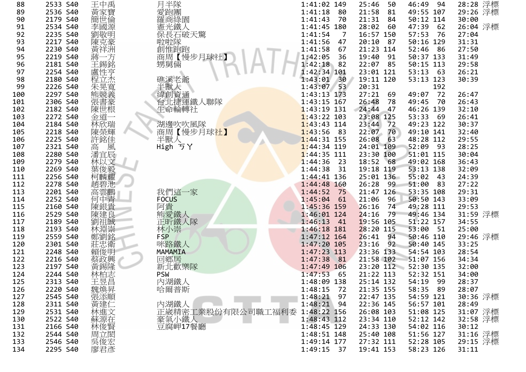| 88  | 2533 S40 | 王中禹                      | 月半隊                            | 1:41:02 149               | 25:46<br>50    | 46:49 94            | 28:28 浮標 |
|-----|----------|--------------------------|--------------------------------|---------------------------|----------------|---------------------|----------|
| 89  | 2536 S40 | 黃家寶                      | 愛跑團<br>羅商綠園                    | $1:41:18$ 80              | 21:58<br>81    | 49:55 107           | 29:26 浮標 |
| 90  | 2179 S40 | 簡世倫                      |                                | 1:41:43<br>- 70           | 21:31 84       | 50:12 114           | 30:00    |
| 91  | 2534 S40 | 李國源                      | 憲光鐵人                           | 1:41:45 180               | 28:02 60       | 47:39<br>62         | 26:04 浮標 |
| 92  | 2235 S40 | 劉敬明                      | 保長石破天驚                         | 1:41:54<br>$\overline{7}$ | 16:57 150      | 57:53<br>- 76       | 27:04    |
| 93  | 2217 S40 | 陳克豪                      |                                | 1:41:56<br>47             | 20:10 87       | 50:16 129           | 31:31    |
| 94  | 2230 S40 | 黃祥洲                      |                                | 1:41:58<br>67             | 21:23 114      | 52:46<br>86         | 27:50    |
| 95  | 2219 S40 | 蔣一方                      | 啦啦隊<br>創惟跑跑<br><u>肩【慢步月球社】</u> | 1:42:05<br>36             | 19:40 91       | 50:37 133           | 31:49    |
| 96  | 2181 S40 | 王錫銘                      | 甥舅倆                            | $1:42:18$ 82              | 22:07 85       | 50:15 113           | 29:58    |
| 97  | 2254 S40 | 盧性亨                      |                                | 1:42:34 101               | 23:01 121      | 53:13<br>- 63       | 26:21    |
| 98  | 2180 S40 | 程立杰                      | 礁溪老爺                           | $1:43:01$ 30              | 19:11 120      | 53:13 123           | 30:39    |
| 99  | 2226 S40 | 朱晃寬                      | 半獸人                            | 1:43:07 53                | 20:31          | 192                 |          |
| 100 | 2297 S40 | 熊競義                      | 緯創資通                           | 1:43:13 173               | $27:21$ 69     | 49:07 72            | 26:47    |
| 101 | 2306 S40 | 張書豪<br>陳世根               | 台北捷運鐵人聯隊                       | 1:43:15 167               | 26:48<br>78    | 70<br>49:45         | 26:43    |
| 102 | 2182 S40 |                          | 生命輪轉社                          | $1:43:19$ 131             | 24:44<br>$-47$ | 46:26 139           | 32:10    |
| 103 | 2272 S40 | 金道一                      |                                | $1:43:22$ 103             | 23:08 125      | 53:33<br>69         | 26:41    |
| 104 | 2184 S40 | 林欣瑞                      | 湖邊吹吹風隊                         | $1:43:43$ 114             | 23:44 72       | 49:23 122           | 30:37    |
| 105 | 2218 S40 | 陳榮輝                      | 商周【慢步月球社】                      | $1:43:56$ 83              | 22:07 70       | 49:10 141           | 32:40    |
| 106 | 2225 S40 | 許銘佳                      | 半獸人                            | $1:44:31$ 155             | 26:08<br>63    | 48:28 112           | 29:55    |
| 107 | 2321 S40 | 高<br>風                   | High ゔY                        | $1:44:34$ 119             | 24:01 109      | 52:09<br>93         | 28:25    |
| 108 | 2280 S40 | 潘宜辰                      |                                | $1:44:35$ 111             | 23:30 100      | 51:01 115           | 30:04    |
| 109 | 2279 S40 |                          |                                | $1:44:36$ 23              | 18:52 68       | 49:02 168           | 36:43    |
| 110 | 2269 S40 | 林以文<br>葉俊毅               |                                | 1:44:38<br>31             | 19:18 119      | 53:13 138           | 32:09    |
| 111 | 2256 S40 | 柯麟耀                      |                                | $1:44:41$ 136             | 25:01 136      | 55:02 43            | 24:39    |
| 112 | 2278 S40 | 趙碧池                      |                                | $1:44:48$ 160             | 26:28 99       | 51:00<br>83         | 27:22    |
| 113 | 2201 S40 | 高雲鵬                      | 我們這一家                          | $1:44:52$ 75              | 21:47 126      | 53:35 108           | 29:31    |
| 114 | 2252 S40 | 何中青                      | <b>FOCUS</b>                   | $1:45:04$ 61              | 21:06<br>96    | 50:50 143           | 33:09    |
| 115 | 2160 S40 | 陳銀貴                      | 阿貴                             | 1:45:36 159               | 26:16<br>74    | 49:28 111           | 29:53    |
| 116 | 2529 S40 | 陳建良                      |                                | 1:46:01 124               | 24:16<br>79    | 49:46 134           | 31:59 浮標 |
| 117 | 2189 S40 |                          | 熊愛鐵人<br>正昕鐵人隊                  | $1:46:13$ 41              | 19:56 105      | 51:22 157           | 34:55    |
| 118 | 2193 S40 | 劉祖誠崇                     | 林小崇                            | $1:46:18$ 181             | 28:20 115      | 53:00 51            | 25:00    |
| 119 | 2559 S40 | 鄭劉銘<br>莊忠衛               | <b>FSP</b>                     | $1:47:12$ 164             | 94<br>26:41    | 50:46 110           | 29:46 浮標 |
| 120 | 2301 S40 |                          | 咪路鐵人                           | $1:47:20$ 105             | $23:16$ 92     | 50:40 145           | 33:25    |
| 121 | 2248 S40 | 賴俊明                      | MAMAMIA                        | 1:47:23 113               | 23:36 133      | 54:54 103           | 28:54    |
| 122 | 2216 S40 | 蔡政興<br>黄錫隆               | 回鄉居                            | $1:47:38$ 81              | 21:58 102      | 51:07 156           | 34:34    |
| 123 | 2197 S40 |                          | 新北歡樂隊                          | 1:47:49 106               |                | 23:20 112 52:30 135 | 32:00    |
| 124 | 2244 S40 | 林柏志                      | <b>PSW</b>                     | $1:47:53$ 65              | 21:22 113      | 52:32 151           | 34:00    |
| 125 | 2313 S40 | 王昱昌                      | 内湖鐵人                           | 1:48:09 138               | 25:14 132      | 54:19 99            | 28:37    |
| 126 | 2220 S40 |                          | 哈爾普斯                           | 1:48:15<br>- 72           | 21:35 155      | 58:35 89            | 28:07    |
| 127 | 2545 S40 |                          |                                | $1:48:21$ 97              | 22:47 135      | 54:59 121           | 30:36 浮標 |
| 128 | 2311 S40 |                          | 內湖鐵人                           | $1:48:21$ 94              | 22:36 145      | 56:57 101           | 28:49    |
| 129 | 2531 S40 | 魏張黃林蘇林周‼ <br> 韓国の国語の「国民」 | 正崴精密工業股份有限公司職工福利委              | 1:48:22 156               | 26:08 103      | 51:08 125           | 31:07 浮標 |
| 130 | 2522 S40 |                          | 豪氣小鐵人                          | 1:48:43 112               | 23:34 110      | 52:12 142           | 32:58 浮標 |
| 131 | 2166 S40 |                          | 豆腐岬17餐廳                        | $1:48:45$ 129             | 24:33 130      | 54:02 116           | 30:12    |
| 132 | 2544 S40 |                          |                                | 1:48:51 148               | 25:40 108      | 51:56 127           | 31:16 浮標 |
| 133 | 2546 S40 | ;吴俊宏<br>廖君彥              |                                | 1:49:14 177               | 27:32 111      | 52:28 105           | 29:15 浮標 |
| 134 | 2295 S40 |                          |                                | $1:49:15$ 37              | 19:41 153      | 58:23 126           | 31:11    |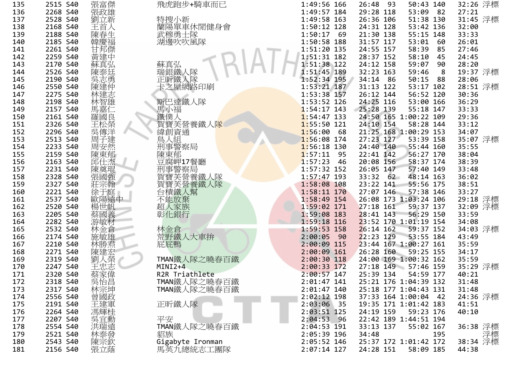| 136<br>2268<br>張政雄<br>S40<br>137<br>2528<br>特搜小新<br>S40<br>劉立新<br>蘭陽單車<br>138<br>2168<br>S40<br>139<br>武穆勇士<br>2188<br>S40<br>陳春<br>韓慶福<br>湖邊吹吹<br>140<br>2185<br><b>S40</b><br>141<br>2261<br>S40<br>邦傑<br>142<br>2259 S40<br>黃建中<br>143<br>蘇真弘<br>2170 S40<br>蘇真弘<br>瑞銀鐵人<br>144<br>陳泰廷<br>2526 S40<br>吳志勇<br>145<br>2190 S40<br>正昕鐵人<br>卡之屋網<br>146<br>陳建仲<br>2550 S40<br>147<br>2275 S40<br>林建志<br>148<br>林智雄<br>斯巴達鐵<br>2198 S40<br>149<br>2157<br>S40<br>馬嘉<br>馬小福<br>鐵僕<br>150<br>羅國良<br>2161 S40<br>松榮<br>賀寶芙營<br>151<br>2326 S40<br>吳傳洋<br>152<br>2296 S40<br>緯創資通<br>153<br>2513 S40<br>組<br>周<br>建<br>刑事警察<br>154<br>2233 S40<br>周安然<br>155<br>2159 S40<br>陳東郁<br>陳東郁<br>156<br>邱什<br>2163 S40<br>腐岬17<br>157<br>2231 S40<br>陳奠琨<br>158<br>2328 S40<br>張國強<br>159<br>營<br>2327<br>S40<br>宗翰<br>寶<br>160<br>2221<br>S40<br>台積鐵<br>妊<br>161<br>2537<br>歐陽遠中<br>S40<br>不能放棄<br>162<br>2520 S40<br>楊世帆<br>超人<br>163<br>2205 S40<br>蔡國義<br>彰化銀行<br>164<br>2282 S40<br>游敏材<br>165<br>2532 S40<br>林金倉<br>林<br>金<br>166<br>荒野鐵人<br>2174 S40<br>施敏雄<br>167<br>林勝<br>2210 S40<br>屁屁鴨<br>168<br>2271 S40<br>陳建<br>TMAN鐵人<br>169<br>2319 S40<br>170<br>2247<br>S40<br>MINI2+4<br>171<br>2320<br>S40<br>₹偉<br>R2R Tria<br>172<br>2318 S40<br>吳怡昌<br>TMAN鐵人<br>林宗坤<br>173<br>2317 S40<br>TMAN鐵人<br>曾國政<br>174<br>2556 S40<br>正昕鐵人<br>175<br>2191 S40<br>王建軍<br>馮輝桂<br>176<br>2264 S40<br>吳官動<br>177<br>平安<br>2207 S40<br>洪瑞遠<br>178<br>2554 S40<br>貂族<br>179<br>2521 S40<br>林泰發<br>2543 S40<br>陳宗欽<br>180<br>181<br>2156<br>S40<br>張立蔭 | 135 | 2515 S40 | 張富傑 | 飛虎跑步     |
|-------------------------------------------------------------------------------------------------------------------------------------------------------------------------------------------------------------------------------------------------------------------------------------------------------------------------------------------------------------------------------------------------------------------------------------------------------------------------------------------------------------------------------------------------------------------------------------------------------------------------------------------------------------------------------------------------------------------------------------------------------------------------------------------------------------------------------------------------------------------------------------------------------------------------------------------------------------------------------------------------------------------------------------------------------------------------------------------------------------------------------------------------------------------------------------------------------------------------------------------------------------------------------------------------------------------------------------------------------------------------------------------------------------------------------------------------------------------------------------------------------------------------------------|-----|----------|-----|----------|
|                                                                                                                                                                                                                                                                                                                                                                                                                                                                                                                                                                                                                                                                                                                                                                                                                                                                                                                                                                                                                                                                                                                                                                                                                                                                                                                                                                                                                                                                                                                                     |     |          |     |          |
|                                                                                                                                                                                                                                                                                                                                                                                                                                                                                                                                                                                                                                                                                                                                                                                                                                                                                                                                                                                                                                                                                                                                                                                                                                                                                                                                                                                                                                                                                                                                     |     |          |     |          |
|                                                                                                                                                                                                                                                                                                                                                                                                                                                                                                                                                                                                                                                                                                                                                                                                                                                                                                                                                                                                                                                                                                                                                                                                                                                                                                                                                                                                                                                                                                                                     |     |          |     |          |
|                                                                                                                                                                                                                                                                                                                                                                                                                                                                                                                                                                                                                                                                                                                                                                                                                                                                                                                                                                                                                                                                                                                                                                                                                                                                                                                                                                                                                                                                                                                                     |     |          |     |          |
|                                                                                                                                                                                                                                                                                                                                                                                                                                                                                                                                                                                                                                                                                                                                                                                                                                                                                                                                                                                                                                                                                                                                                                                                                                                                                                                                                                                                                                                                                                                                     |     |          |     |          |
|                                                                                                                                                                                                                                                                                                                                                                                                                                                                                                                                                                                                                                                                                                                                                                                                                                                                                                                                                                                                                                                                                                                                                                                                                                                                                                                                                                                                                                                                                                                                     |     |          |     |          |
|                                                                                                                                                                                                                                                                                                                                                                                                                                                                                                                                                                                                                                                                                                                                                                                                                                                                                                                                                                                                                                                                                                                                                                                                                                                                                                                                                                                                                                                                                                                                     |     |          |     |          |
|                                                                                                                                                                                                                                                                                                                                                                                                                                                                                                                                                                                                                                                                                                                                                                                                                                                                                                                                                                                                                                                                                                                                                                                                                                                                                                                                                                                                                                                                                                                                     |     |          |     |          |
|                                                                                                                                                                                                                                                                                                                                                                                                                                                                                                                                                                                                                                                                                                                                                                                                                                                                                                                                                                                                                                                                                                                                                                                                                                                                                                                                                                                                                                                                                                                                     |     |          |     |          |
|                                                                                                                                                                                                                                                                                                                                                                                                                                                                                                                                                                                                                                                                                                                                                                                                                                                                                                                                                                                                                                                                                                                                                                                                                                                                                                                                                                                                                                                                                                                                     |     |          |     |          |
|                                                                                                                                                                                                                                                                                                                                                                                                                                                                                                                                                                                                                                                                                                                                                                                                                                                                                                                                                                                                                                                                                                                                                                                                                                                                                                                                                                                                                                                                                                                                     |     |          |     |          |
|                                                                                                                                                                                                                                                                                                                                                                                                                                                                                                                                                                                                                                                                                                                                                                                                                                                                                                                                                                                                                                                                                                                                                                                                                                                                                                                                                                                                                                                                                                                                     |     |          |     |          |
|                                                                                                                                                                                                                                                                                                                                                                                                                                                                                                                                                                                                                                                                                                                                                                                                                                                                                                                                                                                                                                                                                                                                                                                                                                                                                                                                                                                                                                                                                                                                     |     |          |     |          |
|                                                                                                                                                                                                                                                                                                                                                                                                                                                                                                                                                                                                                                                                                                                                                                                                                                                                                                                                                                                                                                                                                                                                                                                                                                                                                                                                                                                                                                                                                                                                     |     |          |     |          |
|                                                                                                                                                                                                                                                                                                                                                                                                                                                                                                                                                                                                                                                                                                                                                                                                                                                                                                                                                                                                                                                                                                                                                                                                                                                                                                                                                                                                                                                                                                                                     |     |          |     |          |
|                                                                                                                                                                                                                                                                                                                                                                                                                                                                                                                                                                                                                                                                                                                                                                                                                                                                                                                                                                                                                                                                                                                                                                                                                                                                                                                                                                                                                                                                                                                                     |     |          |     |          |
|                                                                                                                                                                                                                                                                                                                                                                                                                                                                                                                                                                                                                                                                                                                                                                                                                                                                                                                                                                                                                                                                                                                                                                                                                                                                                                                                                                                                                                                                                                                                     |     |          |     |          |
|                                                                                                                                                                                                                                                                                                                                                                                                                                                                                                                                                                                                                                                                                                                                                                                                                                                                                                                                                                                                                                                                                                                                                                                                                                                                                                                                                                                                                                                                                                                                     |     |          |     |          |
|                                                                                                                                                                                                                                                                                                                                                                                                                                                                                                                                                                                                                                                                                                                                                                                                                                                                                                                                                                                                                                                                                                                                                                                                                                                                                                                                                                                                                                                                                                                                     |     |          |     |          |
|                                                                                                                                                                                                                                                                                                                                                                                                                                                                                                                                                                                                                                                                                                                                                                                                                                                                                                                                                                                                                                                                                                                                                                                                                                                                                                                                                                                                                                                                                                                                     |     |          |     |          |
|                                                                                                                                                                                                                                                                                                                                                                                                                                                                                                                                                                                                                                                                                                                                                                                                                                                                                                                                                                                                                                                                                                                                                                                                                                                                                                                                                                                                                                                                                                                                     |     |          |     |          |
|                                                                                                                                                                                                                                                                                                                                                                                                                                                                                                                                                                                                                                                                                                                                                                                                                                                                                                                                                                                                                                                                                                                                                                                                                                                                                                                                                                                                                                                                                                                                     |     |          |     |          |
|                                                                                                                                                                                                                                                                                                                                                                                                                                                                                                                                                                                                                                                                                                                                                                                                                                                                                                                                                                                                                                                                                                                                                                                                                                                                                                                                                                                                                                                                                                                                     |     |          |     |          |
|                                                                                                                                                                                                                                                                                                                                                                                                                                                                                                                                                                                                                                                                                                                                                                                                                                                                                                                                                                                                                                                                                                                                                                                                                                                                                                                                                                                                                                                                                                                                     |     |          |     |          |
|                                                                                                                                                                                                                                                                                                                                                                                                                                                                                                                                                                                                                                                                                                                                                                                                                                                                                                                                                                                                                                                                                                                                                                                                                                                                                                                                                                                                                                                                                                                                     |     |          |     |          |
|                                                                                                                                                                                                                                                                                                                                                                                                                                                                                                                                                                                                                                                                                                                                                                                                                                                                                                                                                                                                                                                                                                                                                                                                                                                                                                                                                                                                                                                                                                                                     |     |          |     |          |
|                                                                                                                                                                                                                                                                                                                                                                                                                                                                                                                                                                                                                                                                                                                                                                                                                                                                                                                                                                                                                                                                                                                                                                                                                                                                                                                                                                                                                                                                                                                                     |     |          |     | 、家族      |
|                                                                                                                                                                                                                                                                                                                                                                                                                                                                                                                                                                                                                                                                                                                                                                                                                                                                                                                                                                                                                                                                                                                                                                                                                                                                                                                                                                                                                                                                                                                                     |     |          |     |          |
|                                                                                                                                                                                                                                                                                                                                                                                                                                                                                                                                                                                                                                                                                                                                                                                                                                                                                                                                                                                                                                                                                                                                                                                                                                                                                                                                                                                                                                                                                                                                     |     |          |     |          |
|                                                                                                                                                                                                                                                                                                                                                                                                                                                                                                                                                                                                                                                                                                                                                                                                                                                                                                                                                                                                                                                                                                                                                                                                                                                                                                                                                                                                                                                                                                                                     |     |          |     |          |
|                                                                                                                                                                                                                                                                                                                                                                                                                                                                                                                                                                                                                                                                                                                                                                                                                                                                                                                                                                                                                                                                                                                                                                                                                                                                                                                                                                                                                                                                                                                                     |     |          |     |          |
|                                                                                                                                                                                                                                                                                                                                                                                                                                                                                                                                                                                                                                                                                                                                                                                                                                                                                                                                                                                                                                                                                                                                                                                                                                                                                                                                                                                                                                                                                                                                     |     |          |     |          |
|                                                                                                                                                                                                                                                                                                                                                                                                                                                                                                                                                                                                                                                                                                                                                                                                                                                                                                                                                                                                                                                                                                                                                                                                                                                                                                                                                                                                                                                                                                                                     |     |          |     |          |
|                                                                                                                                                                                                                                                                                                                                                                                                                                                                                                                                                                                                                                                                                                                                                                                                                                                                                                                                                                                                                                                                                                                                                                                                                                                                                                                                                                                                                                                                                                                                     |     |          |     |          |
|                                                                                                                                                                                                                                                                                                                                                                                                                                                                                                                                                                                                                                                                                                                                                                                                                                                                                                                                                                                                                                                                                                                                                                                                                                                                                                                                                                                                                                                                                                                                     |     |          |     |          |
|                                                                                                                                                                                                                                                                                                                                                                                                                                                                                                                                                                                                                                                                                                                                                                                                                                                                                                                                                                                                                                                                                                                                                                                                                                                                                                                                                                                                                                                                                                                                     |     |          |     |          |
|                                                                                                                                                                                                                                                                                                                                                                                                                                                                                                                                                                                                                                                                                                                                                                                                                                                                                                                                                                                                                                                                                                                                                                                                                                                                                                                                                                                                                                                                                                                                     |     |          |     |          |
|                                                                                                                                                                                                                                                                                                                                                                                                                                                                                                                                                                                                                                                                                                                                                                                                                                                                                                                                                                                                                                                                                                                                                                                                                                                                                                                                                                                                                                                                                                                                     |     |          |     |          |
|                                                                                                                                                                                                                                                                                                                                                                                                                                                                                                                                                                                                                                                                                                                                                                                                                                                                                                                                                                                                                                                                                                                                                                                                                                                                                                                                                                                                                                                                                                                                     |     |          |     |          |
|                                                                                                                                                                                                                                                                                                                                                                                                                                                                                                                                                                                                                                                                                                                                                                                                                                                                                                                                                                                                                                                                                                                                                                                                                                                                                                                                                                                                                                                                                                                                     |     |          |     |          |
|                                                                                                                                                                                                                                                                                                                                                                                                                                                                                                                                                                                                                                                                                                                                                                                                                                                                                                                                                                                                                                                                                                                                                                                                                                                                                                                                                                                                                                                                                                                                     |     |          |     |          |
|                                                                                                                                                                                                                                                                                                                                                                                                                                                                                                                                                                                                                                                                                                                                                                                                                                                                                                                                                                                                                                                                                                                                                                                                                                                                                                                                                                                                                                                                                                                                     |     |          |     |          |
|                                                                                                                                                                                                                                                                                                                                                                                                                                                                                                                                                                                                                                                                                                                                                                                                                                                                                                                                                                                                                                                                                                                                                                                                                                                                                                                                                                                                                                                                                                                                     |     |          |     | TMAN鐵人   |
|                                                                                                                                                                                                                                                                                                                                                                                                                                                                                                                                                                                                                                                                                                                                                                                                                                                                                                                                                                                                                                                                                                                                                                                                                                                                                                                                                                                                                                                                                                                                     |     |          |     |          |
|                                                                                                                                                                                                                                                                                                                                                                                                                                                                                                                                                                                                                                                                                                                                                                                                                                                                                                                                                                                                                                                                                                                                                                                                                                                                                                                                                                                                                                                                                                                                     |     |          |     | Gigabyte |
|                                                                                                                                                                                                                                                                                                                                                                                                                                                                                                                                                                                                                                                                                                                                                                                                                                                                                                                                                                                                                                                                                                                                                                                                                                                                                                                                                                                                                                                                                                                                     |     |          |     | 馬英九總     |

| 5 | 2515 S40                  | 張富傑                  | 飛虎跑步+騎車而已                           | 1:49:56 166   |      | 26:48       | - 93 | 50:43 140             |        |
|---|---------------------------|----------------------|-------------------------------------|---------------|------|-------------|------|-----------------------|--------|
| 6 | 2268 S40                  | 張政雄                  |                                     | 1:49:57 184   |      | 29:28 118   |      | 53:09                 | - 82   |
| 7 | 2528 S40                  | 劉立新                  | 特搜小新                                | $1:49:58$ 163 |      | 26:36 106   |      | 51:38 130             |        |
| 8 | 2168 S40                  | 王首人                  | 蘭陽單車休閒健身會                           | 1:50:12 128   |      | 24:31 128   |      | 53:42 136             |        |
| 9 | 2188 S40                  | 陳春生                  | 武穆勇士隊                               | 1:50:17       | - 69 | 21:30 138   |      | 55:15 148             |        |
| 0 | 2185 S40                  | 韓慶福                  | 湖邊吹吹風隊                              | 1:50:58 188   |      | 31:57 117   |      | 53:01                 | 60     |
| 1 | 2261 S40                  | 甘邦傑                  |                                     | 1:51:20 135   |      | 24:55 157   |      | 58:39                 | 85     |
| 2 | 2259 S40                  | 黃建中                  |                                     | 1:51:31 182   |      | 28:37 152   |      | 58:10                 | 45     |
| 3 | 2170 S40                  | 蘇真弘                  | 蘇真弘                                 | $1:51:38$ 122 |      | 24:12 158   |      | 59:07                 | 90     |
| 4 | 2526 S40                  | 陳泰廷                  | 瑞銀鐵人隊                               | 1:51:45 189   |      | 32:23 163   |      | 59:46                 | 8      |
| 5 | 2190 S40                  |                      | 正听鐵人隊                               | $1:52:34$ 195 |      | 34:14       | 86   | 50:15                 | 88     |
| 6 | 2550 S40                  | 呉志勇<br>陳建仲           | 卡之屋網路印刷                             | $1:53:21$ 187 |      | 31:13 122   |      | 53:17 102             |        |
| 7 | 2275 S40                  | 林建志                  |                                     | 1:53:38 157   |      | 26:12 144   |      | 56:52 120             |        |
| 8 | 2198 S40                  | 林智雄                  | 斯巴達鐵人隊                              | $1:53:52$ 126 |      | 24:25 116   |      | 53:00 166             |        |
| 9 | 2157 S40                  |                      |                                     | $1:54:17$ 143 |      | 25:28 139   |      | 55:18 147             |        |
| 0 | 2161 S40                  | -馬羅王<br>-<br>馬羅<br>- | 馬小福<br>鐵儀人<br>賀美營養鐵人 <mark>隊</mark> | $1:54:47$ 133 |      |             |      | 24:50 165 1:00:22 109 |        |
| 1 | 2326 S40                  |                      |                                     | $1:55:50$ 121 |      | 24:10 154   |      | 58:28 144             |        |
| 2 | 2296 S40                  | 吳傳洋                  | 緯創資通                                | 1:56:00       | 68   |             |      | 21:25 168 1:00:29 153 |        |
| 3 | 2513 S40                  | 周子建                  | 鳥人組                                 | $1:56:08$ 174 |      | 27:23 127   |      | 53:39 158             |        |
| 4 | 2233 S40                  | 周安然                  | 刑事警察局                               | $1:56:18$ 130 |      | 24:40 140   |      | 55:44 160             |        |
| 5 | 2159 S40                  | 陳東郁                  | 陳東郁                                 | 1:57:11       | 95   | 22:41 142   |      | 56:27 170             |        |
| 6 | 2163 S40                  | 邱仕杰                  | 豆腐岬17餐廳                             | 1:57:23       | 46   | 20:08 156   |      | 58:37 174             |        |
| 7 | 2231 S40                  | 陳奠琨                  | 刑事警察局                               | $1:57:32$ 152 |      | 26:05 147   |      | 57:40 149             |        |
| 8 | 2328 S40                  | 張國強                  | 賀寶芙營養鐵人隊                            | $1:57:47$ 193 |      | 33:32 62    |      | 48:14 163             |        |
| 9 | 2327 S40                  | 莊宗翰                  | 賀寶芙營養鐵人隊                            | 1:58:08 108   |      | 23:22 141   |      | 55:56 175             |        |
| 0 | 2221 S40                  | 徐于庭                  | 台積鐵人幫                               | $1:58:11$ 170 |      | 27:07 146   |      | 57:38 146             |        |
| 1 | 2537 S40                  | 歐陽遠中                 | 不能放棄                                | 1:58:49 154   |      |             |      | 26:08 173 1:03:24 106 |        |
| 2 | 2520 S40                  | 楊世帆                  | 超人家族                                | 1:59:02 171   |      | 27:18 161   |      | 59:37 137             |        |
| 3 | 2205 S40                  | 蔡國義                  | 彰化銀行                                | 1:59:08 183   |      | 28:41 143   |      | 56:29 150             |        |
| 4 | 2282 S40                  | 游敏材                  |                                     | $1:59:18$ 116 |      |             |      | 23:52 170 1:01:19 154 |        |
| 5 | 2532 S40                  | 林金倉                  | 林金倉                                 | $1:59:53$ 158 |      | $26:14$ 162 |      | 59:37 152             |        |
| 6 | 2174 S40                  | 施敏雄                  | 荒野鐵人大車拚                             | 2:00:05       | 90   | 22:23 129   |      | 53:55 184             |        |
| 7 | 2210 S40                  | 林勝焄                  | 屁屁鴨                                 | 2:00:09 115   |      |             |      | 23:44 167 1:00:27 161 |        |
| 8 | 2271 S40                  | 陳建宏                  |                                     | $2:00:09$ 161 |      | 26:28 160   |      | 59:25 155             |        |
| 9 | 2319 S40                  | 劉人榮                  | TMAN鐵人隊之曉春百鐵                        | $2:00:30$ 118 |      |             |      | 24:00 169 1:00:32 162 |        |
| 0 | 2247 S40                  | 王忠志                  | MINI2+4                             | 2:00:33 172   |      |             |      | 27:18 149 57:46 159   |        |
| 1 | 2320 S40                  | 蔡家偉                  | R2R Triathlete                      | $2:00:57$ 147 |      | 25:39 134   |      | 54:59 177             |        |
| 2 | 2318 S40                  | 吳怡昌                  | TMAN鐵人隊之曉春百鐵                        | 2:01:47 141   |      |             |      | 25:21 176 1:04:39 132 |        |
| 3 | 2317 S40                  | 林宗坤                  | TMAN鐵人隊之曉春百鐵                        | $2:01:47$ 140 |      |             |      | 25:18 177 1:04:43 131 |        |
| 4 | 2556 S40                  | 曾國政                  |                                     | $2:02:12$ 198 |      |             |      | 37:33 164 1:00:04 42  |        |
| 5 | 2191 S40                  | 王建軍                  | 正昕鐵人隊                               | 2:03:06       | 35   |             |      | 19:35 171 1:01:42 183 |        |
| 6 | 2264 S40                  | 馮輝桂                  |                                     | 2:03:51 125   |      | 24:19 159   |      | 59:23 176             |        |
|   | 2207 S40                  | 吳宜勳                  | 平安                                  | $2:04:53$ 96  |      |             |      | 22:42 189 1:44:51 194 |        |
| 8 | 2554 S40                  | 洪瑞遠                  | TMAN鐵人隊之曉春百鐵                        | 2:04:53 191   |      | 33:13 137   |      | 55:02 167             |        |
| 9 | 2521 S40                  | 林泰發                  | 貂族                                  | 2:05:39 196   |      | 34:48       |      |                       | 195    |
| 0 | 2543 S40<br>31 F C<br>CAD | 陳宗欽                  | Gigabyte Ironman<br>あんち ナーコ ほぼろ     | $2:05:52$ 146 |      |             |      | 25:37 172 1:01:42 172 | 00.105 |
|   |                           |                      |                                     |               |      |             |      |                       |        |

| 5              | 2515 S40 | 張富傑         | 飛虎跑步+騎車而已        | 1:49:56 166     | 26:48<br>93           | 50:43 140 |                | 32:26 浮標       |  |
|----------------|----------|-------------|------------------|-----------------|-----------------------|-----------|----------------|----------------|--|
| 6              | 2268 S40 | 張政雄         |                  | 1:49:57 184     | 29:28 118             | 53:09     | 27:21<br>82    |                |  |
| 7              | 2528 S40 | 劉立新         | 特搜小新             | 1:49:58 163     | 26:36 106             | 51:38 130 |                | 31:45 浮標       |  |
| 8              | 2168 S40 | 王首人         | 蘭陽單車休閒健身會        | 1:50:12 128     | 24:31 128             | 53:42 136 | 32:00          |                |  |
| 9              | 2188 S40 | 陳春生         | 武穆勇士隊            | 1:50:17<br>69   | 21:30 138             | 55:15 148 | 33:33          |                |  |
| 0              | 2185 S40 | 韓慶福         | 湖邊吹吹風隊           | 1:50:58 188     | 31:57 117             | 53:01     | 26:01<br>60    |                |  |
| 1              | 2261 S40 | 甘邦傑         |                  | 1:51:20 135     | 24:55 157             | 58:39     | 85<br>27:46    |                |  |
| $\overline{2}$ | 2259 S40 | 黃建中         |                  | 1:51:31 182     | 28:37 152             | 58:10     | 45<br>24:45    |                |  |
| 3              | 2170 S40 | 蘇真弘         | 蘇真弘              | 1:51:38 122     | 24:12 158             | 59:07     | 90<br>28:20    |                |  |
| 4              | 2526 S40 | 陳泰廷         | 瑞銀鐵人隊            | 1:51:45 189     | 32:23 163             | 59:46     | 8 <sup>8</sup> | 19:37 浮標       |  |
| 5              | 2190 S40 | 吳志勇         | 正听鐵人隊            | $1:52:34$ 195   | 34:14 86              | 50:15     | 88<br>28:06    |                |  |
| 6              | 2550 S40 | 陳建仲         | 卡之屋網路印刷          | $1:53:21$ 187   | 31:13 122             | 53:17 102 |                | 28:51 浮標       |  |
| $\overline{7}$ | 2275 S40 | 林建志         |                  | 1:53:38 157     | 26:12 144             | 56:52 120 | 30:36          |                |  |
| 8              | 2198 S40 | 林智雄         | 斯巴達鐵人隊           | $1:53:52$ 126   | 24:25 116             | 53:00 166 | 36:29          |                |  |
| 9              | 2157 S40 | 馬嘉仁         |                  | $1:54:17$ 143   | 25:28 139             | 55:18 147 | 33:33          |                |  |
| 0              | 2161 S40 | 羅國良         | 馬小福鐵             | $1:54:47$ 133   | 24:50 165 1:00:22 109 |           | 29:36          |                |  |
| 1              | 2326 S40 | 王松榮         | 賀寶芙營養鐵人隊         | $1:55:50$ 121   | 24:10 154             | 58:28 144 | 33:12          |                |  |
| $\overline{2}$ | 2296 S40 | 吳傳洋         | 緯創資通             | 1:56:00<br>68   | 21:25 168 1:00:29 153 |           | 34:07          |                |  |
| 3              | 2513 S40 | 周子建         | 鳥人組              | $1:56:08$ 174   | 27:23 127             | 53:39 158 |                | 35:07 浮標       |  |
| 4              | 2233 S40 | 周安然         | 刑事警察局            | $1:56:18$ 130   | 24:40 140             | 55:44 160 | 35:55          |                |  |
| 5              | 2159 S40 | 陳東郁         | 陳東郁              | $1:57:11$ 95    | $22:41$ 142           | 56:27 170 | 38:04          |                |  |
| 6              | 2163 S40 | 邱仕杰         | 豆腐岬17餐廳          | 1:57:23<br>- 46 | 20:08 156             | 58:37 174 | 38:39          |                |  |
| $\overline{7}$ | 2231 S40 | 陳奠琨         | 刑事警察局            | $1:57:32$ 152   | 26:05 147             | 57:40 149 | 33:48          |                |  |
| 8              | 2328 S40 | 張國強         | 賀寶芙營養鐵人隊         | $1:57:47$ 193   | 33:32 62              | 48:14 163 | 36:02          |                |  |
| 9              | 2327 S40 | 莊宗翰         | 賀寶芙營養鐵人隊         | 1:58:08 108     | 23:22 141             | 55:56 175 | 38:51          |                |  |
| 0              | 2221 S40 |             | 台積鐵人幫            | $1:58:11$ 170   | 27:07 146             | 57:38 146 | 33:27          |                |  |
| 1              | 2537 S40 | 徐于庭<br>歐陽遠中 | 不能放棄             | 1:58:49 154     | 26:08 173 1:03:24 106 |           |                | 29:18 浮標       |  |
| $\overline{2}$ | 2520 S40 | 楊世帆         | 超人家族             | 1:59:02 171     | $27:18$ 161           | 59:37 137 |                | 32:09 浮標       |  |
| 3              | 2205 S40 | 蔡國義         | 彰化銀行             | 1:59:08 183     | 28:41 143             | 56:29 150 | 33:59          |                |  |
| 4              | 2282 S40 | 游敏材         |                  | $1:59:18$ 116   | 23:52 170 1:01:19 154 |           | 34:08          |                |  |
| 5              | 2532 S40 | 林金倉         | 林金倉              | 1:59:53 158     | $26:14$ 162           | 59:37 152 |                | 34:03 浮標       |  |
| 6              | 2174 S40 | 施敏雄         | 荒野鐵人大車拚          | $2:00:05$ 90    | 22:23 129             | 53:55 184 | 43:49          |                |  |
| 7              | 2210 S40 | 林勝焄         | 屁屁鴨              | 2:00:09 115     | 23:44 167 1:00:27 161 |           | 35:59          |                |  |
| 8              | 2271 S40 | 陳建宏         |                  | $2:00:09$ 161   | 26:28 160             | 59:25 155 | 34:17          |                |  |
| 9              | 2319 S40 | 劉人榮         | TMAN鐵人隊之曉春百鐵     | $2:00:30$ 118   | 24:00 169 1:00:32 162 |           | 35:59          |                |  |
| 0              | 2247 S40 | 王忠志         | $MINI2+4$        | 2:00:33 172     | 27:18 149 57:46 159   |           |                | 35:29 浮標       |  |
| 1              | 2320 S40 | 蔡家偉         | R2R Triathlete   | $2:00:57$ 147   | 25:39 134             | 54:59 177 | 40:21          |                |  |
| 2              | 2318 S40 | 吳怡昌         | TMAN鐵人隊之曉春百鐵     | 2:01:47 141     | 25:21 176 1:04:39 132 |           | 31:48          |                |  |
| 3              | 2317 S40 | 林宗坤         | TMAN鐵人隊之曉春百鐵     | $2:01:47$ 140   | 25:18 177 1:04:43 131 |           | 31:48          |                |  |
| 4              | 2556 S40 | 曾國政         |                  | 2:02:12 198     | 37:33 164 1:00:04     |           | 42             | 24:36 浮標       |  |
| 5              | 2191 S40 | 王建軍         | 正昕鐵人隊            | $2:03:06$ 35    | 19:35 171 1:01:42 183 |           | 41:51          |                |  |
| 6              | 2264 S40 | 馮輝桂         |                  | 2:03:51 125     | 24:19 159             | 59:23 176 | 40:10          |                |  |
| 7              | 2207 S40 | 吳宜勳         | 平安               | 2:04:53<br>- 96 | 22:42 189 1:44:51 194 |           |                |                |  |
| 8              | 2554 S40 | 洪瑞遠         | TMAN鐵人隊之曉春百鐵     | 2:04:53 191     | 33:13 137             | 55:02 167 |                | 36:38 浮標       |  |
| 9              | 2521 S40 | 林泰發         | 貂族               | 2:05:39 196     | 34:48                 |           | 195            |                |  |
| 0              | 2543 S40 | 陳宗欽         | Gigabyte Ironman | 2:05:52 146     | 25:37 172 1:01:42 172 |           |                | 浮標<br>38:34 浮標 |  |
| 1              | 2156 S40 | 張立蔭         | 馬英九總統志工團隊        | $2:07:14$ 127   | 24:28 151             | 58:09 185 | 44:38          |                |  |
|                |          |             |                  |                 |                       |           |                |                |  |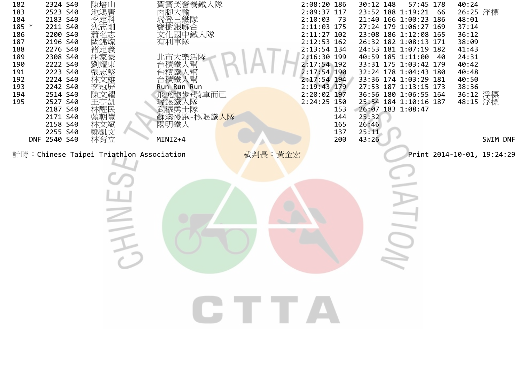| 182<br>183<br>184<br>$185 *$<br>186<br>187<br>188<br>189<br>190<br>191<br>192<br>193<br>194<br>195 | 2324 S40<br>2523 S40<br>2183 S40<br>2211 S40<br>2200 S40<br>2196 S40<br>2276 S40<br>2308 S40<br>2222 S40<br>2223 S40<br>2224 S40<br>2242 S40<br>2514 S40<br>2527 S40<br>2187 S40<br>2171 S40<br>2158 S40<br>2255 S40<br>DNF 2540 S40 | 陳培山<br>池鴻唐<br>!李沈蕭闕?<br>萧孟名錦!<br>褚定義<br>胡家豪<br>劉耀東<br>張志堅<br>林文雄<br>李冠屏<br>陳文耀<br>王亭凱<br>林醒民<br>林文斌<br>林育立 | 賀寶芙營養鐵人隊<br>肉腳大輸<br>『瑞登三鐵隊<br>寶樹銀聯合<br>文化國中鐵人隊<br>有利車隊<br>北市大樂活隊<br>台積鐵人幫<br>台積鐵人幫<br>台積鐵人幫<br>Run Run Run<br>飛虎跑步+騎車而已<br>瑞銀鐵入隊<br>武穆勇士隊<br>蘇澳慢跑-極限鐵 <mark>人隊</mark><br>陽明鐵人<br>MINI2+4 |         | 2:08:20 186<br>2:09:37 117<br>2:10:03<br>- 73<br>2:11:03 175<br>2:11:27 102<br>2:12:53 162<br>2:13:54 134<br>2:16:30 199<br>2:17:54 192<br>2:17:54 190<br>2:17:54 194<br>2:19:43 179<br>2:20:02 197<br>2:24:25 150<br>153<br>144<br>165<br>137<br>200 | 30:12 148<br>23:52 188 1:19:21 66<br>21:40 166 1:00:23 186<br>27:24 179 1:06:27 169<br>23:08 186 1:12:08 165<br>26:32 182 1:08:13 171<br>24:53 181 1:07:19 182<br>40:59 185 1:11:00<br>33:31 175 1:03:42 179<br>32:24 178 1:04:43 180<br>33:36 174 1:03:29 181<br>27:53 187 1:13:15 173<br>36:56 180 1:06:55 164<br>25:54 184 1:10:16 187<br>26:07 183 1:08:47<br>25:32<br>26:46<br>25:11<br>43:26 | 57:45 178<br>-40           | 40:24<br>26:25 浮標<br>48:01<br>37:14<br>36:12<br>38:09<br>41:43<br>24:31<br>40:42<br>40:48<br>40:50<br>38:36<br>36:12 浮標<br>48:15 浮標 | SWIM DNF |
|----------------------------------------------------------------------------------------------------|--------------------------------------------------------------------------------------------------------------------------------------------------------------------------------------------------------------------------------------|------------------------------------------------------------------------------------------------------------|------------------------------------------------------------------------------------------------------------------------------------------------------------------------------------------|---------|-------------------------------------------------------------------------------------------------------------------------------------------------------------------------------------------------------------------------------------------------------|----------------------------------------------------------------------------------------------------------------------------------------------------------------------------------------------------------------------------------------------------------------------------------------------------------------------------------------------------------------------------------------------------|----------------------------|-------------------------------------------------------------------------------------------------------------------------------------|----------|
|                                                                                                    |                                                                                                                                                                                                                                      |                                                                                                            | 計時: Chinese Taipei Triathlon Association                                                                                                                                                 | 裁判長:黃金宏 |                                                                                                                                                                                                                                                       |                                                                                                                                                                                                                                                                                                                                                                                                    | Print 2014-10-01, 19:24:29 |                                                                                                                                     |          |
|                                                                                                    |                                                                                                                                                                                                                                      |                                                                                                            |                                                                                                                                                                                          |         |                                                                                                                                                                                                                                                       |                                                                                                                                                                                                                                                                                                                                                                                                    |                            |                                                                                                                                     |          |
|                                                                                                    |                                                                                                                                                                                                                                      |                                                                                                            |                                                                                                                                                                                          |         |                                                                                                                                                                                                                                                       |                                                                                                                                                                                                                                                                                                                                                                                                    |                            |                                                                                                                                     |          |
|                                                                                                    |                                                                                                                                                                                                                                      |                                                                                                            |                                                                                                                                                                                          |         |                                                                                                                                                                                                                                                       |                                                                                                                                                                                                                                                                                                                                                                                                    |                            |                                                                                                                                     |          |
|                                                                                                    |                                                                                                                                                                                                                                      |                                                                                                            |                                                                                                                                                                                          |         |                                                                                                                                                                                                                                                       |                                                                                                                                                                                                                                                                                                                                                                                                    |                            |                                                                                                                                     |          |
|                                                                                                    |                                                                                                                                                                                                                                      |                                                                                                            |                                                                                                                                                                                          |         |                                                                                                                                                                                                                                                       |                                                                                                                                                                                                                                                                                                                                                                                                    |                            |                                                                                                                                     |          |
|                                                                                                    |                                                                                                                                                                                                                                      |                                                                                                            |                                                                                                                                                                                          |         |                                                                                                                                                                                                                                                       |                                                                                                                                                                                                                                                                                                                                                                                                    |                            |                                                                                                                                     |          |
|                                                                                                    |                                                                                                                                                                                                                                      |                                                                                                            |                                                                                                                                                                                          |         |                                                                                                                                                                                                                                                       |                                                                                                                                                                                                                                                                                                                                                                                                    |                            |                                                                                                                                     |          |
|                                                                                                    |                                                                                                                                                                                                                                      |                                                                                                            |                                                                                                                                                                                          | CTTA    |                                                                                                                                                                                                                                                       |                                                                                                                                                                                                                                                                                                                                                                                                    |                            |                                                                                                                                     |          |
|                                                                                                    |                                                                                                                                                                                                                                      |                                                                                                            |                                                                                                                                                                                          |         |                                                                                                                                                                                                                                                       |                                                                                                                                                                                                                                                                                                                                                                                                    |                            |                                                                                                                                     |          |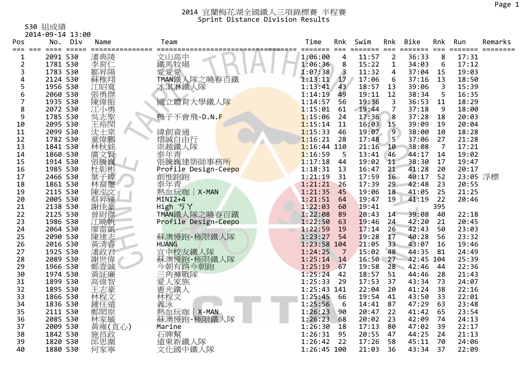S30 組成績

|                | 2014-09-14 13:00 |       |             |                                |               |            |                 |                 |                         |                         |          |         |
|----------------|------------------|-------|-------------|--------------------------------|---------------|------------|-----------------|-----------------|-------------------------|-------------------------|----------|---------|
| Pos            | No.              | Div   | Name        | Team                           | Time          | Rnk        | Swim            | Rnk             | <b>Bike</b>             | Rnk                     | Run      | Remarks |
| ===            |                  | ===== |             | ===============<br>=========== |               | ====== === | $=$ $=$ $=$ $=$ | $= 1$           | $=$ $=$ $=$ $=$ $=$ $=$ | $==$                    | ======   |         |
| 1              | 2091 S30         |       | 潘典陵         | 文山高中                           | 1:06:00       | 4          | 11:57           | $\overline{2}$  | 36:33                   | 8                       | 17:31    |         |
| $\overline{2}$ | 1781 S30         |       | ·李育仁<br>鄒昇陽 | 鐵馬牧場                           | 1:06:36       | 8          | 15:22           | $\mathbf{1}$    | 34:03                   | 6                       | 17:12    |         |
| 3              | 1783 S30         |       |             | 愛愛愛                            | 1:07:38       | 3          | 11:32           | 4               | 37:04                   | 15                      | 19:03    |         |
| 4              | 2124 S30         |       | 蘇稚翔         | TMAN鐵人隊之曉春百鐵                   | 1:13:11       | 17         | 17:06           | 6               | 37:16                   | 13                      | 18:50    |         |
| 5              | 1956 S30         |       | 江昭寬         | 冰淇淋鐵人隊                         | 1:13:41       | 43         | 18:57           | 13              | 39:06                   | $\overline{\mathbf{3}}$ | 15:39    |         |
| 6              | 2060 S30         |       | 張勇傑         |                                | 1:14:19       | 49         | 19:11           | 12              | 38:34                   | 5                       | 16:35    |         |
| 7              | 1935 S30         |       | 陳偉振         | 國立體育大學鐵人隊                      | 1:14:57       | 56         | 19:36           | 3               | 36:53                   | 11                      | 18:29    |         |
| 8              | 2072 S30         |       | 江小勇         |                                | 1:15:01       | 61         | 19:44           | 7               | 37:18                   | 9                       | 18:00    |         |
| 9              | 1785 S30         |       | 冥志聖         | 鴨子不會飛-D.N.F                    | 1:15:06       | 24         | 17:36           | 8               | 37:28                   | 18                      | 20:03    |         |
| 10             | 2095 S30         |       | 王裕閔         |                                | 1:15:14       | 11         | 16:03           | 15              | 39:09                   | 19                      | 20:04    |         |
| 11             | 2099 S30         |       | 沈士棠         | 緯創資通                           | 1:15:33       | 46         | 19:07           | 9               | 38:00                   | 10                      | 18:28    |         |
| 12             | 1782 S30         |       | 童偉鵬         | 熠誠自由行                          | 1:16:21       | 28         | 17:48           | 5 <sup>1</sup>  | 37:06                   | 27                      | 21:28    |         |
| 13             | 1841 S30         |       | 林秋銘         | 祟越鐵人隊                          | $1:16:44$ 110 |            | 21:16           | 10              | 38:08                   | $\overline{7}$          | 17:21    |         |
| 14             | 1860 S30         |       | 廣文賢         | 泰年青<br>張騰巍建築師事務 <mark>所</mark> | 1:16:59       | 5          | 13:41           | 46              | 44:17                   | 14                      | 19:02    |         |
| 15             | 1914 S30         |       | 張騰巍         |                                | 1:17:18       | 44         | 19:02           | 11              | 38:30                   | 17                      | 19:47    |         |
| 16             | 1985 S30         |       | 杜彰彬         | Profile Design-Ceepo           | 1:18:31       | 13         | 16:47           | 21              | 41:28                   | 20                      | 20:17    |         |
| 17             | 2466 S30         |       | 葉子瑋         | 創惟跑跑                           | 1:21:19       | 31         | 17:59           | 16 <sup>1</sup> | 40:17                   | 52                      | 23:05 浮標 |         |
| 18             | 1861 S30         |       | 林裔璽         | 泰年青                            | 1:21:21       | 26         | 17:39           | 29              | 42:48                   | 23                      | 20:55    |         |
| 19             | 2115 S30         |       |             | 熱血玩咖   X-MAN                   | 1:21:35       | 45         | 19:06           | 18              | 41:05                   | 25                      | 21:25    |         |
| 20             | 2005 S30         |       | 陳泓文<br>蔡昇達  | MINI2+4                        | 1:21:51       | 64         | 19:47           | 19              | 41:19                   | 22                      | 20:46    |         |
| 21             | 2138 S30         |       | 謝佳豪         | High ゔY                        | 1:22:03       | 60         | 19:41           |                 |                         | 395                     |          |         |
| 22             | 2125 S30         |       | 曾尉傑         | TMAN鐵人隊之曉春百鐵                   | 1:22:08       | 89         | 20:43           | 14              | 39:08                   | 40                      | 22:18    |         |
| 23             | 1986 S30         |       | 江曉帆         | Profile Design-Ceepo           | 1:22:50       | 63         | 19:46           | 24              | 42:20                   | 21                      | 20:45    |         |
| 24             | 2064 S30         |       | 廖雷凱         |                                | 1:22:59       | 19         | 17:14           | 26              | 42:43                   | 50                      | 23:03    |         |
| 25             | 2090 S30         |       | 陳建志         | 蘇澳慢跑-極限鐵人隊                     | 1:23:27       | 54         | 19:28           | 17              | 40:28                   | 56                      | 23:32    |         |
| 26             | 2016 S30         |       | 黃清睿         | <b>HUANG</b>                   | 1:23:58 104   |            | 21:05           | 33              | 43:07                   | 16                      | 19:46    |         |
| 27             | 1925 S30         |       | 潘政君         | 宜中校友鐵人隊                        | 1:24:25       | 7          | 15:02           | 48              | 44:35                   | 81                      | 24:49    |         |
| 28             | 2089 S30         |       | 謝世偉         | 蘇澳慢跑-極限鐵人隊                     | 1:25:14       | 14         | 16:50           | 27              | 42:45 104               |                         | 25:39    |         |
| 29             | 1966 S30         |       | 鄭壹誠         | 今朝有路今朝跑                        | 1:25:19       | 67         | 19:58           | 28              | 42:46                   | 44                      | 22:36    |         |
| 30             | 1974 S30         |       | 黃証廉         | 三角褲戰隊                          | 1:25:24       | 42         | 18:57           | 51              | 44:46                   | 28                      | 21:43    |         |
| 31             | 1899 S30         |       | 高偉智         | 愛人家族<br>憲光鐵人                   | 1:25:33       | 29         | 17:53           | 37              | 43:34                   | 73                      | 24:07    |         |
| 32             | 1895 S30         |       | 王志豪         |                                | 1:25:43 141   |            | 22:04           | 20              | 41:24                   | 38                      | 22:16    |         |
| 33             | 1866 S30         |       | 林程文         | 林程文                            | 1:25:45       | 66         | 19:54           | 41              | 43:50                   | 33                      | 22:01    |         |
| 34             | 1836 S30         |       | 鍾任遠         | 義泳                             | 1:25:56       | 6          | 14:41           | 87              | 47:29                   | 63                      | 23:48    |         |
| 35             | 2111 S30         |       | 鄭閎原         | 熱血玩咖<br>X-MAN                  | 1:26:23       | 90         | 20:47           | 22              | 41:42                   | 65                      | 23:54    |         |
| 36             | 2085 S30         |       | 林家毓         | 蘇澳慢跑-極限鐵人隊                     | 1:26:23       | 68         | 20:02           | 23              | 42:09                   | 74                      | 24:13    |         |
| 37             | 2009 S30         |       | 黃雍(直心)      | Marine                         | 1:26:30       | 18         | 17:13           | 80              | 47:02                   | 39                      | 22:17    |         |
| 38             | 1842 S30         |       | 施昌政         | 石牌幫                            | 1:26:31       | 95         | 20:55           | 47              | 44:25                   | 24                      | 21:13    |         |
| 39             | 1820 S30         |       | 邱思圍         | 遠東新鐵人隊                         | 1:26:42       | 22         | 17:26           | 58              | 45:11                   | 70                      | 24:06    |         |
| 40             | 1880 S30         |       | 何家寧         | 文化國中鐵人隊                        | $1:26:45$ 100 |            | 21:03           | 36              | 43:34                   | 37                      | 22:09    |         |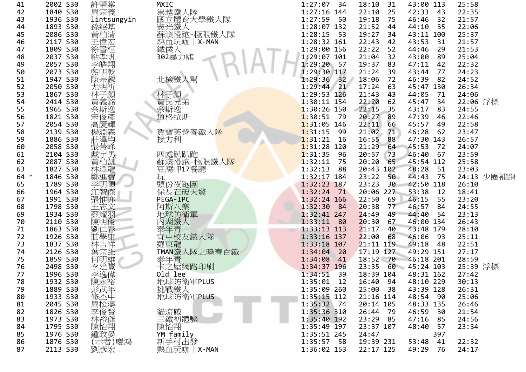| 41     | 2002 S30 | 許肇棠             | <b>MXIC</b>        | 1:27:07<br>34   | 18:10<br>31   | 43:00 113    | 25:58      |
|--------|----------|-----------------|--------------------|-----------------|---------------|--------------|------------|
| 42     | 1840 S30 | 周宗義             | 祟越鐵人隊              | $1:27:16$ 144   | 22:10<br>25   | 42:33<br>-43 | 22:35      |
| 43     | 1936 S30 | lintsungyin     | 國立體育大學鐵人隊          | 1:27:59<br>50   | 19:18<br>75   | 32<br>46:46  | 21:57      |
| 44     | 1893 S30 | 孫紹基             | 憲光鐵人<br>蘇澳慢跑-極限鐵人隊 | 1:28:07 132     | 21:52<br>44   | 35<br>44:10  | 22:06      |
| 45     | 2086 S30 | 黃柏清             |                    | 1:28:15<br>- 53 | 19:27<br>34   | 43:11 100    | 25:37      |
| 46     | 2117 S30 | 王偉宏             | 熱血玩咖   X-MAN       | 1:28:32 161     | 22:43<br>42   | 43:53<br>31  | 21:57      |
| 47     | 1809 S30 | 徐書桓             | 鐵僕人                | 1:29:00 156     | 22:22<br>52   | 29<br>44:46  | 21:53      |
| 48     | 2037 S30 | 粘孝帆             | 302暴力熊             | 1:29:07 101     | 21:04<br>32   | 43:00<br>89  | 25:04      |
| 49     | 2057 S30 | 李皓翔             |                    | 1:29:20 57      | 19:37<br>83   | 47:11<br>42  | 22:32      |
| 50     | 2073 S30 | 藍明乾             |                    | 1:29:30 117     | 21:24<br>39   | 43:44<br>77  | 24:23      |
| 51     | 1947 S30 | 陳宗麟             | 北檢鐵人幫              | 1:29:36<br>32   | 18:06<br>72   | 46:39<br>82  | 24:52      |
| 52     | 2050 S30 |                 |                    | $1:29:44$ 21    | 17:24<br>63   | 45:47 130    | 26:34      |
|        | 1867 S30 | 尤明祈             |                    |                 |               |              |            |
| 53     |          | 林子顏             | 林子顏<br>黃氏兄弟        | 1:29:53 126     | 21:43<br>43   | 44:05<br>71  | 24:06      |
| 54     | 2414 S30 | 黃義銘             |                    | 1:30:11 154     | 22:20<br>62   | 45:47<br>34  | 22:06 浮標   |
| 55     | 1965 S30 |                 | 余斯逸                | $1:30:26$ 150   | 22:15<br>35   | 43:17<br>83  | 24:55      |
| 56     | 1821 S30 | 〈余宋高!           | 道格拉斯               | 1:30:51<br>- 79 | 20:27<br>89   | 47:39<br>46  | 22:46      |
| 57     | 2054 S30 |                 |                    | $1:31:05$ 146   | 22:11<br>66   | 45:57<br>49  | 22:58      |
| 58     | 2139 S30 | 楊淵森             | 賀寶芙營養鐵人隊           | 1:31:15<br>99   | 21:02<br>71   | 46:28<br>62  | 23:47      |
| 59     | 1886 S30 | 莊澤均             | 接力利                | 1:31:21<br>16   | 16:55<br>88   | 47:30 143    | 26:57      |
| 60     | 2058 S30 | 張菁峰             |                    | $1:31:28$ 120   | 21:29<br>64   | 45:53<br>72  | 24:07      |
| 61     | 2104 S30 | 戴宇男             | 四處趴趴跑              | 1:31:35<br>-96  | 20:57<br>73   | 46:40<br>67  | 23:59      |
| 62     | 2087 S30 | 黃柏凱             | 蘇澳慢跑-極限鐵人隊         | 1:32:11<br>75   | 20:20<br>65   | 45:54 112    | 25:58      |
| 63     | 1827 S30 | 林澤龍             | 豆腐岬17餐廳            | 1:32:13<br>88   | 20:43 102     | 48:28<br>51  | 23:03      |
| $64 *$ | 1846 S30 | 鄭進寶             | 玩                  | 1:32:17 184     | 23:22<br>50   | 44:43<br>75  | 24:13 少圈補跑 |
| 65     | 1789 S30 | 李明順             | 頭份夜跑團              | 1:32:23 187     | 23:23<br>30   | 42:50 118    | 26:10      |
| 66     | 1964 S30 | 江智傑             | 保長石破天驚             | 1:32:24<br>71   | 20:06 227     | 53:38<br>12  | 18:41      |
| 67     | 1991 S30 | 張惟亦             | PEGA-IPC           | 1:32:24 166     | 22:50<br>69   | 46:15<br>55  | 23:20      |
| 68     | 1798 S30 | 王志文             | 阿斯八樂               | 1:32:30<br>- 84 | 20:38<br>77   | 46:57<br>84  | 24:55      |
| 69     | 1934 S30 | 蔡耀羽             | 地球防衛軍              | 1:32:41 247     | 24:49<br>49   | 44:40<br>54  | 23:13      |
| 70     | 2110 S30 | 陳明俊             | 內湖鐵人               | 1:33:11<br>80   | 20:30<br>67   | 46:00 134    | 26:43      |
| 71     | 1863 S30 | 劉仁春             | 泰年青                | 1:33:13 113     | 40<br>21:17   | 43:48 179    | 28:10      |
| 72     | 1926 S30 | 莊學康             | 宜中校友鐵人隊            | 1:33:16 137     | 22:00<br>68   | 46:06<br>-93 | 25:11      |
| 73     | 1837 S30 | 林吉祥             | 羅東龍                | $1:33:18$ 107   | 21:11 119     | 49:18<br>48  | 22:51      |
| 74     | 2126 S30 | 葉宗維             | TMAN鐵人隊之曉春百鐵       | 1:34:04<br>20   | 17:19 127     | 49:29 151    | 27:17      |
| 75     | 1859 S30 | 何明雄             | 泰年青                | 1:34:08<br>41   | 18:52 70      | 46:18 201    | 28:59      |
| 76     | 2498 S30 |                 | 卡之屋網路印刷            | 1:34:37 196     | 23:35<br>60   | 45:24 103    | 25:39 浮標   |
| 77     | 1996 S30 | 李建豐偉            | Old lee            | 1:34:51<br>39   | 18:39 104     | 48:31 162    | 27:42      |
| 78     | 1932 S30 |                 | 地球防衛軍PLUS          | $1:35:01$ 12    | 16:40 94      | 48:10 229    | 30:13      |
| 79     | 1889 S30 | 陳永裕             |                    | 1:35:09 260     | 25:00<br>-38  | 43:39 128    | 26:31      |
|        |          |                 | 挑戰鐵人               | $1:35:15$ 112   | 21:16 114     | 48:54 90     |            |
| 80     | 1933 S30 |                 | 地球防衛軍PLUS          |                 |               |              | 25:06      |
| 81     | 2045 S30 |                 |                    | $1:35:32$ 74    | 20:14 105     | 48:33 135    | 26:46      |
| 82     | 1826 S30 | )修周李林監<br>不松像裕然 | 貓流感                | 1:35:36 310     | 26:44<br>- 79 | 46:59<br>30  | 21:54      |
| 83     | 1973 S30 |                 | 三鐵初體驗              | 1:35:40 192     | 23:29<br>- 85 | 47:16<br>85  | 24:56      |
| 84     | 1795 S30 | 陳怡翔             | 陳怡翔                | $1:35:49$ 197   | 23:37 107     | 48:40<br>57  | 23:34      |
| 85     | 1976 S30 | 鍾政晏             | YM family          | 1:35:51 245     | 24:47         | 397          |            |
| 86     | 1876 S30 | (示者)慶鴻          | 新手村出發              | $1:35:57$ 58    | 19:39 231     | 53:48<br>41  | 22:32      |
| 87     | 2113 S30 | 劉彥宏             | 熱血玩咖 X-MAN         | 1:36:02 153     | 22:17 125     | 49:29<br>76  | 24:17      |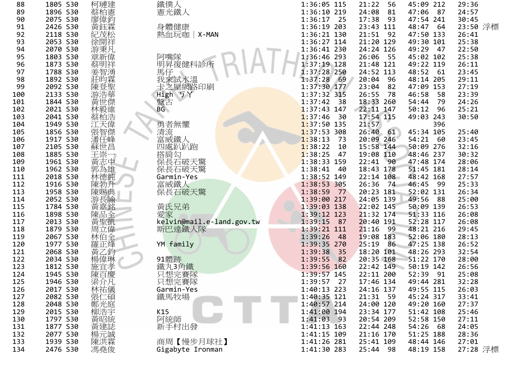| 88  | 1805 S30 | 柯璉建    | 鐵僕人                       | 1:36:05 115     | 21:22<br>56            | 45:09 212     | 29:36    |
|-----|----------|--------|---------------------------|-----------------|------------------------|---------------|----------|
| 89  | 1896 S30 | 蔡柏憲    | 憲光鐵人                      | 1:36:10 219     | 24:08<br>81            | 47:06<br>87   | 24:57    |
| 90  | 2075 S30 | 廖偉鈞    |                           | $1:36:17$ 25    | 17:38<br>93            | 47:54 241     | 30:45    |
| 91  | 2426 S30 | 黃鈺霖    | 身體健康                      | 1:36:19 203     | 23:43 111              | 48:47<br>- 64 | 23:50 浮標 |
| 92  | 2118 S30 | 紀茂松    | 熱血玩咖 X-MAN                | 1:36:21 130     | 21:51 92               | 47:50 133     | 26:41    |
| 93  | 2053 S30 | 徐開祥    |                           | 1:36:27 114     | 21:20 129              | 49:30 101     | 25:38    |
| 94  | 2070 S30 | 游秉凡    |                           | 1:36:41 230     | 24:24 126              | 49:29<br>47   | 22:50    |
| 95  | 1803 S30 | 章新偉    | 阿嘴隊                       | 1:36:46 293     | 26:06 55               | 45:02 102     | 25:38    |
| 96  | 1873 S30 | 蔡明祥    | 明昇復健科診所                   | 1:37:19 128     | 21:48 121              | 49:22 119     | 26:11    |
| 97  | 1788 S30 |        | 馬仔                        | 1:37:28 250     | 24:52 113              | 48:52<br>- 61 | 23:45    |
| 98  | 1892 S30 | 莊昀霖    | 我來試水溫                     | 1:37:28<br>69   | 20:04<br>- 96          | 48:14<br>205  | 29:11    |
| 99  | 2092 S30 | 陳登聖    | 卡之屋網路印刷                   | $1:37:30$ 177   | 23:04<br>82            | 47:09 153     | 27:19    |
| 100 | 2133 S30 | 游浩華    | High ラY                   | 1:37:32 315     | 26:55<br>78            | 46:58<br>58   | 23:39    |
| 101 | 1844 S30 | 黃世傑    | 盤古                        | 1:37:42<br>- 38 | 18:33 260              | 54:44<br>79   | 24:26    |
| 102 | 2021 S30 | 林毅維    | BG                        | $1:37:43$ 147   | 22:11 147              | 50:12<br>96   | 25:21    |
| 103 | 2041 S30 | 蔡柏浩    |                           | 1:37:46<br>- 30 | 17:54 115              | 49:03 243     | 30:50    |
| 104 | 1949 S30 | 江天偉    | 勇者無懼                      | $1:37:50$ 135   | 21:57                  | 396           |          |
| 105 | 1856 S30 | 張智傑    | 清流                        | 1:37:53.308     | $26:40$ $61$           | 45:34 105     | 25:40    |
| 106 | 1917 S30 | 潘任峰    | 富威鐵人                      | 1:38:13<br>-73  | 20:09 246              | 54:21<br>60   | 23:45    |
| 107 | 2105 S30 | 蘇世昌    | 四處趴趴跑                     | 1:38:22<br>10   | 15:58 144              | 50:09<br>276  | 32:16    |
| 108 | 1885 S30 | 王崇     | 搭肩勾                       | 1:38:25<br>47   | 19:08 110              | 48:46 237     | 30:32    |
| 109 | 1961 S30 | 黃志中    | 保長石破天驚                    | 1:38:33 159     | 22:41 90               | 47:48 174     | 28:06    |
| 110 | 1962 S30 | 郭為雄    | 保長石破天驚                    | 1:38:41<br>- 40 | 18:43 178              | 51:45 181     | 28:14    |
| 111 | 2018 S30 | 林德純    | Garmin-Yes                | 1:38:52 149     | $22:14$ 108            | 48:42 168     | 27:57    |
| 112 | 1916 S30 | 陳勃升    | 富威鐵人                      | 1:38:53 305     | 26:36<br>74            | 46:45<br>- 99 | 25:33    |
| 113 | 1958 S30 | 陳賜典    | 保長石破天驚                    | 1:38:59<br>77   | 20:23 181              | 52:02 131     | 26:34    |
| 114 | 2052 S30 | 游長諭    |                           | 1:39:00 217     | 24:05 139              | 49:56<br>88   | 25:00    |
| 115 | 1784 S30 |        |                           | 1:39:03 138     |                        | 50:09 139     | 26:53    |
|     |          | 黃嘉銘    | 黃氏兄弟                      | 1:39:12 123     | 22:02 145<br>21:32 174 | 51:33 116     | 26:08    |
| 116 | 1898 S30 | 陳品全    | 愛家                        | 1:39:15         |                        | 52:28 117     |          |
| 117 | 2013 S30 | 黃聖凱    | kelvin@mail.e-land.gov.tw | 87              | 20:40 191              |               | 26:08    |
| 118 | 1879 S30 | 周立偉    | 斯巴達鐵人隊                    | 1:39:21 111     | 21:16<br>99            | 48:21 216     | 29:45    |
| 119 | 2067 S30 | 林伯全    |                           | 1:39:26<br>- 48 | 19:08 183              | 52:06 180     | 28:13    |
| 120 | 1977 S30 | 羅正烽    | YM family                 | 1:39:35 270     | 25:19<br>86            | 47:25 138     | 26:52    |
| 121 | 2068 S30 | 黃乙鈞    |                           | 1:39:38<br>35   | 18:20 101              | 48:26 293     | 32:54    |
| 122 | 2034 S30 | 楊偉琳    | 91體跡                      | 1:39:55<br>82   | 20:35 168              | 51:22 170     | 28:00    |
| 123 | 1812 S30 | 施宜孝    | 鐵丸3角鐵                     | 1:39:56 160     | 22:42 149              | 50:19 142     | 26:56    |
| 124 | 1945 S30 | 陳百慶    | 只想完賽隊                     | $1:39:57$ 145   | 22:11 200              | 52:39 91      | 25:08    |
| 125 | 1946 S30 | 梁介凡    | 只想完賽隊                     | 27<br>1:39:57   | 17:46 134              | 49:44 281     | 32:28    |
| 126 | 2017 S30 | 林祐儀    | Garmin-Yes                | 1:40:13 223     | 24:16 137              | 49:55 115     | 26:03    |
| 127 | 2082 S30 | 張仁碩    | 鐵馬牧場                      | 1:40:35 121     | 21:31 59               | 45:24 317     | 33:41    |
| 128 | 2048 S30 |        |                           | 1:40:57 214     | 24:00 120              | 49:20 160     | 27:37    |
| 129 | 2015 S30 |        | K15                       | 1:41:00 194     | 23:34 177              | 51:42 108     | 25:46    |
| 130 | 1797 S30 | ·鄭柳黃黃! | 阿統師                       | $1:41:03$ 93    | 20:54 209              | 52:58 150     | 27:11    |
| 131 | 1877 S30 |        | 新手村出發                     | $1:41:13$ 163   | 22:44 248              | 54:26<br>-68  | 24:05    |
| 132 | 2077 S30 | 楊元誠    |                           | 1:41:15 109     | 21:16 170              | 51:25 188     | 28:36    |
| 133 | 1939 S30 | 陳洪霖    | 商周【慢步月球社】                 | 1:41:26 281     | 25:41 109              | 48:44 146     | 27:01    |
| 134 | 2476 S30 | 馮堯俊    | Gigabyte Ironman          | 1:41:30 283     | 25:44<br>- 98          | 48:19 158     | 27:28 浮標 |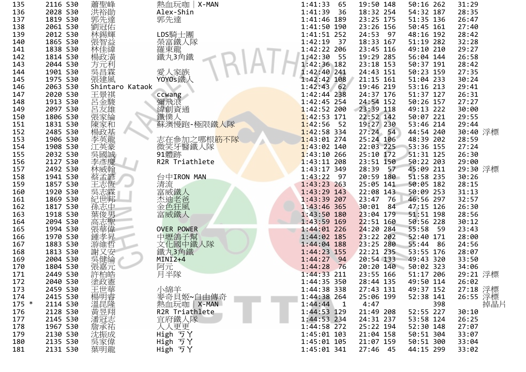| 135     | 2116 S30 | 蕭聖峰              | 熱血玩咖   X-MAN             | 1:41:33<br>65           | 19:50 148     | 50:16 262     | 31:29           |
|---------|----------|------------------|--------------------------|-------------------------|---------------|---------------|-----------------|
| 136     | 2028 S30 | 洪裕勛              | Alex-Shin                | 1:41:39<br>- 36         | 18:32 254     | 54:32 187     | 28:35           |
| 137     | 1819 S30 | 郭先達              | 郭先達                      | 1:41:46 189             | 23:25 175     | 51:35 136     | 26:47           |
| 138     | 2061 S30 | 劉冠佑              |                          | 1:41:50 190             | 23:26 156     | 50:45 161     | 27:40           |
| 139     | 2012 S30 | 林錫輝              | LDS騎士團                   | 1:41:51 252             | 24:53<br>97   | 48:16 192     | 28:42           |
| 140     | 1865 S30 | 張智益              | 榮富鐵人隊                    | 1:42:19<br>- 37         | 18:33 167     | 51:19 282     | 32:28           |
| 141     | 1838 S30 | 林佳緯              | 羅東龍                      | 1:42:22 206             | 23:45 116     | 49:10 210     | 29:27           |
| 142     | 1814 S30 | 楊政潢              | 鐵丸3角鐵                    | 1:42:30<br>55           | 19:29 285     | 56:04 144     | 26:58           |
| 143     | 2044 S30 | 方元利              |                          | 1:42:36 182             | 23:18 153     | 50:37 191     | 28:42           |
| 144     | 1901 S30 | 吳昌霖              | 愛人家族                     | 1:42:40 241             | 24:43 151     | 50:23 159     | 27:35           |
| 145     | 1975 S30 | 張建風              | Y0Y0s鐵人                  | 1:42:42 108             | 21:15 161     | 51:04 233     | 30:24           |
| 146     | 2063 S30 | Shintaro Kataok  |                          | $1:42:43$ 62            | 19:46 219     | 53:16 213     | 29:41           |
| 147     | 2020 S30 | 王景祺              | ccwang                   | 1:42:44 238             | 24:37 176     | 51:37 127     | 26:31           |
| 148     | 1913 S30 | 呂金駿              | 彌飛浪                      | $1:42:45$ 254           | 24:54 152     | 50:26 157     | 27:27           |
| 149     | 2097 S30 | 呂友雄              | 緯創資通                     | $1:42:52$ 200           | 23:39 118     | 49:13 222     | 30:00           |
| 150     | 1806 S30 | 張家綸              | 鐵僕人                      | $1:42:53$ 171           | 22:52 142     | 50:07 221     | 29:55           |
| 151     | 1831 S30 | 陳家和              | 蘇澳慢跑-極限鐵人隊               | 1:42:56<br>52           | 19:27 230     | 53:46 214     | 29:44           |
| 152     | 2485 S30 | 楊政基              |                          | $1:42:58$ 334           | $27:24$ 54    | 44:54 240     | 30:40 浮標        |
| 153     | 1906 S30 | 李英龍              | 志在参加之哪根 <mark>筋不隊</mark> | $1:43:01$ 274           | 25:24 106     | 48:39 202     | 28:59           |
| 154     | 1908 S30 | 江英豪              | 微笑牙醫鐵人隊                  | $1:43:02$ 140           | 22:03 225     | 53:36 155     | 27:24           |
| 155     | 2032 S30 | 吳國誠              | 91體跡                     | $1:43:10$ 266           | $25:10$ 172   | 51:31 125     | 26:30           |
| 156     | 2127 S30 | 李彥慶              | R2R Triathlete           | $1:43:11$ 208           | 23:51 150     | 50:22 203     | 29:00           |
| 157     | 2492 S30 | 林威翰              |                          | 1:43:17 349             | 28:39<br>57   | 45:09 211     | 29:30 浮標        |
| 158     | 1941 S30 | 蔡孟諺              | 台中IRON MAN               | 1:43:22<br>97           | 20:59 180     | 51:58 235     | 30:26           |
| 159     | 1857 S30 | 王志恆              | 清流                       | 1:43:23 263             | 25:05 141     | 50:05 182     | 28:15           |
| 160     | 1920 S30 |                  |                          | $1:43:29$ 143           | 22:08 143     | 50:09 253     | 31:13           |
| 161     | 1869 S30 | 吳志霖<br>紀世邦       | 富威鐵人<br>杰迪老爸             | 1:43:39 207             | 23:47<br>- 76 | 46:56 297     | 32:57           |
| 162     | 1817 S30 | 孫志中              | 金色狂風                     | 1:43:46 365             | 30:01<br>84   | 47:15 126     | 26:30           |
| 163     | 1918 S30 |                  |                          | $1:43:50$ 180           | 23:04 179     | 51:51 198     | 28:56           |
|         | 2094 S30 | 葉俊男<br>高志聖       | 富威鐵人                     | $1:43:59$ 169           | $22:51$ 160   | 50:56 228     |                 |
| 164     | 1994 S30 | 張華偉              |                          | $1:44:01$ 226           | 24:20 284     | 55:58<br>- 59 | 30:12           |
| 165     |          |                  | <b>OVER POWER</b>        | $1:44:02$ 185           |               | 52:40 171     | 23:43           |
| 166     | 1970 S30 | 鍾孝昇              | 中壢鴿子幫                    |                         | 23:22 202     |               | 28:00           |
| 167     | 1883 S30 | 游維哲              | 文化國中鐵人隊                  | $1:44:04$ 188           | 23:25 280     | 55:44<br>86   | 24:56           |
| 168     | 1813 S30 | 謝又安              | 鐵丸3角鐵                    | $1:44:23$ 155           | 22:21 235     | 53:55 176     | 28:07           |
| 169     | 2004 S30 | 吳健綸              | $MINI2+4$                | $1:44:27$ 94            | 20:54 133     | 49:43 320     | 33:50           |
| 170     | 1804 S30 | 張嘉元              | 阿元                       | 1:44:28<br>76           | 20:20 140     | 50:02 323     | 34:06           |
| 171     | 2449 S30 | 許柏皓              | 月半隊                      | $1:44:33$ 211           | 23:55 166     | 51:17 206     | 29:21 浮標        |
| 172     | 2040 S30 |                  |                          | 1:44:35 350             | 28:44 135     | 49:50 114     | 26:02           |
| 173     | 2459 S30 |                  | 小綿羊                      | 1:44:38 338             | 27:43 131     | 49:37 152     | 27:18 浮標        |
| 174     | 2415 S30 |                  | 麥奇貝姬~自由傳奇                | 1:44:38 264             | 25:06 199     | 52:38 141     | 26:55 浮標<br>掉晶片 |
| $175 *$ | 2114 S30 | ā塗王楊溫黃潘&P政世明昆昱冠M | 熱血玩咖   X-MAN             | 1:44:44<br>$\mathbf{1}$ | 4:47          | 398           |                 |
| 176     | 2128 S30 |                  | R2R Triathlete           | 1:44:53 129             | 21:49 208     | 52:55 227     | 30:10           |
| 177     | 2145 S30 |                  | 宜府鐵人隊                    | 1:44:53 234             | 24:31 237     | 53:58 124     | 26:25           |
| 178     | 1967 S30 | 詹承祐              | 人人更更                     | 1:44:58 272             | 25:22 194     | 52:30 148     | 27:07           |
| 179     | 2130 S30 | 沈振成<br>吳家偉       | High ラY                  | 1:45:01 103             | 21:04 158     | 50:51 304     | 33:07           |
| 180     | 2135 S30 |                  | High ゔY                  | 1:45:01 105             | 21:07 159     | 50:51 300     | 33:04           |
| 181     | 2131 S30 | 葉明龍              | High ゔY                  | 1:45:01 341             | 27:46<br>- 45 | 44:15 299     | 33:02           |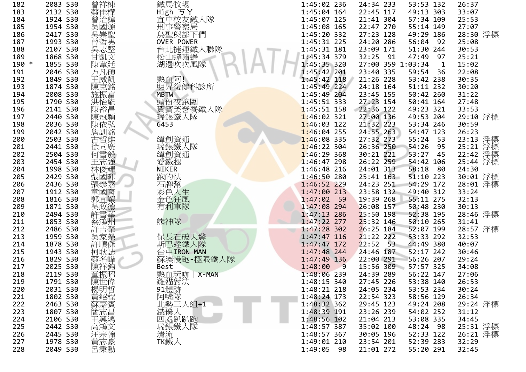| 182   | 2083 S30 | 曾祥棟                 | 鐵馬牧場         | 1:45:02 236               | 24:34 233         | 53:53 132           | 26:37                            |
|-------|----------|---------------------|--------------|---------------------------|-------------------|---------------------|----------------------------------|
| 183   | 2132 S30 | 蔡佳樺                 | High ゔY      | $1:45:04$ 164             | 22:45 117         | 49:13 303           | 33:07                            |
| 184   | 1924 S30 | 曾治緯                 | 宜中校友鐵人隊      | 1:45:07 125               | 21:41 304         | 57:34 109           | 25:53                            |
| 185   | 1954 S30 | 吳國源                 | 刑事警察局        | 1:45:08 165               | 22:47 270         | 55:14 149           | 27:07                            |
| 186   | 2417 S30 |                     | 鳥聖與部下們       | 1:45:20 332               | 27:23 128         | 49:29 186           | 28:30 浮標                         |
| 187   | 1993 S30 | (吳崇聖男)              | OVER POWER   | 1:45:31 225               | 24:20 286         | 56:04<br>92         | 25:08                            |
| 188   | 2107 S30 | 吳志堅                 | 台北捷運鐵人聯隊     | 1:45:31 181               | 23:09 171         | 51:30 244           | 30:53                            |
| 189   | 1868 S30 | 甘凱文                 | 松山蟑嘯蜷        | 1:45:34 379               | 32:25 91          | 47:49 97            | 25:21                            |
| 190 * | 1855 S30 | 陳韋廷                 | 湖邊吹吹風隊       | 1:45:35 320               | 27:00 359 1:03:34 | $\overline{1}$      | 15:02                            |
| 191   | 2046 S30 | 方凡碩                 |              | 1:45:42 201               | 23:40 335         | 59:54 36            | 22:08                            |
| 192   | 1849 S30 | 王威凱                 | 熱血阿!         | 1:45:42 118               | 21:26 228         | 53:42 238           | 30:35                            |
| 193   | 1874 S30 | 陳克銘                 | 明昇復健科診所      | $1:45:49$ 224             | 24:18 164         | 51:11 232           | 30:20                            |
| 194   | 2008 S30 | 施振富                 | <b>MBTW</b>  | 1:45:49 204               | 23:45 155         | 50:42 260           | 31:22                            |
| 195   | 1790 S30 | 洪怡能                 | 頭份夜跑團        | $1:45:51$ 333             | 27:23 154         | 50:41 164           | 27:48                            |
| 196   | 2141 S30 | 陳裕昌                 | 賀寶芙營養鐵人隊     | $1:45:51$ 158             | 22:36 122         | 49:23 321           | 33:53                            |
| 197   | 2440 S30 |                     | 瑞銀鐵人隊        | $1:46:02$ 321             | 27:00 136         | 49:53 204           | 29:10 浮標                         |
| 198   | 2036 S30 | 陳冠穎                 | 6453         | $1:46:03$ 122             | 21:32 223         | 53:34 246           | 30:59                            |
| 199   | 2042 S30 | 詹訓銘                 |              | $1:46:04$ 255             | 24:55 263         | 54:47 123           | 26:23                            |
| 200   | 2503 S30 | 古哲維                 | 緯創資通         | $1:46:08$ 335             | 27:32 273         | 55:24 53            |                                  |
| 201   | 2441 S30 | 徐同廣                 | 瑞銀鐵人隊        | $1:46:22$ 304             | 26:36 250         | 54:26<br>95         | 23:13 浮標<br>25:21 浮標<br>22:42 浮標 |
| 202   | 2504 S30 | 何書毅                 | 緯創資通         | $1:46:29$ 368             | 30:21 221         | 53:27<br>45         |                                  |
| 203   | 2454 S30 | 王志強                 | 愛鐵腿          | $1:46:47$ 298             | 26:22 259         | 54:42 106           | 25:44 浮標                         |
| 204   | 1998 S30 | 林俊輝                 | <b>NIKER</b> | 1:46:48 216               | 24:01 313         | 58:18<br>- 80       | 24:30                            |
| 205   | 2429 S30 | 張國暉                 | 跑的快          | 1:46:50 280               | $25:41$ $163$     | 51:10 223           | 30:01 浮標                         |
| 206   | 2436 S30 | 張泰嘉                 | 石牌幫          | 1:46:52 229               | 24:23 251         | 54:29 172           | 28:01 浮標                         |
| 207   | 1912 S30 | 童國育                 | 彩色人生         | 1:47:00 213               | 23:58 132         | 49:40 312           | 33:24                            |
| 208   | 1816 S30 | 郭宜讓                 | 金色狂風         | $1:47:02$ 59              | 19:39 268         | 55:11 275           | 32:13                            |
| 209   | 1871 S30 | 吳政德                 | 有利車隊         | 1:47:08 294               | 26:08 157         | 50:48 230           | 30:13                            |
| 210   | 2494 S30 | 許書華                 |              | 1:47:13 286               | $25:50$ 198       | 52:38 195           | 28:46 浮標                         |
| 211   | 1853 S30 | 蔡鴻州                 | 熊神隊          | $1:47:22$ 277             | $25:32$ 146       | 50:10 265           | 31:41                            |
| 212   | 2486 S30 | 許吉榮                 |              | $1:47:28$ 302             | $26:25$ 184       | 52:07 199           | 28:57 浮標                         |
| 213   | 1959 S30 | 吳家榮                 | 保長石破天驚       | $1:47:47$ 116             | 21:22 222         | 53:33 292           | 32:53                            |
| 214   | 1878 S30 | 許順傑                 | 斯巴達鐵人隊       | $1:47:47$ 172             | $22:52$ 53        | 44:49 380           | 40:07                            |
| 215   | 1943 S30 | 柯耿誌                 | 台中IRON MAN   | 1:47:48 244               | 24:46 187         | 52:17 242           | 30:46                            |
| 216   | 1829 S30 | 蔡名峰                 | 蘇澳慢跑-極限鐵人隊   | 1:47:49 136               | 22:00 291         | 56:26 207           | 29:24                            |
| 217   | 2025 S30 | 陳祥鈞                 | Best         | 1:48:00<br>$\overline{9}$ |                   | 15:56 309 57:57 325 | 34:08                            |
| 218   | 2119 S30 | 童振昭                 | 熱血玩咖   X-MAN | 1:48:06 239               | 24:39 289         | 56:22 147           | 27:06                            |
| 219   | 1791 S30 |                     |              | 1:48:15 340               | 27:45 226         | 53:38 140           | 26:53                            |
| 220   | 2031 S30 |                     | 《雞貓體跡》       | 1:48:21 218               | 24:05 234         | 53:53 234           | 30:24                            |
| 221   | 1802 S30 |                     |              | 1:48:24 173               | 22:54 323         | 58:56 129           | 26:34                            |
| 222   | 2463 S30 |                     | 北勢三人組+1      | 1:48:32 362               | 29:45 123         | 49:24 208           | 29:24 浮標                         |
| 223   | 1807 S30 | 陳楊黃蘇簡  <br> 张世明紹嘉志曾 | 鐵僕人          | 1:48:39 191               | 23:26 239         | 54:02 252           | 31:12                            |
| 224   | 2106 S30 | 王興鴻                 | 四處趴趴跑        | 1:48:56 102               | 21:04 213         | 53:08 335           | 34:45                            |
| 225   | 2442 S30 | 高鴻文                 | 瑞銀鐵人隊        | 1:48:57 387               | 35:02 100         | 48:24 98            | 25:31 浮標                         |
| 226   | 2445 S30 |                     | 清流           | 1:48:57 367               | 30:05 196         | 52:33 122           | 26:21 浮標                         |
| 227   | 1978 S30 | 汪宗翰                 | TK鐵人         | 1:49:01 210               | 23:54 201         | 52:39 283           | 32:29                            |
| 228   | 2049 S30 | 呂秉勳                 |              | 1:49:05 98                | 21:01 272         | 55:20 291           | 32:45                            |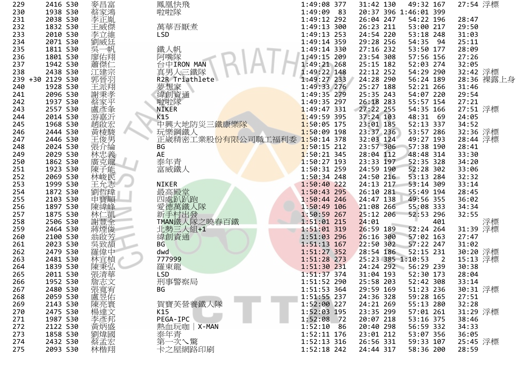| 229 | 2416 S30         | 麥昌富                  | 鳳凰快飛                          | 1:49:08 377   | 31:42 130<br>49:32 167                        | 27:54 浮標   |
|-----|------------------|----------------------|-------------------------------|---------------|-----------------------------------------------|------------|
| 230 | 1938 S30         | 蔡家鴻                  | 啦啦隊                           | 1:49:09 83    | 20:37 396 1:46:01 399                         |            |
| 231 | 2038 S30         | 李正胤                  |                               | 1:49:12 292   | 26:04 247<br>54:22 196                        | 28:47      |
| 232 | 1832 S30         | 王威傑                  | 萬華吾厭煮                         | 1:49:13 300   | 26:23 211<br>53:00 217                        | 29:50      |
| 233 | 2010 S30         | 李立維                  | <b>LSD</b>                    | 1:49:13 253   | 24:54 220<br>53:18 248                        | 31:03      |
| 234 | 2071 S30         | 劉威廷                  |                               | 1:49:14 359   | 29:28 256<br>54:35 94                         | 25:11      |
| 235 | 1811 S30         | 吳一帆                  | 鐵人帆                           | 1:49:14 330   | 27:16 232<br>53:50 177                        | 28:09      |
| 236 | 1801 S30         | 廖佑翔                  | 阿嘴隊                           | 1:49:15 209   | 23:54 308<br>57:56 156                        | 27:26      |
| 237 | 1942 S30         |                      | 台中IRON MAN                    | 1:49:21 268   | 25:15 182<br>52:03 274                        | 32:05      |
|     | 2438 S30         | 蕭傑仁                  |                               |               | 54:29 290                                     |            |
| 238 |                  | 江建宗                  | 真男人三鐵隊                        | 1:49:22 148   | 22:12 252                                     | 32:42 浮標   |
|     | 239 +30 2129 S30 | 郭晉羽                  | R2R Triathlete                | 1:49:27 233   | 24:28 290<br>56:24 189                        | 28:36 裸露上身 |
| 240 | 1928 S30         | 王派翔                  | 夢想家<br>緯創資通                   | 1:49:33 276   | 25:27 188<br>52:21 266                        | 31:46      |
| 241 | 2096 S30         | 謝秉孝                  |                               | 1:49:35 279   | 25:35 243<br>54:07 220                        | 29:54      |
| 242 | 1937 S30         | 蔡家平                  | 啦啦隊                           | 1:49:35 297   | 26:18 283<br>55:57 154                        | 27:21      |
| 243 | 2557 S30         | 盧彥夆                  | <b>NIKER</b>                  | $1:49:47$ 331 | $27:22$ 255<br>54:35 166                      | 27:51 浮標   |
| 244 | 2014 S30         | 游嘉沂                  | K15                           | $1:49:59$ 395 | 37:24 103<br>48:31 69                         | 24:05      |
| 245 | 1968 S30         | 趙啟宏                  | 中興大地防災三 <mark>鐵康樂隊</mark>     | 1:50:05 175   | 52:13 337<br>23:01 185                        | 34:52      |
| 246 | 2444 S30         | 黃棱駿                  | 玩樂鋼鐵人                         | 1:50:09 198   | 23:37 236<br>53:57 286                        | 32:36 浮標   |
| 247 | 2446 S30         | 王俊男                  | 正崴精密工業股份有限公司職工福利委 1:50:14 378 |               | 49:27 193<br>32:03 124                        | 28:44 浮標   |
| 248 | 2024 S30         | 張介綸                  | BG                            | $1:50:15$ 212 | 23:57 306<br>57:38 190                        | 28:41      |
| 249 | 2029 S30         | 林忠義                  | AE                            | $1:50:21$ 345 | 28:04 112<br>48:48 314                        | 33:30      |
| 250 | 1862 S30         | 廣克龍                  | 泰年青                           | $1:50:27$ 193 | 23:33 197<br>52:35 328                        | 34:20      |
| 251 | 1923 S30         | 陳子能                  | 富威鐵人                          | 1:50:31 259   | 52:28 302<br>24:59 190                        | 33:06      |
| 252 | 2069 S30         | 林峻民                  |                               | $1:50:34$ 248 | 24:50 216<br>53:13 284                        | 32:32      |
| 253 | 1999 S30         | 王允志                  | <b>NIKER</b>                  | $1:50:40$ 222 | 24:13 217<br>53:14 309                        | 33:14      |
| 254 | 1872 S30         | 劉哲瑋                  |                               | 1:50:43 295   | 26:10 281<br>55:49 194                        | 28:45      |
| 255 | 2103 S30         | 申寶順                  | 最高殿堂<br>四處趴趴跑                 | 1:50:44 246   | 24:47 138<br>49:56 355                        | 36:02      |
| 256 | 1897 S30         | 陳緯峰                  | 愛德萬鐵人隊                        | 1:50:49 106   | 21:08 266<br>55:08 333                        | 34:34      |
| 257 | 1875 S30         | 林仁凱                  | 新手村出發                         | 1:50:59 267   | $25:12$ 206<br>52:53 296                      | 32:55      |
| 258 | 2506 S30         | 謝豐全                  | TMAN鐵人隊之曉春百鐵                  | $1:51:01$ 215 | 24:01<br>401                                  | 浮標         |
| 259 | 2464 S30         | 蔣煙俊                  | 北勢三人組+1                       | 1:51:01 319   | 26:59 189<br>52:24 264                        | 31:39 浮標   |
|     |                  |                      |                               |               |                                               |            |
| 260 | 2100 S30         | 翁啟芳                  | 緯創資通                          | 1:51:03 296   | 26:16 300<br>57:02 163                        | 27:47      |
| 261 | 2023 S30         | 吳致頡                  | <b>BG</b>                     | $1:51:13$ 167 | $22:50$ 302<br>57:22 247                      | 31:02      |
| 262 | 2479 S30         | 羅偉中                  | dwd                           | 1:51:27 352   | 28:54 186<br>52:15 231                        | 30:20 浮標   |
| 263 | 2481 S30         | 林宜楨                  | 777999                        | 1:51:28 273   | 25:23 385 1:10:53<br>$\overline{\phantom{0}}$ | 15:13 浮標   |
| 264 | 1839 S30         | 陳秉弘                  | 羅東龍                           | 1:51:30 231   | 24:24 292 56:29 239                           | 30:38      |
| 265 | 2011 S30         | 張清華                  | <b>LSD</b>                    | $1:51:37$ 374 | 31:04 193<br>52:30 173                        | 28:04      |
| 266 | 1952 S30         | 詹志文                  | 刑事警察局                         | 1:51:52 290   | 25:58 203<br>52:42 308                        | 33:14      |
| 267 | 2480 S30         | 張寬宥                  | ВG                            | 1:51:53 364   | 29:59 169<br>51:23 236                        | 30:31 浮標   |
| 268 | 2059 S30         |                      |                               | 1:51:55 237   | 24:36 328<br>59:28 165                        | 27:51      |
| 269 | 2143 S30         |                      | 賀寶芙營養鐵人隊                      | 1:52:00 227   | 24:21 269<br>55:13 280                        | 32:28      |
| 270 | 2475 S30         |                      | K15                           | 1:52:03 195   | 23:35 299<br>57:01 261                        | 31:29 浮標   |
| 271 | 1987 S30         |                      | PEGA-IPC                      | 1:52:08<br>72 | 20:07 218<br>53:16 375                        | 38:46      |
| 272 | 2122 S30         |                      | 熱血玩咖 X-MAN                    | 1:52:10<br>86 | 20:40 298<br>56:59 332                        | 34:33      |
| 273 | 1858 S30         |                      | 泰年青                           | 1:52:11 176   | 23:01 212<br>53:07 356                        | 36:05      |
| 274 | 2432 S30         | 陳楊李黃劉蔡# <br> 売達彥炳煒孟# | 第一次へ驚                         | 1:52:13 316   | 26:56 331<br>59:33 107                        | 25:45 浮標   |
| 275 | 2093 S30         | 林楷翔                  | 卡之屋網路印刷                       | 1:52:18 242   | 24:44 317<br>58:36 200                        | 28:59      |
|     |                  |                      |                               |               |                                               |            |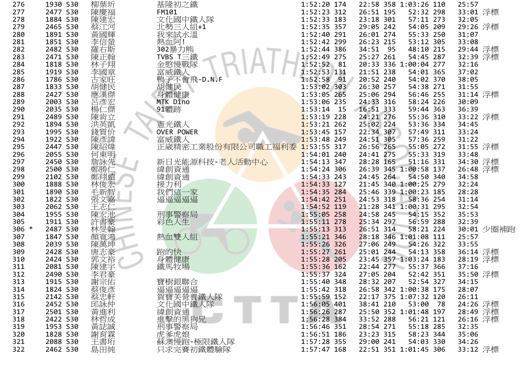| 276     | 1930 S30 | 柳葉圻                 | 基隆初之鐵                         | 1:52:20 174                  | 22:58 358 1:03:26 110      | 25:57          |
|---------|----------|---------------------|-------------------------------|------------------------------|----------------------------|----------------|
| 277     | 2477 S30 | 陳慶福                 | FM101                         | 1:52:23 312                  | 26:51 195<br>52:32 298     | 33:01 浮標       |
| 278     | 1884 S30 | 陳建宏                 | 文化國中鐵人隊                       | 1:52:33 183                  | 23:18 301<br>57:11 273     | 32:05          |
| 279     | 2465 S30 | 蔡江河                 | 北勢三人組+1                       | 1:52:35 357                  | 29:05 242<br>54:05 209     | 29:26 浮標       |
| 280     | 1891 S30 | 黃國輝                 | 我來試水溫                         | 1:52:40 291                  | 55:33 250<br>26:01 274     | 31:07          |
| 281     | 1851 S30 | 李信螢                 | 熱血阿!                          | 1:52:42 299                  | 26:23 215<br>53:12 305     | 33:08          |
| 282     | 2482 S30 | 羅右斯                 | 302暴力熊                        | 1:52:44 386                  | 34:51 95<br>48:10 215      | 29:44 浮標       |
| 283     | 2471 S30 | 陳正翰                 | TVBS T三鐵                      | 1:52:49 275                  | 25:27 261<br>54:45 287     | 32:39 浮標       |
| 284     | 1818 S30 | 林子翔                 |                               | 1:52:52 81                   | 20:33 336 1:00:04 277      | 32:16          |
| 285     | 1919 S30 |                     | :金憨慢戰隊<br>富威鐵人<br>鴨子不會飛-D.N.F | 1:52:53 131                  | 21:51 238<br>54:01 365     | 37:02          |
|         |          | 李國章                 |                               | $1:52:58$ 91                 | 20:52 240<br>54:02 370     |                |
| 286     | 1786 S30 | 古家旺                 |                               |                              |                            | 38:05<br>31:55 |
| 287     | 1833 S30 | 胡健民                 | 胡健民                           | $1:53:02$ 303                | 54:38 271<br>26:30 257     |                |
| 288     | 2427 S30 | 應漢傑                 | 身體健康                          | 1:53:05 265                  | 25:06 294<br>56:46 255     | 31:14 浮標       |
| 289     | 2003 S30 | 呂彥宏                 | MTK Dino                      | 1:53:06 235                  | 24:33 316<br>58:24 226     | 30:09          |
| 290     | 2035 S30 | 楊仁傑                 | 91體跡                          | $1:53:14$ 15                 | $16:51$ 333<br>59:44 363   | 36:39          |
| 291     | 2489 S30 | 陳肯立                 |                               | $1:53:19$ 228                | 55:36 310<br>24:21 276     | 33:22 浮標       |
| 292     | 1894 S30 | 洪英凱                 | 憲光鐵人                          | $1:53:21$ 262                | 53:36 334<br>25:02 224     | 34:45          |
| 293     | 1995 S30 | 錢質价                 | <b>OVER POWER</b>             | $1:53:45$ 157                | 57:49 311<br>22:34 307     | 33:24          |
| 294     | 1922 S30 | 陳彥諱                 | 富威鐵人                          | $1:53:48$ 249                | 57:36 259<br>24:51 305     | 31:22          |
| 295     | 2447 S30 | 陳紹煒                 | 正崴精密工業股份有限公司職工福利委             | $1:53:55$ 317                | 55:05 272<br>26:56 265     | 31:55 浮標       |
| 296     | 2055 S30 | 何東明                 |                               | $1:54:01$ 240                | 55:33 319<br>24:41 275     | 33:48          |
| 297     | 2450 S30 | 詹詠先                 | 新日光能源科技-老 <mark>人活動中心</mark>  | $1:54:13$ 347                | 28:28 165<br>51:16 331     | 34:30 浮標       |
| 298     | 2500 S30 |                     | 緯創資通                          | 1:54:24 306                  | 26:39 345 1:00:58 137      | 26:48 浮標       |
| 299     | 2102 S30 | 鄭勝仁                 | 緯創資通                          | 1:54:33 243                  | 24:45 264 54:50 340        | 34:58          |
| 300     | 1888 S30 | 林俊宏                 | 接力利                           | 1:54:33 127                  | 21:45 340 1:00:25 279      | 32:24          |
| 301     | 1890 S30 | 毛新智宗文               | 我們這一家                         | $1:54:35$ 284                | 25:46 339 1:00:23 185      | 28:28          |
| 302     | 1822 S30 |                     | 逼逼逼逼逼                         | $1:54:42$ 251                | 24:53 318<br>58:36 254     | 31:14          |
| 303     | 2062 S30 | 王志仁                 |                               | 1:54:52 119                  | 21:28 341 1:00:31 295      | 32:54          |
| 304     | 1955 S30 | 陳宏池                 | 刑事警察局                         | 1:55:05 258                  | 24:58 245<br>54:15 352     | 35:53          |
| 305     | 1911 S30 | 許書豪                 | 彩色人生                          | $1:55:11$ 278                | 25:34 297<br>56:59 288     | 32:39          |
| $306 *$ | 2487 S30 | 林旻翰                 |                               | $1:55:13$ 313                | 26:51 314<br>58:21 224     | 30:01 少圈補跑     |
| 307     | 1847 S30 | 顏寬鴻                 | 熱血雙人組                         | $1:55:21$ 346                | 28:18 346 1:01:08 111      | 25:57          |
| 308     | 2039 S30 | 陳萬坤                 |                               | $1:55:26$ 326                | 27:06 249<br>54:26 322     | 33:55          |
| 309     | 2428 S30 | 唐志豪                 | 跑的快                           | $1:55:27$ 261                | 25:01 244<br>54:13 358     | 36:14 浮標       |
| 310     | 2424 S30 |                     | 身體健康                          | 1:55:28 205                  | 23:45 357 1:03:24 183      | 28:19 浮標       |
|         |          | 郭文裕                 |                               |                              | 22:44 277 55:37 366        | 37:16          |
| 311     | 2081 S30 | 陳建宇                 | 鐵馬牧場                          | 1:55:36 162<br>$1:55:37$ 324 | 52:42 351                  |                |
| 312     | 2490 S30 | 李君豪                 |                               |                              | 27:05 204                  | 35:50 浮標       |
| 313     | 1915 S30 |                     | 寶樹銀聯合<br>逼逼逼逼                 | 1:55:40 348                  | 28:32 207<br>52:54 327     | 34:15          |
| 314     | 1824 S30 |                     |                               | 1:55:42 318                  | 26:58 342 1:00:38 175      | 28:07          |
| 315     | 2142 S30 |                     |                               | $1:55:59$ 152                | 22:17 375 1:07:32 120      | 26:11          |
| 316     | 2452 S30 |                     |                               | 1:56:05 401                  | 38:41 210<br>53:00<br>- 78 | 24:26 浮標       |
| 317     | 2501 S30 | +謝蔡蔡邱黃:<br>宗俊忠詠進】   | 篇實美營養鐵人隊<br>文化國中鐵人隊<br>緯創資通   | 1:56:26 287                  | 25:50 352 1:01:48 197      | 28:49 浮標       |
| 318     | 2422 S30 |                     | 進擊的黑狗兄                        | 1:56:28 384                  | 33:52 288<br>56:21 121     | 26:16 浮標       |
| 319     | 1953 S30 |                     |                               | 1:56:46 351                  | 28:54 271<br>55:18 285     | 32:35          |
| 320     | 1828 S30 | 《林黃謝王<br>新聞<br>《新聞》 |                               | 1:56:51 186                  | 23:23 315<br>58:23 344     | 35:06          |
| 321     | 2088 S30 | 王書珩                 | 蘇澳慢跑-極限鐵人隊                    | 1:57:28 355                  | 29:00 241<br>54:03 330     | 34:26          |
| 322     | 2462 S30 | 島田純                 | 只求完賽初鐵體驗隊                     | $1:57:47$ 168                | 22:51 351 1:01:45 306      | 33:12 浮標       |
|         |          |                     |                               |                              |                            |                |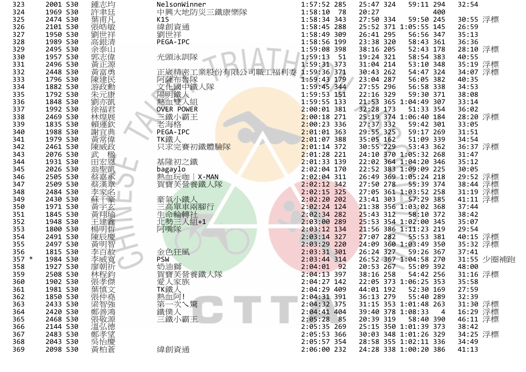| 323   | 2001 S30 | 鍾志均      | NelsonWinner      | 1:57:52 285   | 25:47 324         | 59:11 294                | 32:54                |
|-------|----------|----------|-------------------|---------------|-------------------|--------------------------|----------------------|
| 324   | 1969 S30 | 許聿廷      | 中興大地防災三鐵康樂隊       | $1:58:10$ 78  | 20:27             | 400                      |                      |
| 325   | 2474 S30 | 葉甫凡      | K15               | 1:58:34 343   | 27:50 334         | 59:50 245                | 30:55 浮標             |
| 326   | 2101 S30 | 張皓敏      | 緯創資通              | 1:58:45 288   |                   | 25:52 371 1:05:55 145    | 26:59                |
| 327   | 1950 S30 | 劉世祥      | 劉世祥               | 1:58:49 309   | 26:41 295         | 56:56 347                | 35:13                |
| 328   | 1989 S30 | 高銀清      | PEGA-IPC          | 1:58:56 199   | 23:38 320         | 58:43 361                | 36:36                |
| 329   | 2495 S30 | 余泰山      |                   | 1:59:08 398   | 38:16 205         | 52:43 178                | 28:10 浮標             |
| 330   | 1957 S30 | 郭志偉      | 光頭泳訓隊             | 1:59:13 51    | 19:24 321         | 58:54 383                | 40:55                |
| 331   | 2496 S30 | 黃正源      |                   | 1:59:31 373   | 31:04 214         | 53:10 348                |                      |
| 332   | 2448 S30 | 黃富勇      | 正崴精密工業股份有限公司職工福利委 | 1:59:36 371   | 30:43 262         | 54:47 324                | 35:19 浮標<br>34:07 浮標 |
| 333   | 1796 S30 |          |                   | 1:59:43 179   | 23:04 287         | 56:05 382                | 40:35                |
| 334   |          | 陳建民      | 阿薩布魯隊<br>文化國中鐵人隊  | 1:59:45 344   | 27:55 296         | 56:58 338                |                      |
|       | 1882 S30 | 游政勳      |                   |               |                   |                          | 34:53                |
| 335   | 1792 S30 | 朱元康      | 陽明鐵人              | 1:59:53 151   | 22:16 329         | 59:30 371                | 38:08                |
| 336   | 1848 S30 | 劉亦凱      | 熱血雙人組             | 1:59:55 133   |                   | 21:53 365 1:04:49 307    | 33:14                |
| 337   | 1992 S30 | 徐福君      | <b>OVER POWER</b> | $2:00:01$ 381 | $32:28$ 173       | 51:33 354                | 36:02                |
| 338   | 2469 S30 | 林煌展      | 三鐵小霸王             | $2:00:18$ 271 |                   | 25:19 374 1:06:40 184    | 28:20 浮標             |
| 339   | 1835 S30 | 賴運欽      | 老海格               | $2:00:23$ 336 | 27:37 332         | 59:42 301                | 33:05                |
| 340   | 1988 S30 | 謝宜典      | PEGA-IPC          | $2:01:01$ 363 | 29:55 325         | 59:17 269                | 31:51                |
| 341   | 1979 S30 | 黃常偉      | TK鐵人              | $2:01:07$ 388 | 35:05 162         | 51:09 339                | 34:54                |
| 342   | 2461 S30 | 陳威政      | 只求完賽初鐵體驗隊         | $2:01:14$ 372 | 30:55 229         | 53:43 362                | 36:37 浮標             |
| 343   | 2076 S30 | 武<br>田宏恩 |                   | $2:01:28$ 221 |                   | 24:10 370 1:05:32 268    | 31:47                |
| 344   | 1931 S30 |          | 基隆初之鐵             | 2:01:33 139   |                   | 22:02 364 1:04:20 346    | 35:12                |
| 345   | 2026 S30 | 翁聖凱      | bagaylo           | 2:02:04 170   |                   | 22:52 383 1:09:09 225    | 30:05                |
| 346   | 2505 S30 | 蔡嘉承      | 熱血玩咖   X-MAN      | $2:02:04$ 311 |                   | 26:49 369 1:05:24 218    | 29:52 浮標<br>38:44 浮標 |
| 347   | 2509 S30 |          | 賀寶芙營養鐵人隊          | $2:02:12$ 342 | 27:50 278         | 55:39 374                |                      |
| 348   | 2484 S30 | 李家名      |                   | $2:02:15$ 325 |                   | 27:05 361 1:03:52 258    | 31:19 浮標             |
| 349   | 2430 S30 |          | 豪氣小鐵人             | 2:02:20 202   | 23:41 303         | 57:29 385                | 41:11 浮標             |
| 350   | 1971 S30 | 黃宇玄      | 三高單車兩腳行           | 2:02:24 124   |                   | 21:38 356 1:03:02 368    | 37:44                |
| 351   | 1845 S30 | 黃翔瑜      | 生命輪轉社             | $2:02:34$ 282 | $25:43$ 312       | 58:10 372                | 38:42                |
| 352   | 1948 S30 | 王建鑫      | 北勢三人組+1           | $2:03:00$ 289 |                   | 25:53 354 1:02:00 345    | 35:07                |
| 353   | 1800 S30 | 楊明哲      | 阿嘴隊               | $2:03:12$ 134 |                   | 21:56 386 1:11:23 219    | 29:54                |
| 354   | 2491 S30 | 陳辰慶      |                   | $2:03:14$ 327 | 27:07 282         | 55:53 381                | 40:15 浮標             |
| 355   | 2497 S30 | 黃明智      |                   | $2:03:29$ 220 |                   | 24:09 360 1:03:49 350    | 35:32 浮標             |
| 356   | 1815 S30 | 李百赦      | 金色狂風              | $2:03:31$ 301 | 26:24 327         | 59:26 367                | 37:41                |
| 357 * | 1984 S30 | 李威寬      | <b>PSW</b>        | $2:03:44$ 314 |                   | 26:52 367 1:04:58 270    | 31:55 少圈補跑           |
| 358   | 1927 S30 | 廖朝祈      | 奶油獅               | $2:04:01$ 92  |                   | 20:53 267 55:09 392      | 48:00                |
| 359   | 2508 S30 | 林程鈞      | 賀寶芙營養鐵人隊          | $2:04:13$ 397 | 38:16 258         | 54:42 256                | 31:16 浮標             |
| 360   | 1902 S30 |          | 愛人家族              | 2:04:27 142   |                   | 22:05 373 1:06:25 353    | 35:58                |
| 361   | 1981 S30 |          |                   | 2:04:29 409   | 44:01 192         | 52:30 169                | 27:59                |
| 362   | 1850 S30 |          | TK鐵人<br>熱血阿!      | 2:04:31 391   | 36:13 279         | 55:40 289                | 32:39                |
|       |          |          |                   |               |                   |                          |                      |
| 363   | 2433 S30 |          | 第一次へ驚             | 2:04:32 375   |                   | 31:15 353 1:01:48 263    | 31:30 浮標             |
| 364   | 2420 S30 |          | 鐵僕人               | $2:04:41$ 404 | 39:40 378 1:08:33 | $\overline{\phantom{a}}$ | 16:29 浮標<br>46:11 浮標 |
| 365   | 2468 S30 |          | 三鐵小霸王             | 2:05:28 85    | 20:39 319         | 58:40 390                |                      |
| 366   | 2144 S30 |          |                   | 2:05:35 269   |                   | 25:15 350 1:01:39 373    | 38:42                |
| 367   | 2483 S30 |          |                   | 2:05:53 366   |                   | 30:03 348 1:01:26 329    | 34:25 浮標             |
| 368   | 2043 S30 |          |                   | 2:05:57 354   |                   | 28:58 355 1:02:11 336    | 34:49                |
| 369   | 2098 S30 |          | 緯創資通              | 2:06:00 232   |                   | 24:28 338 1:00:20 386    | 41:13                |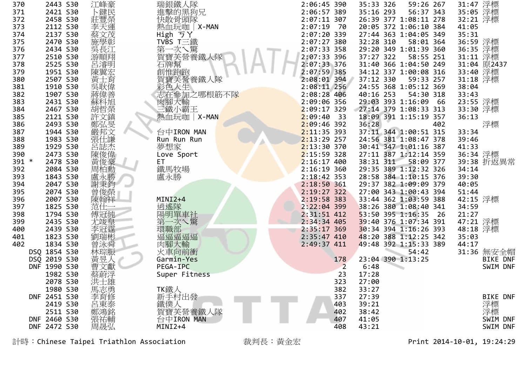| 370   | 2443 S30     | 江峰豪                 | 瑞銀鐵人隊                      | 2:06:45 390    | 35:33 326 | 59:26 267             |     | 31:47 浮標 |                 |
|-------|--------------|---------------------|----------------------------|----------------|-----------|-----------------------|-----|----------|-----------------|
| 371   | 2421 S30     | 卜鍵民                 | 進擊的黑狗兄                     | 2:06:57 389    | 35:16 293 | 56:37 343             |     | 35:05 浮標 |                 |
| 372   | 2458 S30     | 莊豐榮                 | 快散骨頭隊                      | 2:07:11 307    |           | 26:39 377 1:08:11 278 |     | 32:21 浮標 |                 |
| 373   | 2112 S30     | 李天運                 | 熱血玩咖 X-MAN                 | $2:07:19$ 70   |           | 20:05 372 1:06:10 384 |     | 41:05    |                 |
| 374   | 2137 S30     | 蔡文茂                 | High ラY                    | 2:07:20 339    |           | 27:44 363 1:04:05 349 |     | 35:31    |                 |
| 375   | 2470 S30     | 施學彰                 | TVBS T三鐵                   | 2:07:27 380    | 32:28 310 | 58:01 364             |     | 36:59 浮標 |                 |
| 376   | 2434 S30     | 吳長江                 |                            | 2:07:33 358    |           | 29:20 349 1:01:39 360 |     | 36:35 浮標 |                 |
| 377   | 2510 S30     | 游順翔                 |                            | 2:07:33 396    | 37:27 322 | 58:55 251             |     | 31:11 浮標 |                 |
| 378   | 2525 S30     | 呂濬明                 |                            | 2:07:33 376    |           | 31:40 366 1:04:50 249 |     |          | 31:04 原2437     |
| 379   | 1951 S30     | 陳翼宏                 |                            | 2:07:59 385    |           | 34:12 337 1:00:08 316 |     | 33:40 浮標 |                 |
| 380   | 2507 S30     | 黃士育                 | 賀寶芙營養鐵人隊                   | 2:08:01 394    | 37:12 330 | 59:33 257             |     | 31:18 浮標 |                 |
| 381   | 1910 S30     | 吳耿偉                 | 彩色人生                       | $2:08:11$ 256  |           | 24:55 368 1:05:12 369 |     | 38:04    |                 |
| 382   | 1907 S30     | 蔣偉善                 | をロベート<br>志在参加之哪根筋不隊        | 2:08:28 406    | 40:16 253 | 54:30 318             |     | 33:43    |                 |
| 383   | 2431 S30     | 蘇科旭                 | 肉腳大輸                       | 2:09:06 356    |           | 29:03 393 1:16:09 66  |     | 23:55 浮標 |                 |
| 384   | 2467 S30     | 胡哲榮                 | 三鐵小霸王                      | 2:09:17 329    |           | 27:14 379 1:08:33 313 |     | 33:30 浮標 |                 |
| 385   | 2121 S30     | 許文鎮                 | 熱血玩咖   X-MAN               | $2:09:40$ 33   |           | 18:09 391 1:15:19 357 |     | 36:13    |                 |
| 386   | 2493 S30     | 鄭弘旻                 |                            | $2:09:46$ 392  | 36:28     |                       | 402 |          | 浮標              |
| 387   | 1944 S30     | 嚴邦文                 | 台中IRON MAN                 | $2:11:35$ 393  |           | 37:11 344 1:00:51 315 |     | 33:34    |                 |
| 388   | 1983 S30     | 張仕謙                 | Run Run Run                | $2:13:29$ 257  |           | 24:56 381 1:08:47 378 |     | 39:46    |                 |
| 389   | 1929 S30     | 呂誌杰                 | 夢想家                        | $2:13:30$ 370  |           | 30:41 347 1:01:16 387 |     | 41:33    |                 |
| 390   | 2473 S30     | 陳俊偉                 | Love Sport                 | $2:15:59$ 328  |           | 27:11 387 1:12:14 359 |     | 36:34 浮標 |                 |
| 391 * | 2478 S30     | 黃俊豪                 | ET                         | $2:16:17$ 400  | 38:31 311 | 58:09 377             |     |          | 39:38 折返異常      |
| 392   | 2084 S30     | 周柏勳                 | 鐵馬牧場                       | 2:16:19 360    |           | 29:35 389 1:12:32 326 |     | 34:14    |                 |
| 393   | 1843 S30     | 盧永勝                 | 盧永勝                        | 2:18:42 353    |           | 28:58 384 1:10:15 376 |     | 39:30    |                 |
| 394   | 2047 S30     | 謝秉鈞                 |                            | $2:18:50$ 361  |           | 29:37 382 1:09:09 379 |     | 40:05    |                 |
| 395   | 2074 S30     | 曾俊榮                 |                            | $2:19:27$ 322  |           | 27:00 343 1:00:43 394 |     | 51:44    |                 |
| 396   | 2007 S30     | 陳翰祥                 | MINI2+4                    | 2:19:58 383    |           | 33:44 362 1:03:59 388 |     | 42:15 浮標 |                 |
| 397   | 1825 S30     | 范仕一                 | 逍遙隊                        | $2:22:04$ 399  |           | 38:26 380 1:08:40 341 |     | 34:59    |                 |
| 398   | 1794 S30     | 傅冠純                 | 陽明單車社                      | 2:31:51 412    |           | 53:50 395 1:16:35     | 26  | 21:27    |                 |
| 399   | 2435 S30     | 尤竣皇                 | 第一次へ驚                      | $2:34:34$ 405  |           | 39:40 376 1:07:34 391 |     | 47:21 浮標 |                 |
| 400   | 2439 S30     | 李冠霆                 | 環職部                        | $2:35:17$ 369  |           | 30:34 394 1:16:26 393 |     | 48:18 浮標 |                 |
| 401   | 1823 S30     | 劉瑞彬                 | 逼逼逼逼逼                      | $2:35:47$ 410  |           | 48:20 388 1:12:25 342 |     | 35:03    |                 |
| 402   | 1834 S30     | 曾泳舜                 | 肉腳大輸                       | 2:49:37 411    |           | 49:48 392 1:15:33 389 |     | 44:17    |                 |
|       | DSQ 1854 S30 | 林琮脤                 | 火車向前衝                      |                |           | 54:42                 |     |          | 31:36 無安全帽      |
|       | DSQ 2019 S30 | 黃昱人                 | Garmin-Yes                 | 178            |           | 23:04 390 1:13:25     |     |          | <b>BIKE DNF</b> |
|       | DNF 1990 S30 |                     | PEGA-IPC                   | $\overline{2}$ | 6:48      |                       |     |          | SWIM DNF        |
|       | 1982 S30     | 蔡蔚浮                 | Super Fitness              | 23             | 17:28     |                       |     |          |                 |
|       | 2078 S30     |                     |                            | 323            | 27:00     |                       |     |          |                 |
|       | 1980 S30     |                     | TK鐵人                       | 382            | 33:27     |                       |     |          |                 |
|       | DNF 2451 S30 | 《洪士志育》<br>「太太有志有志有志 | 新手村出發                      | 337            | 27:39     |                       |     |          | <b>BIKE DNF</b> |
|       | 2419 S30     |                     | 鐵僕人                        | 403            | 39:21     |                       |     |          |                 |
|       | 2511 S30     | 呂東泰<br>鄭鴻銘          | 賀寶芙營養鐵人隊                   | 402            | 38:42     |                       |     |          | 浮標<br>浮標        |
|       | DNF 2460 S30 | 張祐輔                 | $\oplus$ $\oplus$ IRON MAN | 407            | 41:05     |                       |     |          | SWIM DNF        |
|       | DNF 2472 S30 | 周晟弘                 | MINI2+4                    | 408            | 43:21     |                       |     |          | SWIM DNF        |
|       |              |                     |                            |                |           |                       |     |          |                 |

計時:Chinese Taipei Triathlon Association 裁判長:黃金宏 Print 2014-10-01, 19:24:29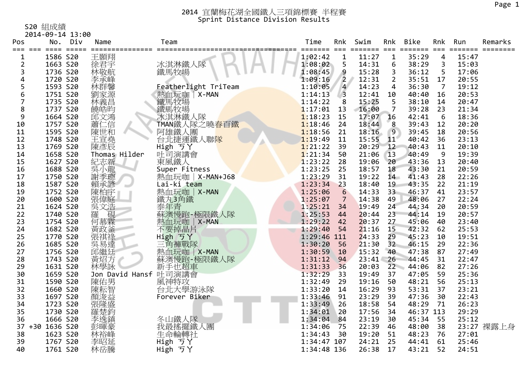S20 組成績

|                 | 2014-09-14 13:00 |                 |                                      |             |                |           |                 |             |                |              |            |
|-----------------|------------------|-----------------|--------------------------------------|-------------|----------------|-----------|-----------------|-------------|----------------|--------------|------------|
| Pos             | No. Div          | Name            | Team                                 | Time        | Rnk            | Swim      | Rnk             | <b>Bike</b> | Rnk            | Run          | Remarks    |
| $== =$<br>$===$ |                  |                 |                                      | ======= === |                | ===== === |                 | =======     | ===            | ======= ==== |            |
| 1               | 1586 S20         | 王顥翔             |                                      | 1:02:42     | $\mathbf 1$    | 11:27     | $\mathbf{1}$    | 35:29       | 4              | 15:47        |            |
| $\overline{2}$  | 1663 S20         | 徐君宇             | 冰淇淋鐵人隊                               | 1:08:02     | 5              | 14:31     | 6               | 38:29       | 3              | 15:03        |            |
| 3               | 1736 S20         | 林敬航             | 鐵馬牧場                                 | 1:08:45     | 9              | 15:28     | 3               | 36:12       | 5              | 17:06        |            |
| 4               | 1720 S20         | 李承峰             |                                      | 1:09:16     | $\overline{2}$ | 12:31     | $\overline{2}$  | 35:51       | 17             | 20:55        |            |
| 5               | 1593 S20         | 林群馨<br>劉家源      | Featherlight TriTeam                 | 1:10:05     | $\overline{a}$ | 14:23     | 4               | 36:30       | $\overline{7}$ | 19:12        |            |
| 6               | 1751 S20         |                 | 熱血玩咖   X-MAN                         | 1:14:13     | $\overline{3}$ | 12:41     | 10              | 40:40       | 16             | 20:53        |            |
|                 | 1735 S20         | 林義昌             | 鐵馬牧場<br>鐵馬牧場                         | 1:14:22     | 8              | 15:25     | 5               | 38:10       | 14             | 20:47        |            |
| 8               | 1737 S20         | 饒皓昀             |                                      | 1:17:01     | 13             | 16:00     | 7               | 39:28       | 23             | 21:34        |            |
| 9               | 1664 S20         | 邱文鴻<br>蕭仁信      | 冰淇淋鐵人隊<br>TMAN鐵人隊之曉 <mark>春百鐵</mark> | 1:18:23     | 15             | 17:07     | 16              | 42:41       | 6              | 18:36        |            |
| 10              | 1757 S20         |                 |                                      | 1:18:46     | 24             | 18:44     | 8               | 39:43       | 12             | 20:20        |            |
| 11              | 1595 S20         | 陳世和             | 阿雄鐵人團                                | 1:18:56     | 21             | 18:16     | 9               | 39:45       | 18             | 20:56        |            |
| 12              | 1748 S20         | 王宣堯             | 台北捷運鐵人聯 <mark>隊</mark>               | 1:19:49     | 11             | 15:55     | 11              | 40:42       | 36             | 23:13        |            |
| 13              | 1769 S20         | 陳彥辰             | High ラY                              | 1:21:22     | 39             | 20:29     | 12              | 40:43       | 11             | 20:10        |            |
| 14              | 1658 S20         | Thomas Hilder   | 吐司演講會                                | 1:21:34     | 50             | 21:06     | 13              | 40:49       | 9              | 19:39        |            |
| 15              | 1627 S20         | 紀志新             | 東風鐵人                                 | 1:23:22     | 28             | 19:06     | 20              | 43:36       | 13             | 20:40        |            |
| 16              | 1688 S20         | 吳小龍             | Super Fitness                        | 1:23:25     | 25             | 18:57     | 18              | 43:30       | 21             | 20:59        |            |
| 17              | 1750 S20         | 謝季璁             | 熱血玩咖   X-MAN+J68                     | 1:23:29     | 31             | 19:22     | 14              | 41:43       | 28             | 22:26        |            |
| 18              | 1587 S20         | 賴承諺             | Lai-ki team                          | 1:23:34     | 23             | 18:40     | 19              | 43:35       | 22             | 21:19        |            |
| 19              | 1752 S20         | 陳柏宇             | 熱血玩咖   X-MAN                         | 1:25:06     | 6              | 14:33     | 33 <sup>°</sup> | 46:37       | 41             | 23:57        |            |
| 20              | 1600 S20         | 張偉庭             | 鐵丸3角鐵                                | 1:25:07     | 7              | 14:38     | 49              | 48:06       | 27             | 22:24        |            |
| 21              | 1624 S20         | ·吴文浩<br>羅       | 泰年青                                  | 1:25:21     | 34             | 19:49     | 24              | 44:34       | 20             | 20:59        |            |
| 22              | 1740 S20         |                 | 蘇澳慢跑-極限鐵人隊                           | 1:25:53     | 44             | 20:44     | 23              | 44:14       | 19             | 20:57        |            |
| 23              | 1754 S20         | 何慕霖             | 熱血玩咖<br>$X-MAN$                      | 1:29:22     | 42             | 20:37     | 27              | 45:06       | 40             | 23:40        |            |
| 24              | 1682 S20         | 黃政釜             | 不要掉晶片                                | 1:29:40     | 54             | 21:16     | 15              | 42:32       | 62             | 25:53        |            |
| 25              | 1770 S20         | 張祺祿             | High ゔY                              | 1:29:46 111 |                | 24:33     | 29              | 45:23       | 10             | 19:51        |            |
| 26              | 1685 S20         | 吳易達             | 三角褲戰隊                                | 1:30:20     | 56             | 21:30     | 32 <sub>2</sub> | 46:15       | 29             | 22:36        |            |
| 27              | 1756 S20         | 邱繼廷             | 熱血玩咖<br>$X-MAN$                      | 1:30:59     | 10             | 15:32     | 40              | 47:38       | 87             | 27:49        |            |
| 28              | 1743 S20         | 黃炤方             | 蘇澳慢跑-極限鐵人隊                           | 1:31:12     | 94             | 23:41     | 26              | 44:45       | 31             | 22:47        |            |
| 29              | 1631 S20         | 林學詠             | 新手也超車                                | 1:31:33     | 36             | 20:03     | 22              | 44:06       | 82             | 27:26        |            |
| 30              | 1659 S20         | Jon David Hansf | 吐司演講會                                | 1:32:29     | 33             | 19:49     | 37              | 47:05       | 59             | 25:36        |            |
| 31              | 1590 S20         | 陳佑男<br>陳耘智      | 風神特攻                                 | 1:32:49     | 29             | 19:16     | 50              | 48:21       | 56             | 25:13        |            |
| 32              | 1660 S20         |                 | 台北大學游泳隊                              | 1:33:20     | 14             | 16:29     | 93              | 53:31       | 37             | 23:21        |            |
| 33              | 1697 S20         | 顏浚益             | Forever Biker                        | 1:33:46     | 91             | 23:29     | 39              | 47:36       | 30             | 22:43        |            |
| 34              | 1723 S20         | 張隆盛             |                                      | 1:33:49     | 26             | 18:58     | 54              | 48:29       | 71             | 26:23        |            |
| 35              | 1730 S20         | 羅楚鈞             |                                      | 1:34:01     | 20             | 17:56     | 34              | 46:37 113   |                | 29:29        |            |
| 36              | 1666 S20         | 李逸鎮             |                                      | 1:34:04     | 84             | 23:19     | 30              | 45:34       | 55             | 25:12        |            |
| 37              | +30 1636 S20     | 彭暉豪             | 冬山鐵人隊<br>我最搖擺鐵人團                     | 1:34:06     | 75             | 22:39     | 46              | 48:00       | 38             |              | 23:27 裸露上身 |
| 38              | 1623 S20         | 林裕峰             | 生命輪轉社                                | 1:34:43     | 30             | 19:20     | 51              | 48:23       | 76             | 27:01        |            |
| 39              | 1767 S20         | 李昭延             | High ゔY                              | 1:34:47 107 |                | 24:21     | 25              | 44:41       | 61             | 25:46        |            |
| 40              | 1761 S20         | 林岳騰             | High 丂Y                              | 1:34:48 136 |                | 26:38     | 17              | 43:21       | 52             | 24:51        |            |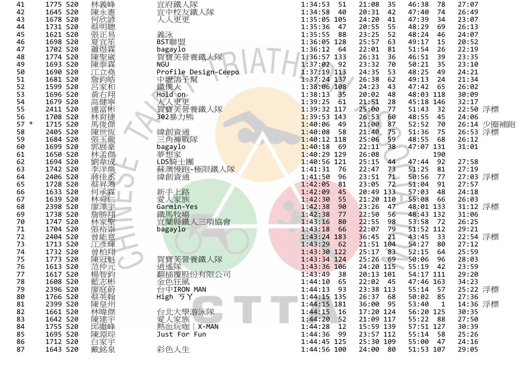| 41     | 1775 S20 | 林義峰                                                                                              | 宜府鐵人隊                | 1:34:53<br>51            | 21:08<br>35     | 46:38<br>78           | 27:07      |
|--------|----------|--------------------------------------------------------------------------------------------------|----------------------|--------------------------|-----------------|-----------------------|------------|
| 42     | 1645 S20 | 陳永憲<br>何欣諺                                                                                       | 宜中校友鐵人隊              | 1:34:58<br>40            | 20:31<br>42     | 47:40<br>74           | 26:49      |
| 43     | 1678 S20 |                                                                                                  | 人人更更                 | 1:35:05 105              | 24:20<br>41     | 47:39<br>34           | 23:07      |
| 44     | 1731 S20 | 蔡明聰                                                                                              |                      | 1:35:36<br>47            | 20:55<br>55     | 48:29<br>69           | 26:13      |
| 45     | 1621 S20 |                                                                                                  | 義泳                   | 1:35:55<br>88            | 23:25<br>52     | 48:24<br>46           | 24:07      |
| 46     | 1698 S20 |                                                                                                  | BST聯盟                | 1:36:05 128              | 25:57<br>63     | 49:17<br>15           | 20:52      |
| 47     | 1702 S20 |                                                                                                  | bagaylo              | 1:36:12<br>-64           | 22:01<br>81     | 51:54<br>26           | 22:19      |
| 48     | 1774 S20 | 《張夏蕭陳#                                                                                           | 賀寶芙營養鐵人隊             | 1:36:57 133              | 26:31<br>36     | 46:51<br>39           | 23:35      |
| 49     | 1693 S20 | 陳泰霖                                                                                              | <b>NGU</b>           | $1:37:02$ 92             | 23:32<br>70     | 50:21<br>35           | 23:10      |
| 50     | 1690 S20 | 江立堯                                                                                              | Profile Design-Ceepo | $1:37:19$ 113            | 24:35<br>53     | 48:25<br>49           | 24:21      |
| 51     | 1681 S20 | 詹鈞皓                                                                                              |                      | $1:37:24$ 137            | 26:38<br>62     | 49:13<br>24           | 21:34      |
| 52     | 1599 S20 | 呂家和                                                                                              | 中壢鴿子幫<br>鐵僕人         | 1:38:06 108              | 24:23<br>43     | 47:42<br>65           | 26:02      |
| 53     | 1696 S20 | 黃右翔                                                                                              | Hold on              | 1:38:13<br>35            | 20:02<br>48     | 48:03 118             | 30:09      |
| 54     | 1679 S20 |                                                                                                  | 人人更更                 | 1:39:25<br>61            | 21:51<br>28     | 45:18 146             | 32:17      |
| 55     | 2411 S20 |                                                                                                  |                      | 1:39:32 117              | 25:00<br>77     | 51:43<br>32           |            |
|        |          |                                                                                                  | 賀寶芙營養鐵人隊             |                          |                 |                       | 22:50 浮標   |
| 56     | 1708 S20 | 《高連林馬監神》<br><br><br><br><br><br><br><br><br><br><br><br><br><br><br><br><br><br><br><br><br><br> | 302暴力熊               | $1:39:53$ 143<br>1:40:06 | 26:53<br>60     | 48:55<br>45           | 24:06      |
| $57 *$ | 1715 S20 |                                                                                                  |                      | 49                       | 21:00<br>87     | 52:52<br>70           | 26:14 少圈補跑 |
| 58     | 2405 S20 | 陳世恆                                                                                              | 緯創資通                 | 1:40:08<br>58            | 21:40<br>75     | 51:36<br>75           | 26:53 浮標   |
| 59     | 1684 S20 | 張玉龍                                                                                              | 三角褲戰隊                | $1:40:12$ 118            | 25:06<br>59     | 48:55<br>68           | 26:12      |
| 60     | 1699 S20 |                                                                                                  | bagaylo              | 1:40:18<br>69            | 22:11<br>38     | 47:07 131             | 31:01      |
| 61     | 1650 S20 | 郭展孟<br>林劉<br>朝林                                                                                  | 夢想家                  | $1:40:29$ 129            | 26:08           | 190                   |            |
| 62     | 1694 S20 |                                                                                                  | LDS騎士團               | $1:40:56$ 121            | 25:15<br>44     | 92<br>47:44           | 27:58      |
| 63     | 1742 S20 | 李洋煥                                                                                              | 蘇澳慢跑-極限鐵人隊           | 1:41:31<br>76            | 22:47<br>73     | 51:25<br>81           | 27:19      |
| 64     | 2406 S20 | 蔣佳丞                                                                                              | 緯創資通                 | 1:41:50<br>96            | 23:51<br>$71 -$ | 50:56<br>77           | 27:03 浮標   |
| 65     | 1728 S20 | 蔡昇鴻                                                                                              |                      | 1:42:05<br>81            | 23:05<br>72     | 51:04<br>91           | 27:57      |
| 66     | 1633 S20 | 何承霖                                                                                              | 新手上路                 | 1:42:09<br>45            | 20:49 133       | 57:03<br>48           | 24:18      |
| 67     | 1639 S20 | 林舜仁                                                                                              | 愛人家族                 | 1:42:30<br>55            | 21:20 110       | 55:08<br>66           | 26:03      |
| 68     | 2398 S20 | 廖澤宇                                                                                              | Garmin-Yes           | 1:42:38<br>90            | 23:26<br>47     | 48:01 133             | 31:12 浮標   |
| 69     | 1738 S20 | 詹勝翔                                                                                              |                      | 1:42:38<br>77            | 22:50<br>56     | 48:43 132             | 31:06      |
| 70     | 1747 S20 |                                                                                                  | 鐵馬牧場<br>宜蘭縣鐵人三項協會    | 1:43:16<br>80            | 22:55<br>98     | 53:58<br>72           | 26:25      |
| 71     | 1704 S20 | 林家聖<br>張裕崇                                                                                       | bagaylo              | 1:43:18<br>66            | 22:07<br>79     | 51:52 112             | 29:21      |
| 72     | 2404 S20 | 曾能意                                                                                              |                      | 1:43:24 183              | 36:45<br>21     | 43:45<br>33           | 22:54 浮標   |
| 73     | 1713 S20 | 江彥輝                                                                                              |                      | 1:43:29<br>62            | 21:51 104       | 54:27<br>80           | 27:12      |
| 74     | 1732 S20 | 曾柏翔                                                                                              |                      | 1:43:30 122              | 25:17<br>83     | 52:15<br>64           | 25:59      |
| 75     | 1773 S20 | 陳冠魁                                                                                              | 賀寶芙營養鐵人隊             | 1:43:34 124              | $25:26 - 69$    | 50:06<br>96           | 28:03      |
| 76     | 1613 S20 | 范仲元                                                                                              | 逍遙隊<br>翻插覆股份有限公司     | 1:43:36 106              | 24:20 115       | 55:19<br>42           | 23:59      |
| 77     | 1617 S20 | 楊智鈞                                                                                              |                      | 1:43:49<br>- 38          | 20:13 101       | 54:17 111             | 29:20      |
| 78     | 1608 S20 | 藍志彬                                                                                              | 金色狂風                 | $1:44:10$ 65             | 22:02 45        | 47:46 163             | 34:23      |
| 79     | 2396 S20 |                                                                                                  | 台中IRON MAN           | 1:44:13<br>- 93          | 23:38 113       | 55:14<br>57           | 25:22 浮標   |
| 80     | 1766 S20 | 廖庭蔚                                                                                              | High ゔY              | $1:44:15$ 135            | 26:37<br>- 68   | 50:02<br>85           | 27:36      |
| 81     | 2399 S20 |                                                                                                  |                      | $1:44:15$ 181            | 36:00<br>-95    | 53:40<br>$\mathbf{1}$ | 14:36 浮標   |
| 82     | 1661 S20 | 陳皇州                                                                                              | 台北大學游泳隊              | 1:44:15<br>$\sqrt{16}$   | 17:20 124       | 56:20 125             | 30:35      |
| 83     | 1642 S20 | 陳建宇                                                                                              | 愛人家族                 | 1:44:20<br>52            | 21:09 117       | 55:22<br>- 88         | 27:50      |
| 84     | 1755 S20 | 邱繼峰                                                                                              | $X-MAN$<br>熱血玩咖      | 1:44:28<br>12            | 15:59 139       | 57:51 127             | 30:39      |
| 85     | 1695 S20 | 陳淵琮                                                                                              | Just For Fun         | 1:44:36<br>-99           | 23:57 112       | 55:14<br>- 58         | 25:26      |
| 86     | 1712 S20 |                                                                                                  |                      | $1:44:45$ 125            | 25:30 109       | 55:00<br>47           | 24:16      |
| 87     | 1643 S20 | 白家宇<br>戴銘泉                                                                                       | 彩色人生                 | 1:44:56 100              | 24:00 80        | 51:53 107             | 29:05      |
|        |          |                                                                                                  |                      |                          |                 |                       |            |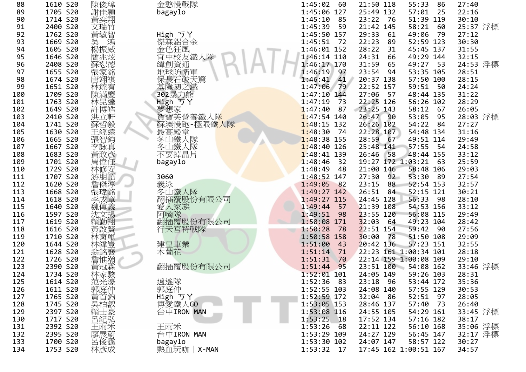| 88  | 1610 S20 | 陳俊瑋       | 金憨慢戰隊                  | 1:45:02 60      | 21:50 118             | 55:33<br>86   | 27:40                |
|-----|----------|-----------|------------------------|-----------------|-----------------------|---------------|----------------------|
| 89  | 1705 S20 | 謝佳穎       | bagaylo                | 1:45:06 127     | 25:49 132             | 57:01<br>25   | 22:16                |
| 90  | 1714 S20 | 黃奕翔       |                        | 1:45:10<br>85   | 23:22 76              | 51:39 119     | 30:10                |
| 91  | 2400 S20 | 文瑞竹       |                        | 1:45:39<br>59   | 21:42 145             | 58:21<br>- 60 | 25:37 浮標             |
| 92  | 1762 S20 | 黃敏智       | High ゔY                | 1:45:50 157     | 29:33<br>- 61         | 49:06<br>- 79 | 27:12                |
| 93  | 1669 S20 |           | 傑森鋁合金                  | $1:45:51$ 72    | 22:23<br>89           | 52:59 123     | 30:30                |
| 94  | 1605 S20 |           | 金色狂風                   | 1:46:01 152     | 28:22<br>31           | 45:45 137     | 31:55                |
| 95  | 1646 S20 | 簡兆炫       | 宜中校友鐵人隊                | 1:46:14 110     | 24:31<br>- 66         | 49:29 144     | 32:15                |
| 96  | 2408 S20 | 蘇恕德       | 緯創資通                   | 1:46:17 170     | 31:59 65              | 49:27 53      | 24:53 浮標             |
| 97  | 1655 S20 | 張家銘       | 地球防衛軍                  | 1:46:19<br>97   | 23:54 94              | 53:35 105     | 28:51                |
| 98  | 1674 S20 |           |                        | 41<br>1:46:41   | 20:37 138             | 57:50 100     | 28:15                |
|     |          | 唐翊祺       | 保長石破天驚                 | $1:47:06$ 79    | 22:52 157             |               |                      |
| 99  | 1651 S20 | 林臻宥       | 基隆初之鐵                  |                 |                       | 59:51<br>50   | 24:24                |
| 100 | 1709 S20 | 陳滿慶       | 302暴力熊                 | $1:47:10$ 144   | 27:06<br>57           | 48:44 135     | 31:22                |
| 101 | 1763 S20 | 林昆達       | High ライ<br>夢想家         | 1:47:19<br>73   | 22:25 126             | 56:26 102     | 28:29                |
| 102 | 1649 S20 | 許博皓       |                        | 1:47:40<br>87   | 23:25 143             | 58:12<br>- 67 | 26:05                |
| 103 | 2410 S20 | 洪立軒       | 賀寶芙營養鐵人隊<br>蘇澳慢跑-極限鐵人隊 | $1:47:54$ 140   | 26:47 90              | 53:05<br>95   | 28:03 浮標             |
| 104 | 1741 S20 | 蘇哲毅       |                        | $1:48:15$ 132   | 26:26 102             | 54:22<br>- 84 | 27:27                |
| 105 | 1630 S20 | 王經遠       | 『最高殿堂<br>冬山鐵人隊         | $1:48:30$ 74    | 22:28 107             | 54:48 134     | 31:16                |
| 106 | 1665 S20 | 張智鈞       |                        | 1:48:38 155     | 28:59 67              | 49:51 114     | 29:49                |
| 107 | 1667 S20 | 李詠真       | 冬山鐵人隊                  | $1:48:40$ 126   | 25:48 141             | 57:55 54      | 24:58                |
| 108 | 1683 S20 | 黃政彥       | 不要掉晶片                  | $1:48:41$ 139   | 26:46<br>58           | 48:44 155     | 33:12                |
| 109 | 1701 S20 | 周偉任       | bagaylo                | 1:48:46<br>32   | 19:27 172 1:03:21     | - 63          | 25:59                |
| 110 | 1729 S20 |           |                        | 1:48:49 48      | 21:00 146             | 58:48 106     | 29:03                |
| 111 | 1707 S20 | 林修安       | 3060                   | $1:48:52$ 147   | 27:30<br>92           | 53:30<br>- 89 | 27:54                |
| 112 | 1620 S20 | 詹傑淳       | 義泳                     | 1:49:05 82      | 23:15<br>88           | 52:54 153     | 32:57                |
| 113 | 1668 S20 | 張瑋銘       | 冬山鐵人隊                  | $1:49:27$ 142   | 26:51 84              | 52:15 121     | 30:21                |
| 114 | 1618 S20 | 李成章       | 翻插覆股份有限公司              | 1:49:27 115     | 24:45 128             | 56:33<br>98   | 28:10                |
| 115 | 1640 S20 | 魏傳義       | 愛人家族                   | $1:49:44$ 57    | 21:39 108             | 54:53 156     | 33:12                |
| 116 | 1597 S20 | 沈文揚       | 阿嘴隊                    | $1:49:51$ 98    | 23:55 120             | 56:08 115     | 29:49                |
| 117 | 1619 S20 | 賴勤翔       | 翻插覆股份有限公司              | 1:50:08 171     | $32:03$ 64            | 49:23 104     | 28:42                |
| 118 | 1616 S20 | 黃啟賢       | 行天宮特戰隊                 | 1:50:28<br>78   | $22:51$ 154           | 59:42<br>- 90 | 27:56                |
| 119 | 1710 S20 | 林育璽       |                        | 1:50:58 158     | 30:00<br>78           | 51:50 108     | 29:09                |
| 120 | 1644 S20 | 林緯壹       | 建皇車業                   | 1:51:00<br>43   | 20:42 136             | 57:23 151     | 32:55                |
| 121 | 1628 S20 | 翁銘襄       | 木蘭花                    | 1:51:14<br>71   | 22:23 161 1:00:34 101 |               | 28:18                |
| 122 | 1726 S20 | 詹惟瀚       |                        | 1:51:31<br>70   | 22:14 159 1:00:08 109 |               | 29:10                |
| 123 | 2390 S20 | 黃冠霖       | 翻插覆股份有限公司              | 1:51:44<br>95   | 23:51 100 54:08 162   |               | 33:46 浮標             |
| 124 | 1734 S20 | 林家駿       |                        | $1:52:01$ 101   | 24:05 149             | 59:26 103     | 28:31                |
| 125 | 1614 S20 |           | 逍遙隊                    | 1:52:36 83      | 23:18 96              | 53:44 172     | 35:36                |
| 126 | 1611 S20 | 范光濠       |                        | 1:52:55 103     | 24:08 140             | 57:55 129     | 30:53                |
| 127 | 1765 S20 |           | 郭庭仲                    | $1:52:59$ 172   | 32:04 86              | 52:51 97      |                      |
|     |          |           | High 5Y                | 1:53:05 153     |                       | 57:40         | 28:05                |
| 128 | 1745 S20 |           | 博愛鐵人GO                 |                 | 28:46 137             | 73            | 26:40                |
| 129 | 2397 S20 | {郭黃吳賴呂H程庭 | 台中IRON MAN             | 1:53:08 116     | 24:55 105             | 54:29 161     | 33:45 浮標             |
| 130 | 1717 S20 |           |                        | $1:53:25$ 18    | 17:52 134             | 57:16 182     | 38:17                |
| 131 | 2392 S20 | 王雨禾       | 王雨禾                    | 1:53:26<br>- 68 | 22:11 122             | 56:10 168     | 35:06 浮標<br>32:17 浮標 |
| 132 | 2395 S20 | 廖展蔚       | 台中IRON MAN             | 1:53:29 109     | 24:27 129             | 56:45 147     |                      |
| 133 | 1700 S20 |           | bagaylo                | 1:53:30 102     | 24:07 147             | 58:57 122     | 30:27                |
| 134 | 1753 S20 | 林彥成       | 熱血玩咖   X-MAN           | 1:53:32 17      | 17:45 162 1:00:51 167 |               | 34:57                |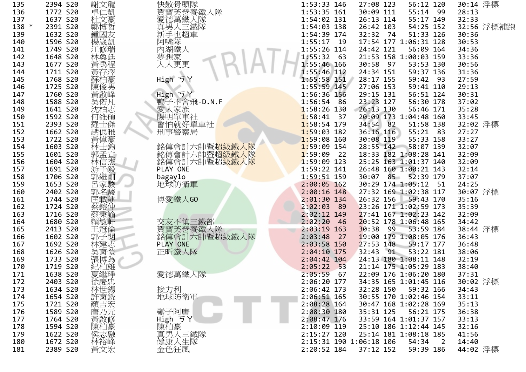| 135   | 2394 S20 | 謝文龍        | 快散骨頭隊                                      | 1:53:33 146   | 27:08 123               | 56:12 120             | 30:14 浮標   |
|-------|----------|------------|--------------------------------------------|---------------|-------------------------|-----------------------|------------|
| 136   | 1772 S20 | 卓仁凱        | 賀寶芙營養鐵人隊                                   | 1:53:35 161   | 30:09 111               | 55:14 99              | 28:13      |
| 137   | 1637 S20 | 杜文豪        | 愛德萬鐵人隊                                     | 1:54:02 131   | 26:13 114               | 55:17 149             | 32:33      |
| 138 * | 2391 S20 | 鄭博哲        | 真男人三鐵隊                                     | 1:54:03 138   | 26:42 103               | 54:25 152             | 32:56 浮標補跑 |
| 139   | 1632 S20 | 鍾國友        | 新手也超車                                      | 1:54:39 174   | 32:32 74                | 51:33 126             | 30:36      |
| 140   | 1596 S20 | 楊崴凱        | 阿嘴隊                                        | $1:55:17$ 19  |                         | 17:54 177 1:06:31 128 | 30:53      |
| 141   | 1749 S20 | 江修瑞        | 內湖鐵人                                       | 1:55:26 114   | 24:42 121               | 56:09 164             | 34:36      |
| 142   | 1648 S20 | 林奂廷        | 夢想家                                        | 1:55:32 63    |                         | 21:53 158 1:00:03 159 | 33:36      |
| 143   | 1677 S20 | 黃禹程        | 人人更更                                       | 1:55:46 166   | 30:58 97                | 53:53 130             | 30:56      |
| 144   | 1711 S20 | 黃存澤        |                                            | $1:55:46$ 112 | 24:34 151               | 59:37 136             | 31:36      |
| 145   | 1768 S20 | 蘇柏豪        | High ゔY                                    | 1:55:58 151   | 28:17 155               | 59:42 93              | 27:59      |
| 146   | 1725 S20 | 陳俊男        |                                            | $1:55:59$ 145 | 27:06 153               | 59:41 110             | 29:13      |
| 147   | 1760 S20 | 黃啟峰        | High ラY                                    | 1:56:36 156   | 29:15 131               | 56:51 124             | 30:31      |
| 148   | 1588 S20 | 吳偌凡        | 鴨子不會飛-D.N.F                                | $1:56:54$ 86  | 23:23 127               | 56:30 178             | 37:02      |
| 149   | 1641 S20 | 沈柏志        | 愛人家族                                       | $1:58:26$ 130 | 26:13 130               | 56:46 171             | 35:28      |
| 150   | 1592 S20 | 何維碩        | 陽明單車社                                      | $1:58:41$ 37  |                         | 20:09 173 1:04:48 160 | 33:45      |
| 151   | 2393 S20 | 羅士傑        | 會怕就好單車社                                    | $1:58:54$ 179 | 34:54 82                | 51:58 138             | 32:02 浮標   |
| 152   | 1662 S20 | 趙偲雅        | 刑事警察局                                      | $1:59:03$ 182 | 36:16 116               | 55:21 83              | 27:27      |
| 153   | 1722 S20 | 黃偉豪        |                                            | $1:59:08$ 160 | 30:08 119               | 55:33 158             | 33:27      |
| 154   | 1603 S20 | 林士鈞        |                                            | $1:59:09$ 154 | 28:55 142               | 58:07 139             | 32:07      |
| 155   | 1601 S20 | 郭孟宣        | 銘傳會計六帥暨 <mark>超級鐵人隊</mark><br>銘傳會計六帥暨超級鐵人隊 | $1:59:09$ 22  |                         | 18:33 182 1:08:28 141 | 32:09      |
| 156   | 1604 S20 | 林信杰        | 銘傳會計六帥暨超級鐵人隊                               | $1:59:09$ 123 |                         | 25:25 163 1:01:37 140 | 32:09      |
| 157   | 1691 S20 | 游子毅        | PLAY ONE                                   | 1:59:22 141   |                         | 26:48 160 1:00:21 143 | 32:14      |
| 158   | 1706 S20 | 郭繼剛        | bagaylo                                    | 1:59:51 159   |                         | 30:07 85 52:39 179    | 37:07      |
| 159   | 1653 S20 | 呂家駿        | 地球防衛軍                                      | $2:00:05$ 162 |                         | 30:29 174 1:05:12 51  | 24:25      |
| 160   | 2402 S20 | 郭名駿        |                                            | $2:00:16$ 148 |                         | 27:32 169 1:02:38 117 | 30:07 浮標   |
| 161   | 1744 S20 | 匡載麒        | 博愛鐵人GO                                     | $2:01:30$ 134 | 26:32 156               | 59:43 170             | 35:16      |
| 162   | 1724 S20 | 蔡鎔仲        |                                            | $2:02:03$ 89  |                         | 23:26 171 1:02:59 173 | 35:39      |
| 163   | 1716 S20 | 蔡秉諭        |                                            | $2:02:12$ 149 |                         | 27:41 167 1:02:23 142 | 32:09      |
| 164   | 1680 S20 | 賴敏軒        | 交友不慎三鐵部                                    | $2:02:20$ 46  |                         | 20:52 178 1:06:48 165 | 34:42      |
| 165   | 2413 S20 |            | 賀寶芙營養鐵人隊                                   | $2:03:19$ 163 | 30:38 99                | 53:59 184             | 38:44 浮標   |
|       |          | 王冠倫        |                                            |               |                         | 19:00 179 1:08:05 176 |            |
| 166   | 1602 S20 | 郭子閱        | 銘傳會計六帥暨超級鐵人隊<br>PLAY ONE                   | $2:03:48$ 27  |                         | 59:17 177             | 36:43      |
| 167   | 1692 S20 | 林建志        |                                            | $2:03:58$ 150 | $27:53$ 148             |                       | 36:48      |
| 168   | 1626 S20 | 吳育愷        | 正昕鐵人隊                                      | $2:04:10$ 175 | 32:43 91                | 53:22 181             | 38:06      |
| 169   | 1733 S20 | 張博為        |                                            | $2:04:42$ 104 |                         | 24:13 180 1:08:11 148 | 32:19      |
| 170   | 1719 S20 | 紀柏雄        |                                            | $2:05:22$ 53  |                         | 21:14 175 1:05:29 183 | 38:40      |
| 171   | 1638 S20 | 夏繼琤        | 愛德萬鐵人隊                                     | $2:05:59$ 67  |                         | 22:09 176 1:06:20 180 | 37:31      |
| 172   | 2403 S20 | 徐慶忠<br>林世錫 |                                            | 2:06:20 177   |                         | 34:35 165 1:01:45 116 | 30:02 浮標   |
| 173   | 1634 S20 |            | 接力利                                        | 2:06:42 173   | 32:28 150               | 59:32 166             | 34:43      |
| 174   | 1654 S20 | 許育銑        | 地球防衛軍                                      | 2:06:51 165   |                         | 30:55 170 1:02:46 154 | 33:11      |
| 175   | 1721 S20 | 顏吉宏        |                                            | $2:08:28$ 164 |                         | 30:47 168 1:02:28 169 | 35:13      |
| 176   | 1589 S20 | 唐乃元        | 鬍子阿唐                                       | 2:08:30 180   | 35:31 125               | 56:21 175             | 36:38      |
| 177   | 1764 S20 | 黃啟修        | High ゔY                                    | 2:08:47 176   |                         | 33:59 164 1:01:37 157 | 33:13      |
| 178   | 1594 S20 | 陳柏豪        | 陳柏豪                                        | 2:10:09 119   |                         | 25:10 186 1:12:44 145 | 32:16      |
| 179   | 1622 S20 | 侯志融<br>林裕峰 | 真男人三鐵隊                                     | 2:15:27 120   |                         | 25:14 181 1:08:18 185 | 41:56      |
| 180   | 1672 S20 |            | 健康人生隊                                      |               | 2:15:31 190 1:06:18 106 | 54:34<br>2            | 14:40      |
| 181   | 2389 S20 | 黃文宏        | 金色狂風                                       | 2:20:52 184   | 37:12 152               | 59:39 186             | 44:02 浮標   |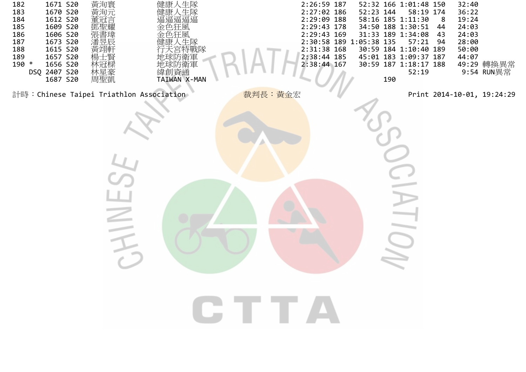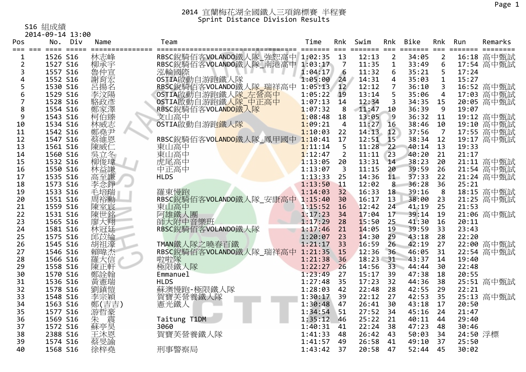S16 組成績

|                | 2014-09-14 13:00 |                   |                                                    |              |                 |            |                         |                                |                |                   |            |
|----------------|------------------|-------------------|----------------------------------------------------|--------------|-----------------|------------|-------------------------|--------------------------------|----------------|-------------------|------------|
| Pos            | No. Div          | Name              | Team                                               | Time         | Rnk             | Swim       | Rnk                     | Bike                           | Rnk            | Run               | Remarks    |
| $\mathbf 1$    | 1526 S16         | 林志峰               | ===============<br>RBSC銳騎佰客VOLANDO鐵人隊_強恕高中 1:02:35 |              | 13              | 12:13      | $\overline{2}$          | ===== === ======= ===<br>34:05 | $\overline{2}$ |                   | 16:18 高中甄試 |
| $\overline{2}$ | 1527 S16         | 柳承宇               | RBSC銳騎佰客VOLANDO鐵人隊 南港高中 1:03:17                    |              | $\overline{7}$  | 11:35      | $\mathbf{1}$            | 33:49                          | 6              |                   | 17:54 高中甄試 |
| 3              | 1557 S16         | 魯仲宣               | 泓輪國際                                               | 1:04:17      | 6               | 11:32      | 6                       | 35:21                          | 5              | 17:24             |            |
| 4              | 1552 S16         |                   | OSTIA啟動自游跑鐵人隊                                      | 1:05:00      | 24              | 14:31      | $\overline{4}$          | 35:03                          | $\mathbf{1}$   | 15:27             |            |
| 5              | 1530 S16         | 謝育宏               | RBSC銳騎佰客VOLANDO鐵人隊 瑞祥高中 1:05:13                    |              | 12 <sup>7</sup> | 12:12      | $\overline{7}$          | 36:10                          | $\overline{3}$ |                   | 16:52 高中甄試 |
| 6              | 1529 S16         | 李汶陽               | OSTIA啟動自游跑鐵人隊_左營高中                                 | 1:05:22      | 19              | 13:14      | 5                       | 35:06                          | $\overline{4}$ |                   | 17:03 高中甄試 |
| 7              | 1528 S16         | 駱政彥               | OSTIA啟動自游跑鐵人隊 中正高中                                 | 1:07:13      | 14              | 12:34      | $\overline{\mathbf{3}}$ | 34:35                          | 15             |                   | 20:05 高中甄試 |
| 8              | 1554 S16         | 鄭家澤               | RBSC銳騎佰客VOLANDO鐵入隊                                 | 1:07:32      | 8               | 11:47      | 10                      | 36:39                          | 9              | 19:07             |            |
| 9              | 1543 S16         | 柯伯臻               | 文山高中                                               | 1:08:48      | 18              | 13:05      | 9                       | 36:32                          | 11             |                   | 19:12 高中甄試 |
| 10             | 1534 S16         | 林威志               | OSTIA啟動自游跑鐵人隊                                      | 1:09:21      | 4               | 11:27      | 16                      | 38:46                          | 10             |                   | 19:10 高中甄試 |
| 11             | 1542 S16         | 鄭堯尹               |                                                    | 1:10:03      | 22              | 14:13      | 12                      | 37:56                          | $\overline{7}$ |                   | 17:55 高中甄試 |
| 12             | 1547 S16         | 蔡維恩               | RBSC銳騎佰客VOLANDO鐵人隊_鳳甲國中 1:10:41                    |              | 17              | 12:51      | 15 <sup>7</sup>         | 38:34                          | 12             |                   | 19:17 高中甄試 |
| 13             | 1561 S16         | 陳威仁               | 東山高中                                               | 1:11:14      | 5               | 11:28      | 22                      | 40:14                          | 13             | 19:33             |            |
| 14             | 1560 S16         | 吳立冬               | 東山高中                                               | 1:12:47      | 2               | 11:11      | 23                      | 40:20                          | 21             | 21:17             |            |
| 15             | 1532 S16         | 柳俊瑋               | 虎尾高中                                               | 1:13:05      | 20              | 13:31      | 14                      | 38:23                          | 20             |                   | 21:11 高中甄試 |
| 16             | 1550 S16         | 林益謙               | 中正高中                                               | 1:13:07      | 3               | 11:15      | 20                      | 39:59                          | 26             |                   | 21:54 高中甄試 |
| 17             | 1535 S16         | 高至謙               | <b>HLDS</b>                                        | 1:13:33      | 25              | 14:36      | $11 -$                  | 37:33                          | 22             |                   | 21:24 高中甄試 |
| 18             | 1573 S16         | 李念錚               |                                                    | 1:13:50      | 11              | 12:02      | 8                       | 36:28                          | 36             | 25:21             |            |
| 19             | 1533 S16         | 毛培瑞               | 羅東慢跑                                               | 1:14:03      | 32              | 16:33      | 18                      | 39:16                          | 8              |                   | 18:15 高中甄試 |
| 20             | 1551 S16         | 周裕勳               | RBSC銳騎佰客VOLANDO鐵人隊_安康高中 1:15:40                    |              | 30              | 16:17      | 13                      | 38:00                          | 23             |                   | 21:25 高中甄試 |
| 21             | 1559 S16         | 陳室宸               | 東山高中                                               | 1:15:52      | 16              | 12:42      | 24                      | 41:19                          | 25             | 21:53             |            |
| 22             | 1531 S16         | 陳世銘               | 阿雄鐵人團                                              | 1:17:23      | 34              | 17:04      | 17 <sub>2</sub>         | 39:14                          | 19             |                   | 21:06 高中甄試 |
| 23             | 1565 S16         | 廖大翔               | 師大附中音樂班                                            | 1:17:29      | 28              | 15:50      | 25                      | 41:30                          | 16             | 20:11             |            |
| 24             | 1581 S16         | 林冠廷               | RBSC銳騎佰客VOLANDO鐵人隊                                 | 1:17:46      | 21              | 14:05      | 19                      | 39:59                          | 33             | 23:43             |            |
| 25             | 1575 S16         | 邱苡綸               |                                                    | 1:20:07      | 23              | 14:30      | 29                      | 43:18                          | 28             | 22:20             |            |
| 26             | 1545 S16         | 胡祖濠               | TMAN鐵人隊之曉春百鐵                                       | 1:21:17      | 33              | 16:59      | 26                      | 42:19                          | 27             |                   | 22:00 高中甄試 |
| 27             | 1546 S16         | 賴暐杰               | RBSC銳騎佰客VOLANDO鐵人隊_瑞祥高中 1:21:35                    |              | 15              | 12:36      | 36                      | 46:05                          | 31             |                   | 22:54 高中甄試 |
| 28             | 1566 S16         | 羅大信               | 啦啦隊                                                | 1:21:38      | 36              | $18:23$ 31 |                         | 43:37                          | 14             | 19:40             |            |
| 29             | 1558 S16         | 陳正軒               | 極限鐵人隊                                              | 1:22:27      | 26              | 14:56      |                         | 33 44:44                       | 30             | 22:48             |            |
| 30             | 1570 S16         | 鄭詮翰               | Emmanuel                                           | 1:23:49      | 27              | 15:17      | 39                      | 47:38                          | 18             | 20:55             |            |
| 31             | 1536 S16         | 黃憲瑞               | <b>HLDS</b>                                        | 1:27:48      | 35              | 17:23      | 32                      | 44:36                          | 38             |                   | 25:51 高中甄試 |
| 32             | 1578 S16         | 劉鎮愷               | 蘇澳慢跑-極限鐵人隊                                         | 1:28:03      | 42              | 22:48      | 28                      | 42:55                          | 29             | 22:21             |            |
| 33             | 1548 S16         | 李宗穎               | 賀寶芙營養鐵人隊                                           | 1:30:17      | 39              | 22:12      | 27                      | 42:53                          | 35             |                   | 25:13 高中甄試 |
| 34             | 1563 S16         | 鄭(吉吉)             | 憲光鐵人                                               | 1:30:48      | 47              | 26:41      | 30                      | 43:18                          | 17             | 20:50             |            |
| 35             | 1577 S16         |                   |                                                    | 1:34:54      | 51              | 27:52      | 34                      | 45:16                          | 24             | 21:47             |            |
| 36             | 1569 S16         | 游哲豪<br>震          |                                                    | $1:35:12$ 46 |                 | 25:22      | 21                      | 40:11                          | 44             | 29:40             |            |
| 37             | 1572 S16         | 朱                 | Taitung T1DM<br>3060                               | 1:40:31      | 41              | 22:24      | 38                      | 47:23                          | 48             | 30:46             |            |
| 38             | 2388 S16         | <b>蘇亭昊</b><br>王沐恩 | 賀寶芙營養鐵人隊                                           | 1:41:33      | 48              | 26:42      | 43                      | 50:03                          | 34             |                   |            |
| 39             | 1574 S16         |                   |                                                    | 1:41:57      | 49              | 26:58      | 41                      | 49:10                          | 37             | 24:50 浮標<br>25:50 |            |
| 40             |                  | 蔡旻諭               | 刑事警察局                                              |              |                 |            | 47                      |                                | 45             |                   |            |
|                | 1568 S16         | 徐梓堯               |                                                    | 1:43:42      | 37              | 20:58      |                         | 52:44                          |                | 30:02             |            |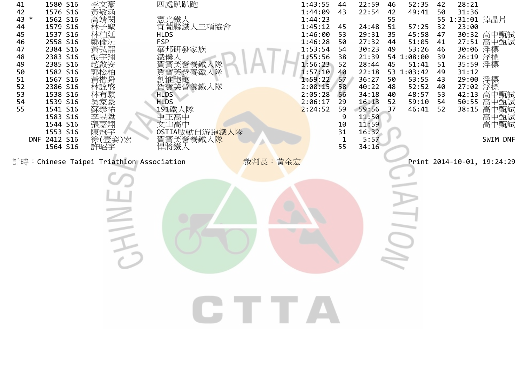| 1580 S16<br>41<br>42<br>1576 S16<br>43 *<br>1562 S16<br>1579 S16<br>44<br>1537 S16<br>45<br>2558 S16<br>46<br>2384 S16<br>47<br>2383 S16<br>48<br>2385 S16<br>49<br>1582 S16<br>50<br>1567 S16<br>51<br>2386 S16<br>52<br>1538 S16<br>53<br>1539 S16<br>54<br>1541 S16<br>55<br>1583 S16<br>1544 S16<br>1553 S16<br>DNF 2412 S16<br>1564 S16 | 李文豪<br>黃敬涵<br>高靖閔<br>林子聖<br>林柏廷<br>鄭倫沅<br>黃弘熙<br>張宇翔<br>趙啟安<br>郭松柏<br>黃楷舜<br>林詮盛<br>林有騏<br>吳家豪<br>蘇泰祐<br>《李張陳徐》<br>秦王<br>康治<br>徐 <sup>朝</sup><br>徐 <i></i><br>徐<br>許昭宇 | 四處趴趴跑<br>憲光鐵人<br>宜蘭縣鐵人三項協會<br><b>HLDS</b><br><b>FSP</b><br>華邦研發家族<br>鐵僕人<br>賀寶芙營養鐵人隊<br>寶芙營養鐵人隊<br>創惟跑跑<br>賀寶芙營養鐵人隊<br><b>HLDS</b><br><b>HLDS</b><br>191鐵人隊<br>中正高中<br>文山高中<br>OSTIA啟動自游跑 <mark>鐵人隊</mark><br>賀寶芙營養鐵人隊<br>悍將鐵人 |         | 1:43:55<br>44<br>1:44:09<br>43<br>1:44:23<br>1:45:12<br>45<br>1:46:00<br>53<br>1:46:28<br>50<br>1:53:54<br>54<br>1:55:56<br>38<br>1:56:23<br>52<br>1:57:10<br>40<br>1:59:22<br>57<br>2:00:15<br>58<br>2:05:28<br>56<br>2:06:17<br>29<br>2:24:52<br>59<br>9<br>10<br>31<br>1<br>55 | 22:59<br>22:54<br>24:48<br>29:31<br>27:32<br>30:23<br>21:39<br>28:44<br>22:18<br>36:27<br>40:22<br>34:18<br>16:13<br>59:56<br>11:50<br>11:59<br>16:32<br>5:57<br>34:16 | 52:35<br>46<br>42<br>49:41<br>55<br>51<br>57:25<br>45:58<br>35<br>44<br>51:05<br>53:26<br>49<br>54 1:08:00<br>51:41<br>45<br>53 1:03:42<br>53:55<br>50<br>52:52<br>48<br>48:57<br>40<br>59:10<br>52<br>46:41<br>37 | 42<br>50<br>32<br>47<br>41<br>46<br>39<br>51<br>49<br>43<br>40<br>53<br>54<br>52 | 28:21<br>31:36<br>55 1:31:01 掉晶片<br>23:00<br>35:59 浮標<br>31:12<br>29:00 浮標<br>27:02 浮標<br>38:15 | 30:32 高中甄試<br>27:51 高中甄試<br>30:06 浮標<br>26:19 浮標<br>42:13 高中甄試<br>50:55 高中甄試<br>高中甄試<br>高中甄試<br>高中甄試<br>SWIM DNF |
|----------------------------------------------------------------------------------------------------------------------------------------------------------------------------------------------------------------------------------------------------------------------------------------------------------------------------------------------|------------------------------------------------------------------------------------------------------------------------------------------------------------------------|--------------------------------------------------------------------------------------------------------------------------------------------------------------------------------------------------------------------------------|---------|-----------------------------------------------------------------------------------------------------------------------------------------------------------------------------------------------------------------------------------------------------------------------------------|------------------------------------------------------------------------------------------------------------------------------------------------------------------------|--------------------------------------------------------------------------------------------------------------------------------------------------------------------------------------------------------------------|----------------------------------------------------------------------------------|-------------------------------------------------------------------------------------------------|------------------------------------------------------------------------------------------------------------------|
| 計時: Chinese Taipei Triathlon Association                                                                                                                                                                                                                                                                                                     |                                                                                                                                                                        |                                                                                                                                                                                                                                | 裁判長:黃金宏 |                                                                                                                                                                                                                                                                                   |                                                                                                                                                                        |                                                                                                                                                                                                                    |                                                                                  |                                                                                                 | Print 2014-10-01, 19:24:29                                                                                       |
|                                                                                                                                                                                                                                                                                                                                              |                                                                                                                                                                        |                                                                                                                                                                                                                                | CITTA   |                                                                                                                                                                                                                                                                                   |                                                                                                                                                                        |                                                                                                                                                                                                                    |                                                                                  |                                                                                                 |                                                                                                                  |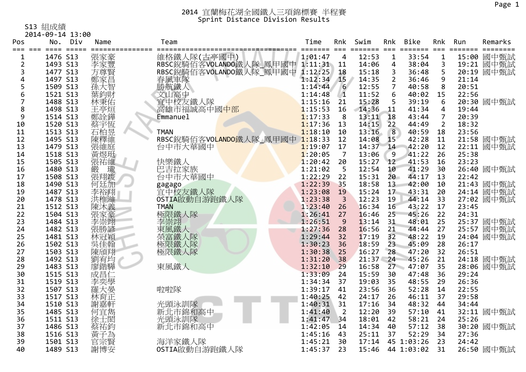S13 組成績

|                    | 2014-09-14 13:00  |            |                                 |         |                |                   |                 |                  |                       |       |            |
|--------------------|-------------------|------------|---------------------------------|---------|----------------|-------------------|-----------------|------------------|-----------------------|-------|------------|
| Pos                | No.<br>Div        | Name       | Team                            | Time    | Rnk            | Swim              | Rnk             | Bike             | Rnk                   | Run   | Remarks    |
| ===<br>$\mathbf 1$ | $===$<br>1476 S13 | 張家豪        | ===============<br>維格鐵人隊(古亭國中)  | 1:01:47 | $\overline{4}$ | ==== ===<br>12:53 | $\mathbf{1}$    | =======<br>33:54 | $===$<br>$\mathbf{1}$ |       | 15:00 國中甄試 |
| 2                  | 1493 S13          | 李家豐        | RBSC銳騎佰客VOLANDO鐵人隊_鳳甲國中 1:11:31 |         | 11             | 14:06             | 4               | 38:04            | 3                     |       | 19:21 國中甄試 |
| 3                  | 1477 S13          | 方尊賢        | RBSC銳騎佰客VOLANDO鐵人隊 鳳甲國中         | 1:12:25 | 18             | 15:18             | 3               | 36:48            | 5                     |       | 20:19 國中甄試 |
| 4                  | 1497 S13          |            | 春風車隊                            | 1:12:34 | 15             | 14:35             | $\overline{2}$  | 36:46            | 9                     | 21:14 |            |
| 5                  | 1509 S13          | 鄭家昌<br>孫大智 | 勝航鐵人                            | 1:14:44 | 6              | 12:55             | $\overline{7}$  | 40:58            | 8                     | 20:51 |            |
| 6                  | 1521 S13          | 葉鈞財        | 文山高中                            | 1:14:48 | $\sqrt{1}$     | 11:52             | 6               | 40:02            | 15                    | 22:56 |            |
| 7                  | 1488 S13          | 林秉佑        | 宜中校友鐵人隊                         | 1:15:16 | 21             | 15:28             | 5               | 39:19            | 6                     |       | 20:30 國中甄試 |
| 8                  | 1498 S13          | 王亭烜        | 高雄市福誠高中國中部                      | 1:15:53 | 16             | 14:36             | $\overline{11}$ | 41:34            | $\overline{4}$        | 19:44 |            |
| 9                  | 1514 S13          | 鄭詮鏵        | Emmanuel                        | 1:17:33 | 8              | 13:11             | 18              | 43:44            | $\overline{7}$        | 20:39 |            |
| 10                 | 1520 S13          | 蔡宇恆        |                                 | 1:17:36 | 13             | 14:15             | 22              | 44:49            | $\overline{2}$        | 18:32 |            |
| 11                 | 1513 S13          | 石柏昱        | <b>TMAN</b>                     | 1:18:10 | 10             | 13:16             | 8               | 40:59            | 18                    | 23:56 |            |
| 12                 | 1495 S13          | 陳釋維        | RBSC銳騎佰客VOLANDO鐵人隊_鳳甲國中 1:18:33 |         | 12             | 14:08             | 15 <sup>2</sup> | 42:28            | 11                    |       | 21:58 國中甄試 |
| 13                 | 1479 S13          | 張維庭        | 台中市大華國中                         | 1:19:07 | 17             | 14:37             | 14              | 42:20            | 12                    |       | 22:11 國中甄試 |
| 14                 | 1518 S13          | 黃煜珽        |                                 | 1:20:05 | 7              | 13:06             | 9               | 41:22            | 26                    | 25:38 |            |
| 15                 | 1505 S13          | 張祐維        | 快樂鐵人                            | 1:20:42 | 20             | 15:27             | 12              | 41:53            | 16                    | 23:23 |            |
| 16                 | 1480 S13          | 瓏<br>嚴     | 巴吉拉家族                           | 1:21:02 | 5              | 12:54             | 10              | 41:29            | 30                    |       | 26:40 國中甄試 |
| 17                 | 1508 S13          | 張翔竣        | 台中市大華國中                         | 1:22:29 | 22             | 15:31             | 20              | 44:17            | 13                    | 22:42 |            |
| 18                 | 1490 S13          | 何廷加        | gagago                          | 1:22:39 | 35             | 18:58             | 13              | 42:00            | 10                    |       | 21:43 國中甄試 |
| 19                 | 1487 S13          | 李裕翔        | 宜中校友鐵人隊                         | 1:23:08 | 19             | 15:24             | 17              | 43:31            | 20                    |       | 24:14 國中甄試 |
| 20                 | 1478 S13          | 洪稚濰        | OSTIA啟動自游跑鐵人隊                   | 1:23:38 | $\overline{3}$ | 12:23             | 19              | 44:14            | 33                    |       | 27:02 國中甄試 |
| 21                 | 1512 S13          | 陳沐義        | <b>TMAN</b>                     | 1:23:40 | 26             | 16:34             | 16              | 43:22            | 17                    | 23:45 |            |
| 22                 | 1504 S13          | 張家豪        | 極限鐵人隊                           | 1:26:41 | 27             | 16:46             | 25              | 45:26            | 22                    | 24:31 |            |
| 23                 | 1484 S13          | 李崇翊        | 李崇翊                             | 1:26:51 | 9              | 13:14             | 31              | 48:01            | 25                    |       | 25:37 國中甄試 |
| 24                 | 1482 S13          | 張勝諺        | 東風鐵人                            | 1:27:36 | 28             | 16:56             | 21              | 44:44            | 27                    |       | 25:57 國中甄試 |
| 25                 | 1481 S13          | 林冠穎        | 榮富鐵人隊                           | 1:29:44 | 32             | 17:19             | 32              | 48:22            | 19                    |       | 24:04 國中甄試 |
| 26                 | 1502 S13          | 吳佳翰        | 極限鐵人隊                           | 1:30:23 | 36             | 18:59             | 23              | 45:09            | 28                    | 26:17 |            |
| 27                 | 1503 S13          | 陳頎翔        | 極限鐵人隊                           | 1:30:38 | 25             | 16:27             | 28              | 47:20            | 32                    | 26:51 |            |
| 28                 | 1492 S13          | 劉宥均        |                                 | 1:31:20 | 38             | $21:37 - 24$      |                 | 45:26            | 21                    |       | 24:18 國中甄試 |
| 29                 | 1483 S13          | 廖鍇驊        | 東風鐵人                            | 1:32:10 | 29             | 16:58             |                 | 27 47:07         | 35                    |       | 28:06 國中甄試 |
| 30                 | 1515 S13          | 成昌仁        |                                 | 1:33:09 | 24             | 15:59             | 30              | 47:48            | 36                    | 29:24 |            |
| 31                 | 1519 S13          | 李奕學        |                                 | 1:34:34 | 37             | 19:03             | 35              | 48:55            | 29                    | 26:36 |            |
| 32                 | 1507 S13          | 羅大晏        | 啦啦隊                             | 1:39:17 | 41             | 23:56             | 36              | 52:28            | 14                    | 22:55 |            |
| 33                 | 1517 S13          | 林育正        |                                 | 1:40:25 | 42             | 24:17             | 26              | 46:11            | 37                    | 29:58 |            |
| 34                 | 1510 S13          | 謝嘉軒        | 光頭泳訓隊                           | 1:40:31 | 31             | 17:16             | 34              | 48:32            | 44                    | 34:44 |            |
| 35                 | 1485 S13          | 何宜雋        | 新北市錦和高中                         | 1:41:40 | $\overline{2}$ | 12:20             | 39              | 57:10            | 41                    |       | 32:11 國中甄試 |
| 36                 | 1511 S13          | 徐士閎        | 光頭泳訓隊                           | 1:41:47 | 34             | 18:01             | 42              | 58:21            | 24                    | 25:26 |            |
| 37                 | 1486 S13          | 蔡祐鈞        | 新北市錦和高中                         | 1:42:05 | 14             | 14:34             | 40              | 57:12            | 38                    |       | 30:20 國中甄試 |
| 38                 | 1516 S13          | 黃子為        |                                 | 1:45:16 | 43             | 25:11             | 37              | 52:29            | 34                    | 27:36 |            |
| 39                 | 1501 S13          | 官宗賢        | 海洋家鐵人隊                          | 1:45:21 | 30             | 17:14             |                 | 45 1:03:26       | 23                    | 24:42 |            |
| 40                 | 1489 S13          | 謝博安        | OSTIA啟動自游跑鐵人隊                   | 1:45:37 | 23             | 15:46             |                 | 44 1:03:02       | 31                    |       | 26:50 國中甄試 |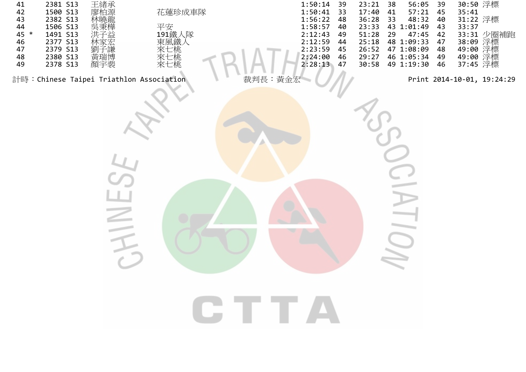| 41<br>42<br>43<br>44<br>45 *<br>46<br>47<br>48<br>49 | 2381 S13<br>1500 S13<br>2382 S13<br>1506 S13<br>1491 S13<br>2377 S13<br>2379 S13<br>2380 S13<br>2378 S13 | 王緖承<br>廖柏源<br>林曉龍<br>吳秉樺<br>劉子謙<br>黃瑞博<br>顏宇裴 | 花蓮珍成車隊<br>平安<br>191鐵人隊<br>i東來來來<br>  風七七七<br> 水水<br>  風七七七 | 1:50:14<br>1:50:41<br>1:56:22<br>1:58:57<br>2:12:43<br>2:12:59<br>2:23:59<br>2:24:00<br>2:28:13 | 39<br>33<br>48<br>40<br>49<br>44<br>45<br>46<br>47 | 23:21<br>17:40<br>36:28<br>23:33<br>51:28<br>25:18<br>26:52<br>29:27<br>30:58 | 38<br>41<br>33<br>29 | 56:05<br>57:21<br>48:32<br>43 1:01:49<br>47:45<br>48 1:09:33<br>47 1:08:09<br>46 1:05:34<br>49 1:19:30 | 39<br>45<br>40<br>43<br>42<br>47<br>48<br>49<br>46 | 30:50 浮標<br>35:41<br>31:22 浮標<br>33:37<br>37:45 浮標 | 33:31 少圈補跑<br>38:09 浮標<br>49:00 浮標<br>49:00 浮標 |
|------------------------------------------------------|----------------------------------------------------------------------------------------------------------|-----------------------------------------------|------------------------------------------------------------|-------------------------------------------------------------------------------------------------|----------------------------------------------------|-------------------------------------------------------------------------------|----------------------|--------------------------------------------------------------------------------------------------------|----------------------------------------------------|----------------------------------------------------|------------------------------------------------|
|                                                      |                                                                                                          |                                               | 計時: Chinese Taipei Triathlon Association                   | 裁判長: 黃金宏                                                                                        |                                                    |                                                                               |                      |                                                                                                        |                                                    |                                                    | Print 2014-10-01, 19:24:29                     |
|                                                      |                                                                                                          |                                               |                                                            | <b>CTTTA</b>                                                                                    |                                                    |                                                                               |                      |                                                                                                        |                                                    |                                                    |                                                |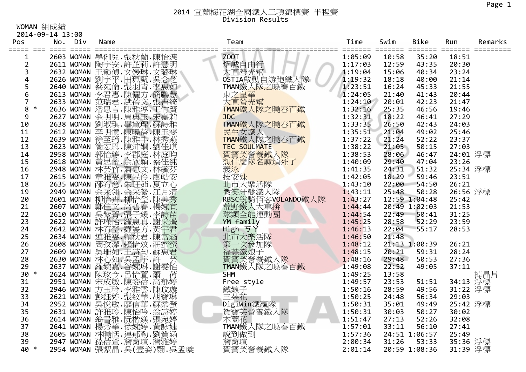### 2014 宜蘭梅花湖全國鐵人三項錦標賽 半程賽 Division Results

WOMAN 組成績

|                         | 2014-09-14 13:00 |     |      |                                                                                                                                                                                                             |                        |                                         |       |               |          |         |
|-------------------------|------------------|-----|------|-------------------------------------------------------------------------------------------------------------------------------------------------------------------------------------------------------------|------------------------|-----------------------------------------|-------|---------------|----------|---------|
| Pos                     | No.              | Div | Name |                                                                                                                                                                                                             | Team<br>============   | Time<br>======= ======= ======= ======= | Swim  | <b>Bike</b>   | Run      | Remarks |
| $\mathbf 1$             |                  |     |      | 2603 WOMAN 墨俐兒. 張秋蘭. 陳怡潓                                                                                                                                                                                    | Z00T                   | 1:05:09                                 | 10:58 | 35:20         | 18:51    |         |
| $\overline{2}$          |                  |     |      | 2611 WOMAN 陶宇安.許芷莉.許慧明                                                                                                                                                                                      | 熠誠自由行                  | 1:17:03                                 | 12:59 | 43:35         | 20:30    |         |
| 3                       |                  |     |      | 2632 WOMAN 王韻偵.文嫚琳.文璐琳                                                                                                                                                                                      |                        | 1:19:04                                 | 15:06 | 40:34         | 23:24    |         |
| $\overline{\mathbf{4}}$ |                  |     |      |                                                                                                                                                                                                             | 大直營光幫<br>OSTIA啟動自游跑鐵人隊 | 1:19:32                                 | 18:18 | 40:00         | 21:14    |         |
| 5                       |                  |     |      | 2626 WOMAN 劉宇平.田珮甄.吳念芝<br>2640 WOMAN 蔡宛倫.張羽青.李惠如                                                                                                                                                            | TMAN鐵人隊之曉春百鐵           | 1:23:51                                 | 16:24 | 45:33         | 21:55    |         |
| 6                       |                  |     |      |                                                                                                                                                                                                             | 東之皇華                   | 1:24:05                                 | 21:40 | 41:43         | 20:44    |         |
| $\overline{7}$          |                  |     |      |                                                                                                                                                                                                             | 大直營光幫                  | 1:24:10                                 | 20:01 | 42:23         | 21:47    |         |
| 8<br>$\ast$             |                  |     |      |                                                                                                                                                                                                             | TMAN鐵人隊之曉春百鐵           | 1:32:16                                 | 25:35 | 46:56         | 19:46    |         |
| 9                       |                  |     |      | 2649 MOMAN 李君惠.陳麗方.簡體慧<br>2633 MOMAN 范瑞君.趙蓓文.張書綺<br>2636 MOMAN 潘思言.陳雅淳.王竹賢<br>2627 MOMAN 金明明.周典玉.宋嘉莉                                                                                                        | <b>JDC</b>             | 1:32:31                                 | 18:22 | 46:41         | 27:29    |         |
| 10                      |                  |     |      | 2638 WOMAN 劉淑琪.畢黛瑮.蘇詩雅                                                                                                                                                                                      | TMAN鐵人隊之曉春百鐵           | 1:33:35                                 | 26:50 | 42:43         | 24:03    |         |
| 11                      |                  |     |      | 2612 WOMAN 李明憶.陳曉蓓.陳玉雯                                                                                                                                                                                      | 民生女鐵人                  | 1:35:51                                 | 21:04 | 49:02         | 25:46    |         |
| 12                      |                  |     |      |                                                                                                                                                                                                             | TMAN鐵人隊之曉春百鐵           | 1:37:22                                 | 21:24 | 52:22         | 23:37    |         |
| 13                      |                  |     |      | 2639 WOMAN 徐至筠.陳雅手.林秀燕<br>2623 WOMAN 簡宏恩.陳沛嫺.劉佳琪                                                                                                                                                            | <b>TEC SOULMATE</b>    | 1:38:22                                 | 21:05 | 50:15         | 27:03    |         |
| 14                      |                  |     |      |                                                                                                                                                                                                             | 賀寶芙營養鐵人隊               | 1:38:53                                 | 28:06 | 46:47         | 24:01 浮標 |         |
| 15                      |                  |     |      |                                                                                                                                                                                                             | 想什麼隊名麻煩死了              | 1:40:09                                 | 29:40 | 47:04         | 23:26    |         |
| 16                      |                  |     |      |                                                                                                                                                                                                             | 義泳                     | 1:41:35                                 | 24:31 | 51:32         | 25:34 浮標 |         |
| 17                      |                  |     |      | 2025 MOMAN 郭怡婷.李郡庭.林庭昀<br>2618 WOMAN 黃思蕾.余欣穎.蔡佳純<br>2948 WOMAN 林芸竹.蕭惠文.林毓芬<br>2615 WOMAN 章雅雯.陳昱伶.虞皓安                                                                                                        | 技安妹                    | 1:42:05                                 | 18:29 | 59:46         | 23:51    |         |
| 18                      |                  |     |      | 2635 WOMAN 邴宥慈.朱玨茹.夏立心                                                                                                                                                                                      | 北市大樂活隊                 | 1:43:10                                 | 22:00 | 54:50         | 26:21    |         |
| 19                      |                  |     |      |                                                                                                                                                                                                             | 微笑牙醫鐵人隊                | 1:43:11                                 | 25:48 | 50:28         | 26:56 浮標 |         |
| 20                      |                  |     |      | 2035 MOMAN 余、余、法、发出、1994<br>2601 MOMAN 柳怡卉·柳怡瑩·陳美<br>2607 MOMAN 鄭佳文·高碧春·楊婉言<br>2607 MOMAN 鄭佳文·高碧子楊婉言<br>2622 MOMAN 崇業·張子子(李詩古<br>2622 MOMAN 許瑾怡·羅塞方·黃宇君<br>2622 MOMAN 連雅雯·賴秋君·陳富涵<br>2634 MOMAN 連雅雯·賴秋君·陳富涵 | RBSC銳騎佰客VOLANDO鐵人隊     | 1:43:27                                 |       | 12:59 1:04:48 | 25:42    |         |
| 21                      |                  |     |      |                                                                                                                                                                                                             | 荒野鐵人大車拚                | 1:44:44                                 |       | 20:49 1:02:03 | 21:53    |         |
| 22                      |                  |     |      |                                                                                                                                                                                                             | 球類全能運動團                | 1:44:54                                 | 22:49 | 50:41         | 31:25    |         |
| 23                      |                  |     |      |                                                                                                                                                                                                             | YM family              | 1:45:25                                 | 28:58 | 52:29         | 23:59    |         |
| 24                      |                  |     |      |                                                                                                                                                                                                             | High ゔY                | 1:46:13                                 | 22:04 | 55:17         | 28:53    |         |
| 25                      |                  |     |      |                                                                                                                                                                                                             | 北市大樂活隊                 | 1:46:50                                 | 21:48 |               |          |         |
| 26                      |                  |     |      | 2608 WOMAN 簡孜潔.賴怡妏.莊蜜蜜                                                                                                                                                                                      | 第一次參加隊                 | 1:48:12                                 |       | 21:13 1:00:39 | 26:21    |         |
| 27                      |                  |     |      |                                                                                                                                                                                                             | 福慧鐵娘子<br>賀寶芙營養鐵人隊      | 1:48:15                                 | 20:21 | 59:31         | 28:24    |         |
| 28                      |                  |     |      |                                                                                                                                                                                                             |                        | 1:48:16                                 | 29:48 | 50:53         | 27:36    |         |
| 29                      |                  |     |      | 2609 WOMAN 吴珊如.王詩勻.蘇惠君<br>2630 WOMAN 林心如.吳孟宇.許 芸<br>2637 WOMAN 羅婉嘉.谷婉琳.謝雯怡                                                                                                                                  | TMAN鐵人隊之曉春百鐵           | 1:49:08                                 | 22:52 | 49:05         | 37:11    |         |
| $30 *$                  |                  |     |      | 2624 WOMAN 陳玫今.呂怡萱.蕭<br>荷                                                                                                                                                                                   | <b>SHM</b>             | 1:49:25                                 | 13:58 |               |          | 掉晶片     |
| 31                      |                  |     |      | 2951 WOMAN 宋成敏.陳姿蓓.高郁婷<br>2946 WOMAN 方玉玲.李雅雲.陳玟璇                                                                                                                                                            | Free style             | 1:49:57                                 | 23:53 | 51:51         | 34:13 浮標 |         |
| 32                      |                  |     |      |                                                                                                                                                                                                             | 鐵娘子                    | 1:50:16                                 | 28:59 | 49:56         | 31:22 浮標 |         |
| 33                      |                  |     |      | 2621 WOMAN 彭鈺婷.張紋華.胡寶琳                                                                                                                                                                                      | 三朵花                    | 1:50:25                                 | 24:48 | 56:34         | 29:03    |         |
| 34                      |                  |     |      | 2952 WOMAN 吳悅敏.廖信華.蘇柔螢                                                                                                                                                                                      | DigiWin鐵贏隊             | 1:50:31                                 | 35:01 | 49:49         | 25:42 浮標 |         |
| 35                      |                  |     |      | 2631 WOMAN 許雅玲.陳怡吟.翁詩婷<br>2614 WOMAN 翁書雅.阮楷媄.張宛婷                                                                                                                                                            | 賀寶芙營養鐵人隊<br>木蘭花        | 1:50:31                                 | 30:03 | 50:27         | 30:02    |         |
| 36                      |                  |     |      |                                                                                                                                                                                                             |                        | 1:51:47                                 | 27:13 | 52:26         | 32:08    |         |
| 37                      |                  |     |      | 2641 WOMAN 楊秀華.徐婉婷.黃詠婕                                                                                                                                                                                      | TMAN鐵人隊之曉春百鐵           | 1:57:01                                 | 33:11 | 56:10         | 27:41    |         |
| 38                      |                  |     |      | 2605 WOMAN 林曉恬. 連郁勤. 劉質涵                                                                                                                                                                                    | 說到做到                   | 1:57:36                                 |       | 24:51 1:06:57 | 25:49    |         |
| 39                      |                  |     |      | 2947 WOMAN 孫蓓萱.詹育瑄.詹雅婷                                                                                                                                                                                      | 詹育瑄                    | 2:00:34                                 | 31:26 | 53:33         | 35:36 浮標 |         |
| 40 *                    |                  |     |      | 2954 WOMAN 張絜晶. 吳 (壹姿)翾. 吳孟璇                                                                                                                                                                                | 賀寶芙營養鐵人隊               | 2:01:14                                 |       | 20:59 1:08:36 | 31:39 浮標 |         |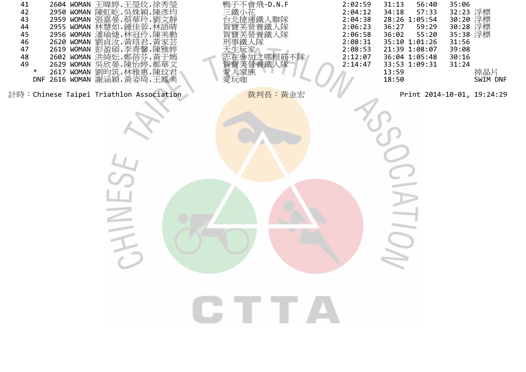| 41<br>42<br>43<br>44<br>45<br>46<br>47<br>48<br>49<br>∗ | 2604 WOMAN 王暐婷.王瑩玫.徐秀瑩<br>2950 WOMAN 陳虹屹.吳姝穎.陳彥均<br>2959 WOMAN 張嘉晏.蔡華玲.劉文靜<br>2955 WOMAN 林慧如.鍾佳蓉.林語晴<br>2955 WOMAN 潘瑜婕.林冠伶.陳美勳<br>2956 WOMAN 瀏貞汝.黃珞君.黃家芸<br>2620 WOMAN 劉貞汝.黃珞君.黃家芸<br>2619 WOMAN 彭盈碩 李青馨 陳雅婷<br>2602 WOMAN 洪綺妘 鄭蓓芬 黃于嫣<br>2629 WOMAN 吳欣晏.陳怡婷.鄭華文<br>2617 WOMAN 劉昀筑.林雅惠.陳玟君<br>DNF 2616 WOMAN 謝涵穎.黃姿琦.王鳳美 | 鴨子不會飛-D.N.F<br>三鐵小花<br>台北捷運鐵人聯隊<br>賀寶芙營養鐵人隊<br>買寶芙營養鐵人隊<br>刑事鐵人隊<br>大生玩家<br>志在參加之哪根筋不隊<br>賀寶芙營養鐵人隊<br>愛人家族<br>愛玩咖 | 2:02:59<br>2:04:12<br>2:04:38<br>2:06:23<br>2:06:58<br>2:08:31<br>2:08:53<br>2:12:07<br>2:14:47 | 31:13<br>56:40<br>57:33<br>34:18<br>28:26 1:05:54<br>59:29<br>36:27<br>55:20<br>36:02<br>35:10 1:01:26<br>21:39 1:08:07<br>36:04 1:05:48<br>33:53 1:09:31<br>13:59<br>18:50 | 35:06<br>32:23 浮標<br>30:20 浮標<br>30:28 浮標<br>35:38 浮標<br>31:56<br>39:08<br>30:16<br>31:24 | 掉晶片<br>SWIM DNF |
|---------------------------------------------------------|--------------------------------------------------------------------------------------------------------------------------------------------------------------------------------------------------------------------------------------------------------------------------------------------------------------------------|-------------------------------------------------------------------------------------------------------------------|-------------------------------------------------------------------------------------------------|-----------------------------------------------------------------------------------------------------------------------------------------------------------------------------|-------------------------------------------------------------------------------------------|-----------------|
| 計時:Chinese Taipei Triathlon Association                 |                                                                                                                                                                                                                                                                                                                          | 裁判長:黃金宏                                                                                                           |                                                                                                 | Print 2014-10-01, 19:24:29                                                                                                                                                  |                                                                                           |                 |
|                                                         |                                                                                                                                                                                                                                                                                                                          |                                                                                                                   |                                                                                                 |                                                                                                                                                                             |                                                                                           |                 |
|                                                         |                                                                                                                                                                                                                                                                                                                          | GTTA                                                                                                              |                                                                                                 |                                                                                                                                                                             |                                                                                           |                 |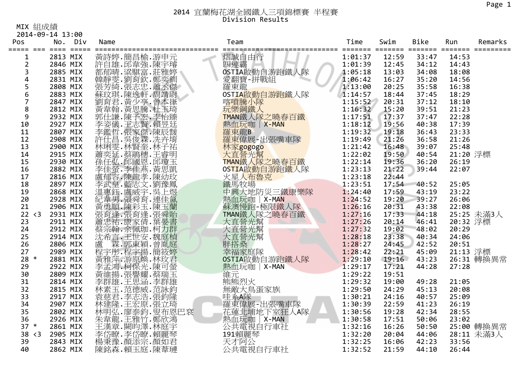### 2014 宜蘭梅花湖全國鐵人三項錦標賽 半程賽 Division Results

MIX 組成績

2014‐09‐14 13:00

| Pos            | No.      | Div | Name |                                                                                                                                                                                                                             | Team                                | Time    | Swim  | <b>Bike</b> | Run      | Remarks    |
|----------------|----------|-----|------|-----------------------------------------------------------------------------------------------------------------------------------------------------------------------------------------------------------------------------|-------------------------------------|---------|-------|-------------|----------|------------|
| $\mathbf{1}$   | 2813 MIX |     |      | 黃詩綽.節章   新聞   『黄詩雄.邱華麗歌』   『新聞』   『天論』   『天文』   『天文』   『天文』   『天文』   『天文』   『天文』   『天文』   『天文』   『天<br>『天文』   『天文』   『天文』   『天文』   『天文』   『天文』   『天文』   『天文』   『天文』   『天文』   『天文』   『天文』   『天文』   『天文』   『天文』   『天文』   『天文』 | 熠誠自由行                               | 1:01:37 | 12:59 | 33:47       | 14:53    |            |
| $\overline{2}$ | 2846 MIX |     |      |                                                                                                                                                                                                                             |                                     | 1:01:39 | 12:45 | 34:12       | 14:43    |            |
| 3              | 2885 MIX |     |      |                                                                                                                                                                                                                             | 四連霸<br>OSTIA啟動自游跑鐵人隊                | 1:05:18 | 13:03 | 34:08       | 18:08    |            |
| 4              | 2831 MIX |     |      |                                                                                                                                                                                                                             |                                     | 1:06:42 | 16:27 | 35:20       | 14:56    |            |
| 5              | 2808 MIX |     |      |                                                                                                                                                                                                                             | 愛翻寶-拼戰組<br>羅東龍                      | 1:13:00 | 20:25 | 35:58       | 16:38    |            |
| 6              | 2883 MIX |     |      |                                                                                                                                                                                                                             | OSTIA啟動自游跑鐵人隊                       | 1:14:57 | 18:44 | 37:45       | 18:29    |            |
| $\overline{7}$ | 2847 MIX |     |      | 劉育君.黃少亭.曾本嵂                                                                                                                                                                                                                 | 喀噴騰小隊                               | 1:15:52 | 20:31 | 37:12       | 18:10    |            |
| 8              | 2812 MIX |     |      | 副黃郭佳謙.陳子李李鑑<br>李安儀.王志賢.頼長廷<br>李姿儀.王志賢.陳辰靉<br>李鑑哲.県俊霖.冼卉<br>李鑑世。呉俊霖.杜子<br>李盛哲.吳俊霖.杜子                                                                                                                                         | 玩樂鋼鐵人                               | 1:16:32 | 15:20 | 39:51       | 21:23    |            |
| 9              | 2932 MIX |     |      |                                                                                                                                                                                                                             | TMAN鐵人隊之曉春百鐵                        | 1:17:51 | 17:37 | 37:47       | 22:28    |            |
| 10             | 2927 MIX |     |      |                                                                                                                                                                                                                             | 熱血玩咖   X-MAN                        | 1:18:12 | 19:56 | 40:38       | 17:39    |            |
| 11             | 2807 MIX |     |      |                                                                                                                                                                                                                             | 羅東龍B                                | 1:19:32 | 19:18 | 36:43       | 23:33    |            |
| 12             | 2908 MIX |     |      |                                                                                                                                                                                                                             | 羅東偉展-出張嘴車隊                          | 1:19:49 | 21:26 | 36:58       | 21:26    |            |
| 13             | 2900 MIX |     |      | #林蕭奕・林蘭奕・『大学』 - 『天然天』 - 『天然天』 - 『天然天』 - 『天然天』 - 『天然天』 - 『天然天』 - 『天然天』 - 『天然天』 - 『天然天』 - 『天然天』 - 『天然                                                                                                                         | 林家gogogo                            | 1:21:42 | 16:48 | 39:07       | 25:48    |            |
| 14             | 2915 MIX |     |      |                                                                                                                                                                                                                             | 大直營光幫                               | 1:22:02 | 19:50 | 40:54       | 21:20 浮標 |            |
| 15             | 2930 MIX |     |      |                                                                                                                                                                                                                             | TMAN鐵人隊之曉春百鐵                        | 1:22:14 | 19:36 | 36:20       | 26:19    |            |
| 16             | 2882 MIX |     |      |                                                                                                                                                                                                                             | OSTIA啟動自游跑鐵人隊                       | 1:23:13 | 21:22 | 39:44       | 22:07    |            |
| 17             | 2816 MIX |     |      |                                                                                                                                                                                                                             | 火星人布魯克                              | 1:23:18 | 22:44 |             |          |            |
| 18             | 2897 MIX |     |      |                                                                                                                                                                                                                             | 鐵馬牧場<br>中興大地防災三鐵康樂隊                 | 1:23:51 | 17:54 | 40:52       | 25:05    |            |
| 19             | 2868 MIX |     |      |                                                                                                                                                                                                                             |                                     | 1:24:40 | 17:59 | 43:19       | 23:22    |            |
| 20             | 2928 MIX |     |      |                                                                                                                                                                                                                             | 熱血玩咖   X-MAN                        | 1:24:52 | 19:20 | 39:27       | 26:06    |            |
| 21             | 2906 MIX |     |      |                                                                                                                                                                                                                             | 蘇漢慢跑-極限鐵人隊<br>TMAN鐵人隊之曉春百鐵<br>大直營光幫 | 1:26:16 | 20:31 | 43:38       | 22:08    |            |
| 22 < 3         | 2931 MIX |     |      |                                                                                                                                                                                                                             |                                     | 1:27:16 | 17:33 | 44:18       |          | 25:25 未滿3人 |
| 23             | 2911 MIX |     |      |                                                                                                                                                                                                                             |                                     | 1:27:26 | 20:14 | 46:41       | 20:32 浮標 |            |
| 24             | 2912 MIX |     |      | 蔡宗翰.余佩珈.柯力群                                                                                                                                                                                                                 | 大直營光幫                               | 1:27:32 | 19:02 | 48:02       | 20:29    |            |
| 25             | 2914 MIX |     |      | 沈希言.王世安.魏庭楨                                                                                                                                                                                                                 | 大直營光幫                               | 1:28:18 | 23:38 | 40:34       | 24:06    |            |
| 26             | 2806 MIX |     |      |                                                                                                                                                                                                                             | 胖搭桑<br>幸福家庭隊<br>OSTIA啟動自游跑鐵人隊       | 1:28:27 | 24:45 | 42:52       | 20:51    |            |
| 27             | 2989 MIX |     |      |                                                                                                                                                                                                                             |                                     | 1:28:42 | 22:21 | 45:09       | 21:13 浮標 |            |
| $28 *$         | 2881 MIX |     |      |                                                                                                                                                                                                                             |                                     | 1:29:10 | 19:16 | 43:23       |          | 26:31 轉換異常 |
| 29             | 2922 MIX |     |      |                                                                                                                                                                                                                             | 熱血玩咖   X-MAN                        | 1:29:17 | 17:21 | 44:28       | 27:28    |            |
| 30             | 2809 MIX |     |      |                                                                                                                                                                                                                             |                                     | 1:29:22 | 19:51 |             |          |            |
| 31             | 2814 MIX |     |      |                                                                                                                                                                                                                             |                                     | 1:29:32 | 19:00 | 49:28       | 21:05    |            |
| 32             | 2815 MIX |     |      |                                                                                                                                                                                                                             |                                     | 1:29:50 | 24:29 | 45:13       | 20:08    |            |
| 33             | 2917 MIX |     |      |                                                                                                                                                                                                                             | 哇系A隊<br>羅東偉展-出張嘴車隊                  | 1:30:21 | 24:16 | 40:57       | 25:09    |            |
| 34             | 2907 MIX |     |      |                                                                                                                                                                                                                             |                                     | 1:30:39 | 22:59 | 41:23       | 26:19    |            |
| 35             | 2802 MIX |     |      | 林明弘.廖泰鈞.叟布恩巴袞<br>朱韋龍.王雅竹.鄭欣鴻                                                                                                                                                                                                | 花蓮北埔地下室狂人A隊                         | 1:30:56 | 19:28 | 42:34       | 28:55    |            |
| 36             | 2926 MIX |     |      |                                                                                                                                                                                                                             | 熱血玩咖「X-MAN                          | 1:30:58 | 17:51 | 50:06       | 23:02    |            |
| $37 *$         | 2861 MIX |     |      | 王漢章.闕昀澤.林庭宇                                                                                                                                                                                                                 | 公共電視自行車社                            | 1:32:16 | 16:26 | 50:50       |          | 25:00 轉換異常 |
| 38 < 3         | 2905 MIX |     |      | 李岱瞭.李岱瞭.賴麗琴                                                                                                                                                                                                                 | 191賴麗琴                              | 1:32:20 | 20:04 | 44:06       |          | 28:11 未滿3人 |
| 39             | 2843 MIX |     |      | 楊秉豫.顏添宗.顏如君                                                                                                                                                                                                                 | 天才阿公                                | 1:32:25 | 16:06 | 42:23       | 33:56    |            |
| 40             | 2862 MIX |     |      | 陳銘森.賴玉庭.陳葦璉                                                                                                                                                                                                                 | 公共電視自行車社                            | 1:32:52 | 21:59 | 44:10       | 26:44    |            |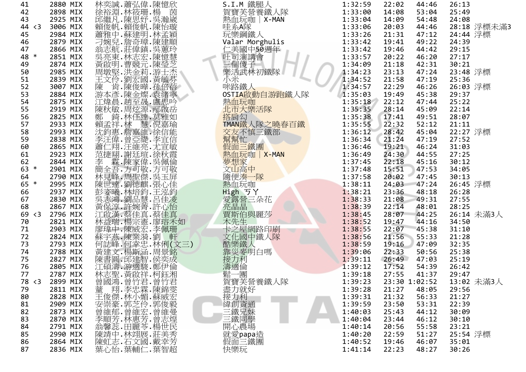| 41     | 2880 MIX |                                                                                                                                                                                                                               | S.I.M 鐵腿人                                         | 1:32:59 | 22:02<br>44:46 | 26:13       |
|--------|----------|-------------------------------------------------------------------------------------------------------------------------------------------------------------------------------------------------------------------------------|---------------------------------------------------|---------|----------------|-------------|
| 42     | 2898 MIX | 林奕誠.蕭弘偉.陳憶欣<br>徐裕淵.林筱珊.楊<br>邱繼凡.陳思妤.吳瀚崴<br>賴您帆.賴俊帆.陳怡                                                                                                                                                                         | 賀寶芙營養鐵人隊                                          | 1:33:00 | 53:04<br>14:08 | 25:49       |
| 43     | 2925 MIX |                                                                                                                                                                                                                               | 熱血玩咖   X-MAN                                      | 1:33:04 | 54:48<br>14:09 | 24:08       |
| 44 < 3 | 3006 MIX |                                                                                                                                                                                                                               | 哇系A隊<br>玩樂鋼鐵人                                     | 1:33:06 | 20:03<br>44:46 | 28:18 浮標未滿3 |
| 45     | 2984 MIX |                                                                                                                                                                                                                               |                                                   | 1:33:26 | 21:31<br>47:12 | 24:44 浮標    |
| 46     | 2879 MIX |                                                                                                                                                                                                                               | Valar Morghulis                                   | 1:33:42 | 19:41<br>49:22 | 24:39       |
| 47     | 2866 MIX |                                                                                                                                                                                                                               |                                                   | 1:33:42 | 19:46<br>44:42 | 29:15       |
| 48 *   | 2851 MIX |                                                                                                                                                                                                                               |                                                   | 1:33:57 | 20:22<br>46:20 | 27:17       |
| 49     | 2874 MIX |                                                                                                                                                                                                                               |                                                   | 1:34:09 | 21:18<br>42:31 | 30:21       |
| 50     | 2985 MIX |                                                                                                                                                                                                                               | "仁美司中50週午11美国中50週午11月1日,1950週午11日。"               | 1:34:23 | 47:24<br>23:13 | 23:48 浮標    |
| 51     | 2839 MIX |                                                                                                                                                                                                                               | 小米                                                | 1:34:52 | 21:58<br>47:19 | 25:36       |
| 52     | 3007 MIX |                                                                                                                                                                                                                               | 咪路鐵人                                              | 1:34:57 | 22:29<br>46:26 | 26:03 浮標    |
| 53     | 2884 MIX |                                                                                                                                                                                                                               | OSTIA啟動自游跑鐵人隊                                     | 1:35:03 | 19:49<br>45:38 | 29:37       |
| 54     | 2875 MIX |                                                                                                                                                                                                                               |                                                   | 1:35:18 | 22:12<br>47:44 | 25:22       |
| 55     | 2919 MIX |                                                                                                                                                                                                                               | 熱血玩咖<br>北市大樂活隊                                    | 1:35:35 | 28:14<br>45:09 | 22:14       |
| 56     | 2825 MIX |                                                                                                                                                                                                                               |                                                   | 1:35:38 | 17:41<br>49:51 | 28:07       |
| 57     | 2933 MIX |                                                                                                                                                                                                                               | 搭肩勾<br>TMAN鐵人隊之曉春百鐵                               | 1:35:55 | 22:32<br>52:12 | 21:11       |
| 58     | 2993 MIX |                                                                                                                                                                                                                               |                                                   | 1:36:12 | 28:42<br>45:04 | 22:27 浮標    |
| 59     | 2838 MIX |                                                                                                                                                                                                                               |                                                   | 1:36:34 | 21:24<br>47:19 | 27:52       |
| 60     | 2865 MIX |                                                                                                                                                                                                                               | 交友不慎三鐵部<br>幫幫忙<br>假面三鐵團                           | 1:36:46 | 19:21<br>46:24 | 31:03       |
| 61     | 2923 MIX |                                                                                                                                                                                                                               | 熱血玩咖   X-MAN                                      | 1:36:49 | 24:30<br>44:55 | 27:25       |
| 62     | 2844 MIX |                                                                                                                                                                                                                               |                                                   | 1:37:45 | 22:18<br>45:16 | 30:12       |
| 63 *   | 2901 MIX |                                                                                                                                                                                                                               | 夢想家<br>文山高中                                       | 1:37:48 | 15:51<br>47:53 | 34:05       |
| 64     | 2790 MIX |                                                                                                                                                                                                                               |                                                   | 1:37:58 | 20:02<br>47:45 | 30:13       |
| 65 *   | 2995 MIX | 邱賴蕭刁翁吳黃周王陳游江陳游和新海流會林陳蒙無可黃陳江林習普爾賴爾斯同畫面為是黃田东方,所說的第三次都就在論注意,是世姿志保康主编建書碩式的說,我們也是我們,我們的意味,是他們的意味,我們也沒有是做 人名尼亚 的复数 计标准 全見世姿志保享美能建書印第一次,他们们,他们的忘记就来看看我们,你们的东西,我们的东西,我们们也没有听到这里,我们们也没有说话,我们们的时间,我们们的时间,我们们的时间,我们们的时间,我们们的时间,我们们的时间,我们 | 隨便湊一隊                                             | 1:38:11 | 47:24<br>24:03 | 26:45 浮標    |
| 66     | 2937 MIX |                                                                                                                                                                                                                               | 熱血玩咖                                              | 1:38:21 | 48:18<br>23:36 | 26:28       |
| 67     | 2830 MIX |                                                                                                                                                                                                                               | ぷ曲♪ 予丫<br>愛露營三朵花<br>愛露晶晶<br>買斯伯與麗莎                | 1:38:33 | 49:31<br>21:08 | 27:55       |
| 68     | 2867 MIX |                                                                                                                                                                                                                               |                                                   | 1:38:39 | 22:14<br>48:01 | 28:25       |
| 69 < 3 | 2796 MIX |                                                                                                                                                                                                                               |                                                   | 1:38:45 | 28:07<br>44:25 | 26:14 未滿3人  |
| 70     | 2821 MIX |                                                                                                                                                                                                                               |                                                   | 1:38:52 | 19:47<br>44:16 | 34:50       |
| 71     | 2903 MIX |                                                                                                                                                                                                                               | 木先生                                               | 1:38:55 | 22:07<br>45:38 | 31:10       |
| 72     | 2824 MIX |                                                                                                                                                                                                                               |                                                   | 1:38:56 | 21:56<br>55:33 | 21:28       |
| 73     | 2793 MIX |                                                                                                                                                                                                                               |                                                   | 1:38:59 | 19:16<br>47:09 | 32:35       |
| 74     | 2788 MIX |                                                                                                                                                                                                                               | 不卡文化图中鐵人隊<br>卡文化國中鐵人<br>菲羅斯人的名字<br>菲羅斯倫雷<br>接力適倫雷 | 1:39:06 | 22:33<br>50:56 | 25:38       |
| 75     | 2827 MIX |                                                                                                                                                                                                                               |                                                   | 1:39:11 |                | 25:19       |
|        | 2805 MIX |                                                                                                                                                                                                                               |                                                   | 1:39:12 | 26:49<br>47:03 |             |
| 76     |          |                                                                                                                                                                                                                               |                                                   |         | 17:52<br>54:39 | 26:42       |
| 77     | 2787 MIX |                                                                                                                                                                                                                               | 鬆一團                                               | 1:39:18 | 27:55<br>41:37 | 29:47       |
| 78 < 3 | 2899 MIX |                                                                                                                                                                                                                               |                                                   | 1:39:23 | 23:30 1:02:52  | 13:02 未滿3人  |
| 79     | 2811 MIX |                                                                                                                                                                                                                               |                                                   | 1:39:28 | 21:27<br>48:05 | 29:56       |
| 80     | 2828 MIX |                                                                                                                                                                                                                               |                                                   | 1:39:31 | 21:32<br>56:33 | 21:27       |
| 81     | 2909 MIX |                                                                                                                                                                                                                               |                                                   | 1:39:59 | 23:50<br>53:31 | 22:39       |
| 82     | 2873 MIX |                                                                                                                                                                                                                               |                                                   | 1:40:03 | 25:43<br>44:12 | 30:09       |
| 83     | 2870 MIX |                                                                                                                                                                                                                               |                                                   | 1:40:04 | 23:44<br>46:12 | 30:10       |
| 84     | 2791 MIX |                                                                                                                                                                                                                               |                                                   | 1:40:14 | 55:58<br>20:56 | 23:21       |
| 85     | 2990 MIX |                                                                                                                                                                                                                               | 就愛papa造                                           | 1:40:20 | 51:27<br>22:59 | 25:54 浮標    |
| 86     | 2864 MIX |                                                                                                                                                                                                                               | 假面三鐵團<br>快樂玩                                      | 1:40:52 | 19:46<br>46:07 | 35:01       |
| 87     | 2836 MIX |                                                                                                                                                                                                                               |                                                   | 1:41:14 | 22:23<br>48:27 | 30:26       |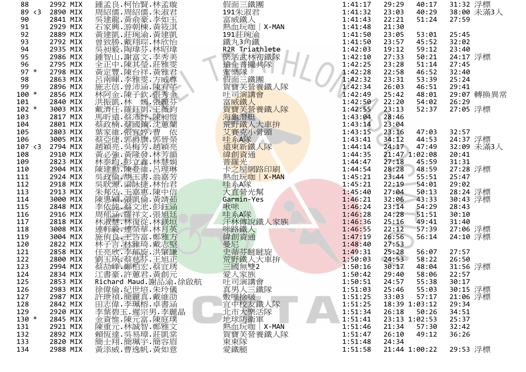| 88      | 2992 MIX | 鍾孟良.柯怡賢.林孟璇                                | 假面三鐵團                                                | 1:41:17<br>29:29         | 31:32 浮標<br>40:17             |
|---------|----------|--------------------------------------------|------------------------------------------------------|--------------------------|-------------------------------|
| 89 < 3  | 2890 MIX | 篇紹儒.周紹儒.朱淑君<br>吳建龍.黃俞豪.李如玉<br>石家雅.游朝棟.黃筱淇. | 191朱淑君                                               | 1:41:32<br>23:03         | 40:29<br>38:00 未滿3人           |
| 90      | 2841 MIX |                                            | 富威鐵人                                                 | 1:41:43<br>22:21         | 51:24<br>27:59                |
| 91      | 2929 MIX |                                            | 熱血玩咖   X-MAN                                         | 1:41:48<br>21:30         |                               |
| 92      | 2889 MIX |                                            | 191莊琬渝                                               | 1:41:50<br>23:05         | 25:45<br>53:01                |
| 93      | 2792 MIX |                                            | 鐵丸3角鐵                                                | 1:41:50<br>23:57         | 45:52<br>32:02                |
| 94      | 2935 MIX |                                            | $R2R$ Triathlete                                     | 1:42:03<br>19:12         | 59:12<br>23:40                |
| 95      | 2986 MIX |                                            |                                                      | 1:42:10<br>27:33         | 24:17 浮標<br>50:21             |
| 96      | 2795 MIX |                                            |                                                      | 1:42:25<br>23:28         | 51:14<br>27:45                |
| $97 *$  | 2798 MIX |                                            |                                                      | 1:42:28<br>22:58         | 46:52<br>32:40                |
| 98      | 2863 MIX |                                            | "樂道普遍"<br>"第一次,我们的。"<br>"第一次,我们的人的。"<br>"第一次,我们的人的。" | 1:42:32<br>23:31         | 25:24<br>53:39                |
| 99      | 2896 MIX |                                            | 賀寶芙營養鐵人隊                                             | 1:42:34<br>26:03         | 46:51<br>29:41                |
| 100 *   | 2856 MIX |                                            |                                                      | 1:42:49<br>25:42         | 29:07 轉換異常<br>48:01           |
| 101     | 2840 MIX |                                            |                                                      | 1:42:50<br>22:20         | 54:02<br>26:29                |
| $102 *$ | 3003 MIX |                                            |                                                      | 1:42:55<br>23:13         | 27:05 浮標<br>52:37             |
| 103     | 2817 MIX |                                            |                                                      | 1:43:04<br>28:46         |                               |
| 104     | 2801 MIX |                                            |                                                      | 1:43:14<br>23:04         |                               |
| 105     | 2803 MIX |                                            |                                                      | 23:16<br>1:43:15         | 32:57<br>47:03                |
| 106     | 3005 MIX |                                            |                                                      | 1:43:41<br>34:12         | 24:37 浮標<br>44:53             |
| 107 < 3 | 2794 MIX |                                            | 文章克小骨頭<br>生命不能<br>遠東新鐵人隊                             | 1:44:14<br>24:17         | 32:09 未滿3人<br>47:49           |
| 108     | 2910 MIX |                                            |                                                      | 1:44:35<br>21:47 1:02:08 | 20:41                         |
| 109     | 2823 MIX |                                            | 緯創資通                                                 | 1:44:47<br>27:18         | 31:31<br>45:59                |
| 110     | 2904 MIX |                                            | 卡之屋網路印刷                                              | 1:44:54<br>28:28         | 27:28 浮標<br>48:59             |
| 111     | 2924 MIX |                                            | 熱血玩咖   X-MAN                                         | 1:45:21<br>23:44         | 55:51<br>25:47                |
| 112     | 2918 MIX |                                            | 哇系A隊                                                 | 1:45:21<br>22:19         | 29:02<br>54:01                |
| 113     | 2913 MIX |                                            | 大直營光幫                                                | 1:45:40<br>27:04         | 50:13                         |
| 114     | 3000 MIX |                                            | Garmin-Yes                                           | 1:46:21<br>32:06         | 28:24 浮標<br>30:43 浮標<br>43:33 |
| 115     | 2848 MIX |                                            | 啾咪                                                   | 1:46:24<br>23:14         | 54:29<br>28:43                |
| 116     | 2916 MIX |                                            |                                                      | 1:46:28<br>24:28         | 51:51<br>30:10                |
| 117     | 2818 MIX |                                            |                                                      | 1:46:36<br>25:16         | 49:41<br>31:40                |
| 118     | 3008 MIX |                                            | 、主人的<br>汗林傳說鐵人家族<br>咪路鐵人<br>緯創資通                     | 1:46:55<br>22:12         | 27:06 浮標<br>57:39             |
| 119     | 3004 MIX |                                            |                                                      | 1:47:19<br>26:56         | 24:10 浮標<br>56:14             |
| 120     | 2822 MIX |                                            | 曼尼                                                   | 1:48:40<br>27:53         |                               |
| 121     | 2858 MIX |                                            |                                                      | 1:49:31<br>25:28         | 27:57<br>56:07                |
| 122     | 2800 MIX |                                            | 史蒂芬瞇瞇旋<br>荒芬鐵人大車拚<br>三國無雙2<br>受太太<br>文·              | 1:50:03<br>24:53         | 26:50<br>58:22                |
| 123     | 2994 MIX |                                            |                                                      | 1:50:16<br>30:17         | 31:56 浮標<br>48:04             |
| 124     | 2834 MIX |                                            |                                                      | 1:50:42<br>29:40         | 22:57<br>58:06                |
| 125     | 2853 MIX | Richard Maud. 謝品渝. 徐啟航                     |                                                      | 1:50:51<br>24:57         | 55:38<br>30:17                |
| 126     | 2983 MIX |                                            |                                                      | 1:51:03<br>25:46         | 30:15 浮標<br>55:03             |
| 127     | 2987 MIX |                                            |                                                      | 1:51:25<br>33:03         | 21:06 浮標<br>57:17             |
| 128     | 2842 MIX |                                            |                                                      | 1:51:25<br>18:39 1:03:12 | 29:34                         |
| 129     | 2920 MIX |                                            |                                                      | 1:51:34<br>26:18         | 50:26<br>34:51                |
| 130 *   | 2845 MIX |                                            |                                                      | 1:51:41<br>23:13 1:02:53 | 25:37                         |
| 131     | 2921 MIX |                                            | 熱血玩咖 X-MAN                                           | 1:51:46<br>21:34         | 57:30<br>32:42                |
| 132     | 2892 MIX |                                            | 賀寶芙營養鐵人隊                                             | 1:51:47<br>26:10         | 49:12<br>36:26                |
| 133     | 2820 MIX |                                            |                                                      | 1:51:48<br>24:34         |                               |
| 134     | 2988 MIX | 黃添威.曹逸帆.黃如意                                | 東東隊<br>愛鐵腿                                           | 1:51:58<br>21:44 1:00:22 | 29:53 浮標                      |
|         |          |                                            |                                                      |                          |                               |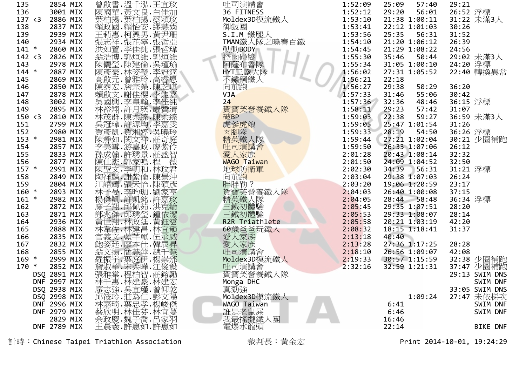| 135     | 2854 MIX     | 曾啟書.溫千泓.王宜玫                                                                                          | 吐司演講會             | 1:52:09 | 25:09 | 57:40         | 29:21    |                 |
|---------|--------------|------------------------------------------------------------------------------------------------------|-------------------|---------|-------|---------------|----------|-----------------|
| 136     | 3001 MIX     | 陳國華.黃文良.白佳加<br>葉柏揚.葉柏揚.蔡穎玫<br>賴政國·賴怡安·繆慧姆                                                            | 36 FITNESS        | 1:52:12 | 29:20 | 56:01         | 26:52 浮標 |                 |
| 137 < 3 | 2886 MIX     |                                                                                                      | Moldex3D模流鐵人      | 1:53:10 |       | 21:38 1:00:11 |          | 31:22 未滿3人      |
| 138     | 2837 MIX     |                                                                                                      | 御飯團               | 1:53:41 |       | 22:12 1:01:03 | 30:26    |                 |
| 139     | 2939 MIX     | 王莉惠.柯興男.黃尹珊                                                                                          | S.I.M 鐵腿人         | 1:53:56 | 25:35 | 56:31         | 31:52    |                 |
| 140     | 2934 MIX     | 張志祥.張芷寧.張哲亞                                                                                          | TMAN鐵人隊之曉春百鐵      | 1:54:10 |       | 21:20 1:06:12 | 26:39    |                 |
| $141 *$ | 2860 MIX     |                                                                                                      | 動動BODY            | 1:54:45 |       | 21:29 1:08:22 | 24:56    |                 |
| 142 < 3 | 2826 MIX     | 洪如萱.李佳純.張哲瑋<br>翁浩博.郭烜維.郭烜維                                                                           | 控肉碰醬              | 1:55:30 | 35:46 | 50:44         |          | 29:02 未滿3人      |
| 143     | 2978 MIX     | 陳儷瑩.陳建倫.吳瑾瑜                                                                                          |                   | 1:55:34 |       | 31:05 1:00:10 | 24:20 浮標 |                 |
| $144 *$ | 2887 MIX     | 陳彥豪.林姿瑩.李冠霆                                                                                          | 阿薩布魯隊<br>HYT三鐵大隊  | 1:56:02 |       | 27:31 1:05:52 |          | 22:40 轉換異常      |
| 145     | 2869 MIX     |                                                                                                      | 不鏽鋼鐵人             | 1:56:21 | 22:18 |               |          |                 |
| 146     | 2850 MIX     |                                                                                                      | 向前跑               | 1:56:27 | 29:38 | 50:29         | 36:20    |                 |
| 147     | 2878 MIX     |                                                                                                      | <b>VJA</b>        | 1:57:33 | 31:46 | 55:06         | 30:42    |                 |
| 148     | 3002 MIX     | 吳國興.李皇翰.李佳純                                                                                          | 24                | 1:57:36 | 32:36 | 48:46         | 36:15 浮標 |                 |
| 149     | 2895 MIX     |                                                                                                      | 賀寶芙營養鐵人隊          | 1:58:11 | 29:23 | 57:42         | 31:07    |                 |
| 150 < 3 | 2810 MIX     | 林裕翔.許月瑛.康贊清<br>林茂群.陳柔臻.陳柔臻                                                                           | 破BP               | 1:59:03 | 22:38 | 59:27         |          |                 |
|         |              |                                                                                                      |                   |         |       | 25:47 1:01:54 |          | 36:59 未滿3人      |
| 151     | 2799 MIX     | 吳冠瑋.許源均.李嘉雯                                                                                          | 虎爹虎娘              | 1:59:05 |       |               | 31:26    |                 |
| 152     | 2980 MIX     | 賀彥凱.賀湘婷.吳曉玲                                                                                          | 肉腳隊               | 1:59:33 | 28:19 | 54:50         | 36:26 浮標 |                 |
| $153 *$ | 2981 MIX     | 陳靜如.閔文祥.莊奇庭<br>李美雪.游嘉政.廖紫伶                                                                           | 精英鐵人隊             | 1:59:44 |       | 27:21 1:02:04 |          | 30:21 少圈補跑      |
| 154     | 2857 MIX     |                                                                                                      | 吐司演講會             | 1:59:50 |       | 26:33 1:07:06 | 26:12    |                 |
| 155     | 2833 MIX     | 孫成翰.許琇景.莊盛智                                                                                          | 愛人家族              | 2:01:28 |       | 20:43 1:08:14 | 32:32    |                 |
| 156     | 2877 MIX     | 陳仕杰.郭家鳴.程<br>薇                                                                                       | WAGO Taiwan       | 2:01:50 |       | 24:09 1:04:52 | 32:50    |                 |
| $157 *$ | 2991 MIX     | 陳聖文.李明和.林玟君<br>陶祥麟.謝紫倫.陳景沖                                                                           | 地球防衛軍             | 2:02:30 | 34:39 | 56:31         | 31:21 浮標 |                 |
| 158     | 2849 MIX     |                                                                                                      | 向前跑               | 2:03:04 |       | 29:38 1:07:03 | 26:24    |                 |
| 159     | 2804 MIX     | 江語嫣.張天怡.陳碩彥                                                                                          | 胖胖勒?              | 2:03:20 |       | 19:06 1:20:59 | 23:17    |                 |
| $160 *$ | 2893 MIX     |                                                                                                      |                   | 2:04:03 |       | 26:40 1:00:08 | 37:15    |                 |
| $161 *$ | 2982 MIX     | 林子晏.李昀珈.劉家亨<br>楊傑凱.許凱銘.許嘉玫                                                                           | 賀寶芙營養鐵人隊<br>精英鐵人隊 | 2:04:05 |       | 28:44 58:48   | 36:34 浮標 |                 |
| 162     | 2872 MIX     | 廖子翔.邱佩茹.洪克綸                                                                                          | 三鐵初體驗             | 2:05:45 |       | 29:35 1:07:51 | 28:20    |                 |
| 163     | 2871 MIX     | 鄭兆傑.邱琇瑩.鍾依潔                                                                                          | 三鐵初體驗             | 2:05:53 |       | 29:33 1:08:07 | 28:14    |                 |
| 164     | 2936 MIX     | 黃世翔.林政廷.黃鈺雲                                                                                          | R2R Triathlete    | 2:05:58 |       | 20:21 1:03:19 | 42:20    |                 |
| 165     | 2888 MIX     | 林韋佐.林建昌.林宜韻                                                                                          | 60歲爸爸玩鐵人          | 2:08:32 |       | 18:15 1:18:41 | 31:37    |                 |
| 166     | 2835 MIX     | 官義文·藍芊璽·伍承威                                                                                          | 愛人家族              | 2:13:18 | 40:40 |               |          |                 |
| 167     | 2832 MIX     |                                                                                                      | 愛人家族              | 2:13:28 |       | 27:36 1:17:25 | 28:28    |                 |
| 168     | 2855 MIX     |                                                                                                      | 吐司演講會             | 2:18:10 |       | 26:56 1:09:07 | 42:08    |                 |
| $169 *$ | 2999 MIX     |                                                                                                      | Moldex3D模流鐵人      | 2:19:33 |       | 30:57 1:15:59 |          | 32:38 少圈補跑      |
| $170 *$ | 2852 MIX     |                                                                                                      | 吐司演講會             | 2:32:16 |       | 32:59 1:21:31 |          | 37:47 少圈補跑      |
|         | DSQ 2891 MIX |                                                                                                      | 賀寶芙營養鐵人隊          |         |       |               |          | 29:13 SWIM DNS  |
|         | DNF 2997 MIX | 林千惠.林建豪.林建宏                                                                                          | Monga DHC         |         |       |               |          | SWIM DNF        |
|         | DSQ 2938 MIX |                                                                                                      | 真勁強               |         |       |               |          | 33:05 SWIM DNS  |
|         | DSQ 2998 MIX |                                                                                                      | Moldex3D模流鐵人      |         |       | 1:09:24       |          | 27:47 未依梯次      |
|         | DNF 2996 MIX |                                                                                                      | WAGO Taiwan       |         | 6:41  |               |          | SWIM DNF        |
|         | DNF 2979 MIX |                                                                                                      | 誰是老鼠屎             |         | 6:46  |               |          | SWIM DNF        |
|         | 2829 MIX     | が廖武、崇真、魏王、李家、张嘉、张嘉、张嘉、张志、杨家、张志、杨家、张嘉、张嘉、张志、杨家、张志、杨家、张志、杨家、张家、杨家、张家、杨家、张家、杨家、张家、杨家、张家、张家、张家、张家、张家、张家、 | 我最搖擺鐵人團           |         | 16:46 |               |          |                 |
|         | DNF 2789 MIX | 王晨羲.許惠如.許惠如                                                                                          | 電爆水龍頭             |         | 22:14 |               |          | <b>BIKE DNF</b> |
|         |              |                                                                                                      |                   |         |       |               |          |                 |

計時:Chinese Taipei Triathlon Association 裁判長:黃金宏 Print 2014-10-01, 19:24:29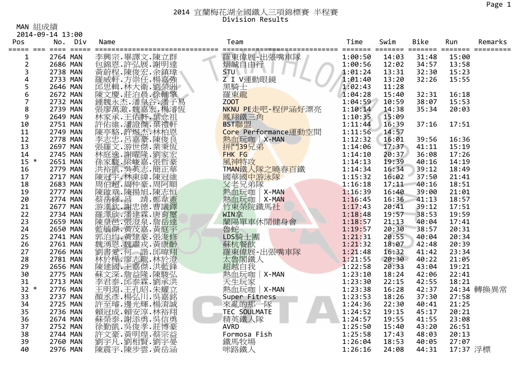### 2014 宜蘭梅花湖全國鐵人三項錦標賽 半程賽 Division Results

MAN 組成績

|                         | 2014-09-14 13:00 |                                                                                                 |                        |         |       |                                         |          |            |
|-------------------------|------------------|-------------------------------------------------------------------------------------------------|------------------------|---------|-------|-----------------------------------------|----------|------------|
| Pos                     | No. Div          | Name<br>============================                                                            | Team<br>============== | Time    | Swim  | Bike<br>======= ======= ======= ======= | Run      | Remarks    |
| 1                       | 2764 MAN         |                                                                                                 | 羅東偉展-出張嘴車隊             | 1:00:50 | 14:03 | 31:48                                   | 15:00    |            |
| $\overline{2}$          | 2686 MAN         |                                                                                                 | 熠誠自由行                  | 1:00:56 | 12:02 | 34:57                                   | 13:58    |            |
| 3                       | 2738 MAN         |                                                                                                 | <b>STU</b>             | 1:01:24 | 13:31 | 32:30                                   | 15:23    |            |
| $\overline{\mathbf{4}}$ | 2733 MAN         |                                                                                                 | Z I V運動眼鏡              | 1:01:40 | 13:20 | 32:26                                   | 15:55    |            |
| 5                       | 2646 MAN         |                                                                                                 | - 黑騎士<br>羅東龍           | 1:02:43 | 11:28 |                                         |          |            |
| 6                       | 2672 MAN         |                                                                                                 |                        | 1:04:28 | 15:40 | 32:31                                   | 16:18    |            |
| $\overline{7}$          | 2732 MAN         |                                                                                                 | ZOOT                   | 1:04:59 | 10:59 | 38:07                                   | 15:53    |            |
| $\bf 8$                 | 2739 MAN         |                                                                                                 | NKNU PE走吧-程伊涵好漂亮       | 1:10:14 | 14:38 | 35:34                                   | 20:03    |            |
| 9                       | 2649 MAN         |                                                                                                 | 鳳翔鐵三角                  | 1:10:35 | 15:09 |                                         |          |            |
| 10                      | 2751 MAN         |                                                                                                 | BST聯盟                  | 1:11:44 | 16:39 | 37:16                                   | 17:51    |            |
| 11                      | 2749 MAN         |                                                                                                 | Core Performance運動空間   | 1:11:56 | 14:57 |                                         |          |            |
| 12                      | 2778 MAN         |                                                                                                 | 熱血玩咖   X-MAN           | 1:12:32 | 16:01 | 39:56                                   | 16:36    |            |
| 13                      | 2697 MAN         |                                                                                                 | 拼鬥39兄弟                 | 1:14:06 | 17:37 | 41:11                                   | 15:19    |            |
| 14                      | 2745 MAN         |                                                                                                 | FHK FG                 | 1:14:10 | 20:37 | 36:08                                   | 17:26    |            |
| $15 *$                  | 2651 MAN         |                                                                                                 | 風神特攻                   | 1:14:13 | 19:39 | 40:16                                   | 14:19    |            |
| 16                      | 2779 MAN         |                                                                                                 | TMAN鐵人隊之曉春百鐵           | 1:14:34 | 16:34 | 39:12                                   | 18:49    |            |
| 17                      | 2717 MAN         |                                                                                                 | 國華國中游泳隊                | 1:15:32 | 16:02 | 37:50                                   | 21:41    |            |
| 18                      | 2683 MAN         | 洪裕凱.吳英志.簡正錐<br>陳冠宇.林東緯.陳冠順<br>周伯超.周仲豪.周阿順                                                       | 父老兄弟隊                  | 1:16:18 | 17:11 | 40:16                                   | 18:51    |            |
| 19                      | <b>2777 MAN</b>  | 陳啟章.陳揚旭.陳志恒                                                                                     | 熱血玩咖<br>X-MAN          | 1:16:39 | 16:40 | 39:00                                   | 21:01    |            |
| 20                      | 2774 MAN         |                                                                                                 | 熱血玩咖<br>X-MAN          | 1:16:45 | 16:36 | 41:13                                   | 18:57    |            |
| 21                      | 2677 MAN         |                                                                                                 | 竹東榮院鐵馬社                | 1:17:43 | 20:41 | 39:12                                   | 17:51    |            |
| 22                      | 2734 MAN         |                                                                                                 | WIN拿                   | 1:18:48 | 19:57 | 38:53                                   | 19:59    |            |
| 23                      | 2659 MAN         |                                                                                                 | 蘭陽單車休閒健身會              | 1:18:57 | 21:13 | 40:04                                   | 17:41    |            |
| 24                      | 2650 MAN         |                                                                                                 | 魯蛇                     | 1:19:57 | 20:30 | 38:57                                   | 20:31    |            |
| 25                      | 2741 MAN         |                                                                                                 | LDS騎士團                 | 1:21:31 | 20:55 | 40:04                                   | 20:34    |            |
| 26                      | 2761 MAN         |                                                                                                 | 蘇杭餐飲                   | 1:21:32 | 18:07 | 42:48                                   | 20:39    |            |
| 27                      | 2766 MAN         |                                                                                                 | 羅東偉展-出張嘴車隊             | 1:21:48 | 16:32 | 41:42                                   | 23:34    |            |
| 28                      | 2781 MAN         |                                                                                                 | 太魯閣鐵人<br>超越自我<br>超越自我  | 1:21:55 | 20:30 | 40:22                                   | 21:05    |            |
| 29                      | 2656 MAN         |                                                                                                 |                        | 1:22:58 | 20:33 | 43:04                                   | 19:21    |            |
| 30                      | 2775 MAN         |                                                                                                 | 熱血玩咖   X-MAN           | 1:23:10 | 18:24 | 42:06                                   | 22:41    |            |
| 31                      | 2713 MAN         |                                                                                                 | 天生玩家                   | 1:23:30 | 22:15 | 42:55                                   | 18:21    |            |
| $32 *$                  | 2776 MAN         | ·王明、王孔昭.朱耀、宋武、宋明、王子、楊弘川.吴嘉銘<br>顏不至.楊弘川.吳嘉銘<br>許至[璿·邊光輝.楊淯誠]                                     | 熱血玩咖   X-MAN           | 1:23:38 | 16:28 | 42:37                                   |          | 24:34 轉換異常 |
| 33                      | 2737 MAN         |                                                                                                 | Super Fitness          | 1:23:53 | 18:26 | 37:30                                   | 27:58    |            |
| 34                      | 2725 MAN         |                                                                                                 | 來亂的那一隊                 | 1:24:36 | 22:30 | 40:41                                   | 21:25    |            |
| 35                      | 2736 MAN         |                                                                                                 | TEC SOULMATE           | 1:24:52 | 19:15 | 45:17                                   | 20:21    |            |
| 36                      | 2674 MAN         | 品賴蘇徐勤.吳德<br>新天,斯添男,是他的一個成本,我們的生活,我們是我們的一個情報。我們是我們的一個情報,我們的一個情報。我們的一個情報,我們的一個情報,我們的一個情報,我們的一個情報。 | 精英鐵人隊                  | 1:24:57 | 19:55 | 41:55                                   | 23:08    |            |
| 37                      | 2752 MAN         |                                                                                                 | <b>AVRD</b>            | 1:25:50 | 15:40 | 43:20                                   | 26:51    |            |
| 38                      | 2744 MAN         |                                                                                                 | Formosa Fish           | 1:25:58 | 17:43 | 48:03                                   | 20:13    |            |
| 39                      | 2760 MAN         |                                                                                                 | 鐵馬牧場                   | 1:26:04 | 18:53 | 40:05                                   | 27:07    |            |
| 40                      | 2976 MAN         | 陳震宇.陳步雲.黃岳涵                                                                                     | 咪路鐵人                   | 1:26:16 | 24:08 | 44:31                                   | 17:37 浮標 |            |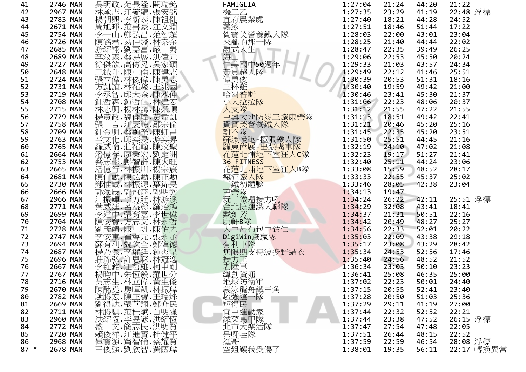| 41     | 2746 MAN | 吳明政.范長隆.闕瑞銘                                                                                                                             | FAMIGLIA                                                                   | 1:27:04 | 21:24<br>44:20 | 21:22      |
|--------|----------|-----------------------------------------------------------------------------------------------------------------------------------------|----------------------------------------------------------------------------|---------|----------------|------------|
| 42     | 2967 MAN |                                                                                                                                         | 機三乙<br>宜府農業處                                                               | 1:27:35 | 23:29<br>41:19 | 22:48 浮標   |
| 43     | 2783 MAN |                                                                                                                                         |                                                                            | 1:27:40 | 18:21<br>44:28 | 24:52      |
| 44     | 2671 MAN |                                                                                                                                         | 義泳                                                                         | 1:27:51 | 18:46<br>51:44 | 17:22      |
| 45     | 2754 MAN |                                                                                                                                         |                                                                            | 1:28:03 | 22:00<br>43:01 | 23:04      |
| 46     | 2726 MAN |                                                                                                                                         |                                                                            | 1:28:25 | 21:40<br>44:44 | 22:02      |
| 47     | 2685 MAN |                                                                                                                                         |                                                                            | 1:28:47 | 22:35<br>39:49 | 26:25      |
| 48     | 2689 MAN |                                                                                                                                         |                                                                            | 1:29:06 | 22:53<br>45:50 | 20:24      |
| 49     | 2727 MAN |                                                                                                                                         | <sup>我</sup> 賀芙營養鐵人隊<br>來亂的那一隊<br>原人生<br>海武人生<br>海頭中50週年<br>仁美國中13週        | 1:29:33 | 21:03<br>43:57 | 24:34      |
| 50     | 2648 MAN |                                                                                                                                         | 黃頁超人隊                                                                      | 1:29:49 | 22:12<br>41:46 | 25:51      |
| 51     | 2724 MAN |                                                                                                                                         |                                                                            | 1:30:39 | 20:53<br>51:31 | 18:16      |
| 52     | 2731 MAN |                                                                                                                                         | 偉勇俊<br>三杯雞                                                                 | 1:30:40 | 19:59<br>49:42 | 21:00      |
| 53     | 2719 MAN |                                                                                                                                         | 三杯雞<br>哈爾 <mark>普斯</mark><br>小人拉拉隊<br>大支隊                                  | 1:30:46 | 23:41<br>45:30 | 21:37      |
| 54     | 2708 MAN |                                                                                                                                         |                                                                            | 1:31:06 | 22:23<br>48:06 | 20:37      |
| 55     | 2715 MAN |                                                                                                                                         | 大支隊                                                                        | 1:31:12 | 21:55<br>47:22 | 21:55      |
| 56     | 2729 MAN |                                                                                                                                         | 中興大地防災三鐵康樂隊                                                                | 1:31:13 | 18:51<br>49:42 | 22:41      |
| 57     | 2758 MAN |                                                                                                                                         |                                                                            | 1:31:21 | 20:46<br>45:20 | 25:16      |
| 58     | 2709 MAN |                                                                                                                                         |                                                                            | 1:31:45 | 22:35<br>45:20 | 23:51      |
| 59     | 2763 MAN |                                                                                                                                         |                                                                            | 1:31:50 | 25:51<br>44:45 | 21:16      |
| 60     | 2765 MAN |                                                                                                                                         | - 賀寶芙營養鐵人隊<br>對不隊<br>蘇澳慢跑-極限鐵人隊<br>羅東偉展-出張嘴車隊                              | 1:32:19 | 24:10<br>47:02 | 21:08      |
| 61     | 2664 MAN |                                                                                                                                         | 花蓮北埔地下室狂人C隊                                                                | 1:32:23 | 51:27<br>19:17 | 21:41      |
| 62     | 2753 MAN |                                                                                                                                         | <b>36 FITNESS</b>                                                          | 1:32:40 | 25:11<br>44:24 | 23:06      |
| 63     | 2665 MAN |                                                                                                                                         | 花蓮北埔地下室狂人B隊                                                                | 1:33:08 | 15:59<br>48:52 | 28:17      |
| 64     | 2681 MAN |                                                                                                                                         |                                                                            | 1:33:33 | 22:55<br>45:37 | 25:02      |
| 65     | 2730 MAN |                                                                                                                                         | ℡瘋狂鐵人隊<br>遍狂鐵初體驗<br>芭識初體 接力吼<br>三世大学<br>大王、大王、大王、<br>大王、<br>東西<br>中方<br>東西 | 1:33:46 | 42:38<br>28:05 | 23:04      |
| 66     | 2666 MAN |                                                                                                                                         |                                                                            | 1:34:13 | 19:47          |            |
| 67     | 2966 MAN |                                                                                                                                         |                                                                            | 1:34:24 | 26:22<br>42:11 | 25:51 浮標   |
| 68     | 2771 MAN |                                                                                                                                         |                                                                            | 1:34:29 | 32:08<br>43:41 | 18:41      |
| 69     | 2699 MAN |                                                                                                                                         |                                                                            | 1:34:37 | 50:51<br>21:31 | 22:16      |
| 70     | 2704 MAN | #江葉庭主義 - 『大学大学大学大学大学大学 - 『大学大学』 - 『大学』 - 『大学の『大学』 - 『大学の『大学』 - 『大学』 - 『大学』 - 『大学の『大学』 - 『大学』 - 『大学の                                     | 康軒B隊                                                                       | 1:34:42 | 20:49<br>48:27 | 25:27      |
| 71     | 2728 MAN | 除劉李蘇桐,提升第一次第一次第一次,我有乃傑.李燿廷.杜柯中将先錦統:江都桃子錦北,李燿廷.許恩箖.林冠剛供,李耀廷.林冠逸,第一次,李耀王.張永德,<br>秦東,崔睿元.張永德皇太子,<br>太子、張太子<br>李朝代.李耀廷.江西平世界<br>李朝朝代.李耀王.阿思 | 人中呂布包中致仁                                                                   | 1:34:56 | 52:01<br>22:33 | 20:22      |
| 72     | 2747 MAN |                                                                                                                                         | DigiWin鐵贏隊                                                                 | 1:35:03 | 22:09<br>43:38 | 29:18      |
| 73     | 2694 MAN |                                                                                                                                         |                                                                            | 1:35:17 | 43:29<br>23:08 | 28:42      |
| 74     | 2687 MAN |                                                                                                                                         | h有利車隊<br>無限期支持波多野結衣<br>無限期支持波多野結衣<br>接力王<br><sup>建議員</sup> 資通              | 1:35:34 | 24:53<br>52:56 | 17:46      |
| 75     | 2696 MAN |                                                                                                                                         |                                                                            | 1:35:40 | 24:56<br>48:52 | 21:52      |
| 76     | 2667 MAN |                                                                                                                                         |                                                                            | 1:36:34 | 23:03<br>50:10 | 23:23      |
| 77     | 2767 MAN | 楊昀中.朱恆毅.羅世分                                                                                                                             |                                                                            | 1:36:41 | 25:08<br>46:35 | 25:00      |
| 78     | 2716 MAN |                                                                                                                                         | 地球防衛軍                                                                      | 1:37:02 | 22:23<br>50:01 | 24:40      |
| 79     | 2670 MAN |                                                                                                                                         |                                                                            | 1:37:15 | 52:41<br>20:55 | 23:40      |
| 80     | 2782 MAN |                                                                                                                                         | 『義流論』<br>義務論 <del>『</del><br>超強に<br>翔得                                     | 1:37:28 | 51:03<br>20:50 | 25:36      |
| 81     | 2669 MAN |                                                                                                                                         |                                                                            | 1:37:29 | 29:11<br>41:19 | 27:00      |
| 82     | 2711 MAN |                                                                                                                                         |                                                                            | 1:37:44 | 22:32<br>52:52 | 22:21      |
| 83     | 2960 MAN |                                                                                                                                         | ,宜中運動家<br>鐵菜鳥甲隊<br>北市大樂活隊                                                  | 1:37:44 | 23:38<br>47:52 | 26:15 浮標   |
| 84     | 2772 MAN |                                                                                                                                         |                                                                            | 1:37:47 | 27:54<br>47:48 | 22:05      |
| 85     | 2720 MAN |                                                                                                                                         | 呆呀哇隊                                                                       | 1:37:51 | 26:44<br>48:15 | 22:52      |
| 86     | 2968 MAN |                                                                                                                                         | 挺哥                                                                         | 1:37:59 | 22:59<br>46:54 |            |
| $87 *$ | 2678 MAN |                                                                                                                                         | 空姐讓我受傷了                                                                    |         | 19:35<br>56:11 | 28:08 浮標   |
|        |          |                                                                                                                                         |                                                                            | 1:38:01 |                | 22:17 轉換異常 |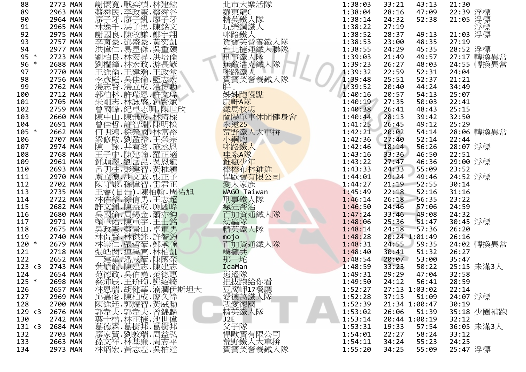| 88      | 2773 MAN | 謝懷寬.戰奕楨.林建鋐                                                                                                                                                                                                                    | 北市大樂活隊                                                                                                                       | 1:38:03 | 33:21<br>43:13 | 21:30                  |
|---------|----------|--------------------------------------------------------------------------------------------------------------------------------------------------------------------------------------------------------------------------------|------------------------------------------------------------------------------------------------------------------------------|---------|----------------|------------------------|
| 89      | 2963 MAN |                                                                                                                                                                                                                                |                                                                                                                              | 1:38:04 | 28:16<br>47:09 |                        |
| 90      | 2964 MAN |                                                                                                                                                                                                                                |                                                                                                                              | 1:38:14 | 52:38<br>24:32 | 22:39 浮標<br>21:05 浮標   |
| 91      | 2965 MAN |                                                                                                                                                                                                                                |                                                                                                                              | 1:38:22 | 27:19          | 浮標                     |
| 92      | 2975 MAN |                                                                                                                                                                                                                                |                                                                                                                              | 1:38:52 | 28:37<br>49:13 | 21:03 浮標               |
| 93      | 2757 MAN |                                                                                                                                                                                                                                |                                                                                                                              | 1:38:53 | 48:35<br>23:00 | 27:19                  |
| 94      | 2977 MAN |                                                                                                                                                                                                                                |                                                                                                                              | 1:38:55 | 45:35<br>24:29 |                        |
| $95 *$  | 2723 MAN |                                                                                                                                                                                                                                |                                                                                                                              | 1:39:03 | 49:57<br>21:49 | 28:52 浮標<br>27:17 轉換異常 |
| $96 *$  | 2688 MAN |                                                                                                                                                                                                                                |                                                                                                                              | 1:39:23 | 26:27<br>48:03 | 24:55 轉換異常             |
| 97      | 2770 MAN |                                                                                                                                                                                                                                |                                                                                                                              | 1:39:32 | 52:31<br>22:59 | 24:04                  |
| 98      | 2756 MAN |                                                                                                                                                                                                                                | 北羅精玩咪路寶台刑無咪賀畔「東葉路寶士事敵路寶士無味路建了無事。<br>『東漢鋼鐵人營運人隊 大宗には、「大学の事態人」(『東漢』)<br>『東葉織鐵人『東港運人大』(『東洋書集』)<br>『東葉調鐵人 大学賞人<br>『東葉語集』(『東洋書集』) | 1:39:48 | 52:37<br>25:51 | 21:21                  |
| 99      | 2762 MAN |                                                                                                                                                                                                                                | 胖丁                                                                                                                           | 1:39:52 | 44:24<br>20:40 | 34:49                  |
| 100     | 2712 MAN |                                                                                                                                                                                                                                | 姊姊跑慢點                                                                                                                        | 1:40:16 | 20:57<br>54:13 | 25:07                  |
| 101     | 2705 MAN |                                                                                                                                                                                                                                |                                                                                                                              | 1:40:19 | 27:35<br>50:03 | 22:41                  |
| 102     | 2759 MAN |                                                                                                                                                                                                                                | 康軒A隊                                                                                                                         | 1:40:38 | 26:41<br>48:43 | 25:15                  |
| 103     | 2660 MAN |                                                                                                                                                                                                                                |                                                                                                                              | 1:40:44 | 28:13<br>39:42 | 32:50                  |
| 104     | 2691 MAN |                                                                                                                                                                                                                                |                                                                                                                              | 1:41:25 | 26:45<br>49:12 | 25:29                  |
| $105 *$ | 2662 MAN |                                                                                                                                                                                                                                |                                                                                                                              | 1:42:21 | 20:02<br>54:14 | 28:06 轉換異常             |
| 106     | 2707 MAN |                                                                                                                                                                                                                                |                                                                                                                              | 1:42:36 | 27:40<br>52:14 | 22:44                  |
| 107     | 2974 MAN |                                                                                                                                                                                                                                | 藏陽單車休閒健身會<br>蘭陽單車休閒健身會<br>赤遠25<br>小鋼炮<br>咪路鐵人<br><sub>叶</sub><br><sub>小部鐵人</sub>                                             | 1:42:46 | 18:14<br>56:26 | 28:07 浮標               |
| 108     | 2768 MAN |                                                                                                                                                                                                                                |                                                                                                                              | 1:43:16 | 33:36<br>46:50 | 22:51                  |
| 109     | 2961 MAN |                                                                                                                                                                                                                                | 中系A隊<br>錐瘋少年<br>棒棒布林錐錐                                                                                                       | 1:43:22 | 27:47<br>46:36 | 29:00 浮標               |
| 110     | 2693 MAN |                                                                                                                                                                                                                                |                                                                                                                              | 1:43:33 | 24:33<br>55:09 | 23:52                  |
| 111     | 2970 MAN |                                                                                                                                                                                                                                | 悍歐寶有限公司                                                                                                                      | 1:44:01 | 29:24<br>49:46 | 24:52 浮標               |
| 112     | 2702 MAN | 謝蔡廖林謝李洪劉劉王李湯郭朱曾陳曾何梁陳王雄岳康王林許呉賴嗚賴是趙太守賓的南東北部北部北部北部國中佳明修、于顒明立守睿(裕文國軍的第一十四百年,他往往在後往往,為日本的國中世界大战,在日本的大战中, 法国有关 计数字子 计编码 计数字子 计多元 计多位 计数字子 计数字子 计数字子 计数字符号 计数字符号 计数字符号 计数字符号 计数字符号 计数字符号 计数字符号 计数字符号 计数字符号 计数字符号 计数字符号 计数字符号 计数字符号 计数 | 愛人家族                                                                                                                         | 1:44:27 | 21:19<br>52:55 | 30:14                  |
| 113     | 2735 MAN |                                                                                                                                                                                                                                | WAGO Taiwan                                                                                                                  | 1:45:49 | 22:18<br>52:16 | 31:16                  |
| 114     | 2722 MAN |                                                                                                                                                                                                                                | 刑事鐵人隊                                                                                                                        | 1:46:14 | 56:35<br>26:18 | 23:22                  |
| 115     | 2682 MAN |                                                                                                                                                                                                                                | 瘋狂喬治                                                                                                                         | 1:46:50 | 24:46<br>57:06 | 24:59                  |
| 116     | 2680 MAN |                                                                                                                                                                                                                                | 百加資通鐵人隊                                                                                                                      | 1:47:24 | 49:08<br>33:46 | 24:32                  |
| 117     | 2971 MAN |                                                                                                                                                                                                                                | 幼蟲隊                                                                                                                          | 1:48:06 | 51:47<br>25:36 | 30:45 浮標               |
| 118     | 2675 MAN | 《賴軍佑·陳重宇·王士銘<br>吳政憲·蔡景山·卓軍男<br>林侃賢·林傑鋒·許智鈞                                                                                                                                                                                     | 精英鐵人隊                                                                                                                        | 1:48:14 | 24:18<br>57:36 | 26:20                  |
| 119     | 2740 MAN |                                                                                                                                                                                                                                |                                                                                                                              | 1:48:28 | 20:24 1:01:49  | 26:16                  |
| $120 *$ | 2679 MAN |                                                                                                                                                                                                                                | mojo<br>百加資通鐵人隊                                                                                                              | 1:48:31 | 24:55<br>59:35 | 24:02 轉換異常             |
| 121     | 2718 MAN |                                                                                                                                                                                                                                | 噗攏共                                                                                                                          | 1:48:40 | 51:32<br>30:41 | 26:27                  |
| 122     | 2652 MAN |                                                                                                                                                                                                                                | 那一坨                                                                                                                          | 1:48:54 | 53:00<br>20:07 | 35:47                  |
| 123 < 3 | 2743 MAN |                                                                                                                                                                                                                                | IcaMan                                                                                                                       | 1:48:59 | 33:23<br>50:22 | 25:15 未滿3人             |
| 124     | 2654 MAN |                                                                                                                                                                                                                                | 逍遙隊                                                                                                                          | 1:49:31 | 29:29<br>47:04 | 32:58                  |
| $125 *$ | 2698 MAN |                                                                                                                                                                                                                                | 把拔跑給你看                                                                                                                       | 1:49:50 | 24:12<br>56:41 | 28:59                  |
| 126     | 2657 MAN | 蔡沛辰.王玠珣.鄧紹綺<br>林恩瑞.胡健華.湳潤伊斯坦大                                                                                                                                                                                                  | 豆腐岬17餐廳                                                                                                                      | 1:52:27 | 27:13 1:03:02  | 22:14                  |
| 127     | 2969 MAN |                                                                                                                                                                                                                                | 愛德萬鐵人隊 <br> 愛德國<br>精英鐵人隊                                                                                                     | 1:52:28 | 37:13<br>51:09 | 24:07 浮標               |
| 128     | 2700 MAN |                                                                                                                                                                                                                                |                                                                                                                              | 1:52:39 | 21:34 1:00:47  | 30:19                  |
| 129 < 3 | 2676 MAN |                                                                                                                                                                                                                                |                                                                                                                              | 1:53:02 | 26:06<br>51:39 | 35:18 少圈補跑             |
| 130     | 2742 MAN |                                                                                                                                                                                                                                | J <sub>2E</sub>                                                                                                              | 1:53:14 | 20:44 1:00:19  | 32:12                  |
| 131 < 3 | 2684 MAN |                                                                                                                                                                                                                                | 父子隊                                                                                                                          | 1:53:31 | 19:33<br>57:54 | 36:05 未滿3人             |
| 132     | 2703 MAN |                                                                                                                                                                                                                                | 悍歐寶有限公司                                                                                                                      | 1:54:01 | 22:27<br>58:24 | 33:12                  |
| 133     | 2663 MAN |                                                                                                                                                                                                                                |                                                                                                                              | 1:54:11 | 34:24<br>55:23 | 24:25                  |
| 134     | 2973 MAN |                                                                                                                                                                                                                                | 荒野鐵人大車拚<br>賀寶芙營養鐵人隊                                                                                                          | 1:55:20 | 34:25<br>55:09 | 25:47 浮標               |
|         |          |                                                                                                                                                                                                                                |                                                                                                                              |         |                |                        |